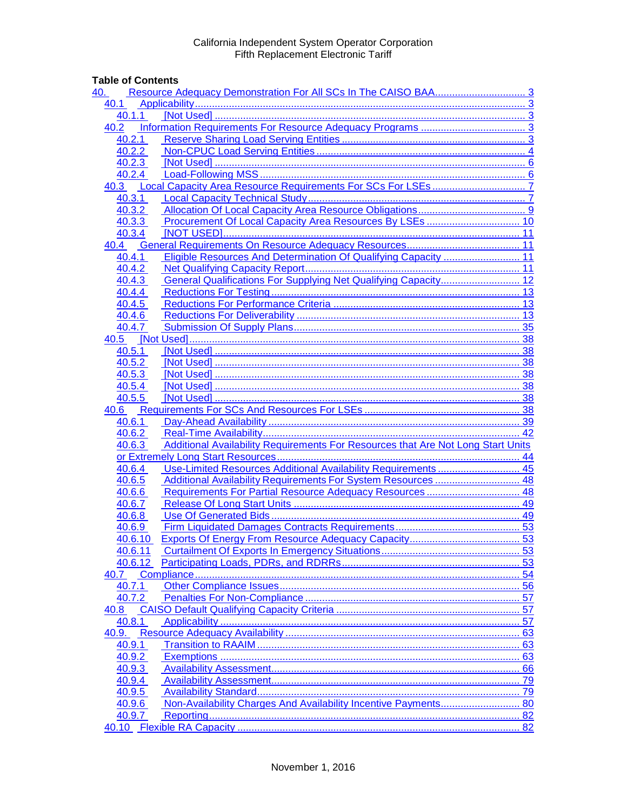## **Table of Contents**

| 40.     |                                                                                  |    |
|---------|----------------------------------------------------------------------------------|----|
| 40.1    |                                                                                  |    |
| 40.1.1  |                                                                                  |    |
| 40.2    |                                                                                  |    |
|         | 40.2.1                                                                           |    |
| 40.2.2  |                                                                                  |    |
| 40.2.3  |                                                                                  |    |
| 40.2.4  |                                                                                  |    |
| 40.3    |                                                                                  |    |
| 40.3.1  |                                                                                  |    |
| 40.3.2  |                                                                                  |    |
| 40.3.3  | Procurement Of Local Capacity Area Resources By LSEs  10                         |    |
| 40.3.4  |                                                                                  |    |
| 40.4    |                                                                                  |    |
| 40.4.1  | Eligible Resources And Determination Of Qualifying Capacity  11                  |    |
| 40.4.2  |                                                                                  |    |
| 40.4.3  | General Qualifications For Supplying Net Qualifying Capacity 12                  |    |
| 40.4.4  |                                                                                  |    |
| 40.4.5  |                                                                                  |    |
| 40.4.6  |                                                                                  |    |
| 40.4.7  |                                                                                  |    |
|         |                                                                                  |    |
|         |                                                                                  |    |
| 40.5.1  |                                                                                  |    |
| 40.5.2  |                                                                                  |    |
| 40.5.3  |                                                                                  |    |
| 40.5.4  |                                                                                  |    |
|         |                                                                                  |    |
|         |                                                                                  |    |
| 40.6.1  |                                                                                  |    |
| 40.6.2  |                                                                                  |    |
| 40.6.3  | Additional Availability Requirements For Resources that Are Not Long Start Units |    |
|         |                                                                                  |    |
| 40.6.4  | Use-Limited Resources Additional Availability Requirements  45                   |    |
| 40.6.5  | Additional Availability Requirements For System Resources  48                    |    |
| 40.6.6  | Requirements For Partial Resource Adequacy Resources  48                         |    |
| 40.6.7  |                                                                                  |    |
| 40.6.8  |                                                                                  |    |
| 40.6.9  |                                                                                  |    |
| 40.6.10 |                                                                                  |    |
| 40.6.11 |                                                                                  |    |
| 40.6.12 |                                                                                  |    |
| 40.7    |                                                                                  |    |
| 40.7.1  |                                                                                  |    |
| 40.7.2  |                                                                                  |    |
| 40.8    |                                                                                  |    |
| 40.8.1  |                                                                                  |    |
| 40.9.   |                                                                                  | 63 |
| 40.9.1  |                                                                                  | 63 |
| 40.9.2  |                                                                                  |    |
| 40.9.3  |                                                                                  | 66 |
| 40.9.4  |                                                                                  |    |
| 40.9.5  |                                                                                  |    |
| 40.9.6  |                                                                                  |    |
| 40.9.7  |                                                                                  |    |
|         |                                                                                  |    |
|         |                                                                                  |    |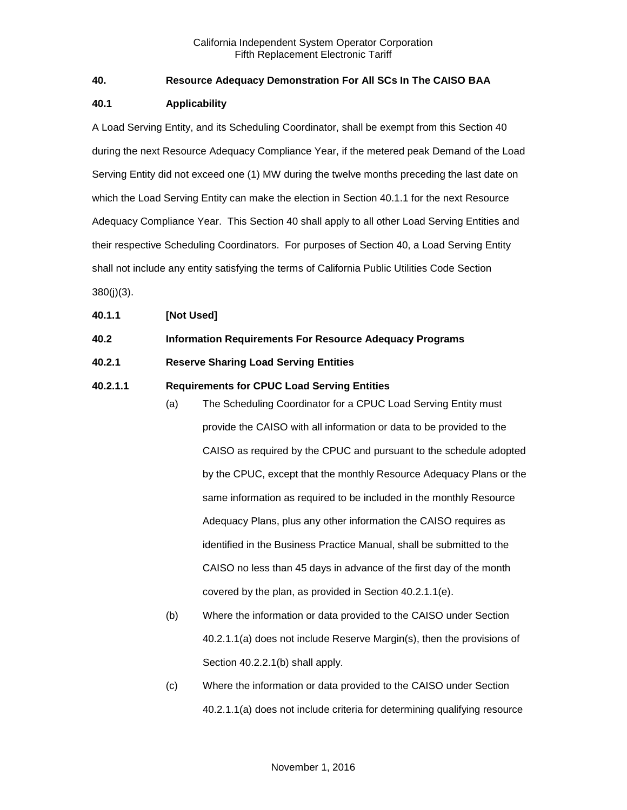## <span id="page-2-0"></span>**40. Resource Adequacy Demonstration For All SCs In The CAISO BAA**

#### <span id="page-2-1"></span>**40.1 Applicability**

A Load Serving Entity, and its Scheduling Coordinator, shall be exempt from this Section 40 during the next Resource Adequacy Compliance Year, if the metered peak Demand of the Load Serving Entity did not exceed one (1) MW during the twelve months preceding the last date on which the Load Serving Entity can make the election in Section 40.1.1 for the next Resource Adequacy Compliance Year. This Section 40 shall apply to all other Load Serving Entities and their respective Scheduling Coordinators. For purposes of Section 40, a Load Serving Entity shall not include any entity satisfying the terms of California Public Utilities Code Section 380(j)(3).

#### <span id="page-2-2"></span>**40.1.1 [Not Used]**

#### <span id="page-2-3"></span>**40.2 Information Requirements For Resource Adequacy Programs**

#### <span id="page-2-4"></span>**40.2.1 Reserve Sharing Load Serving Entities**

#### **40.2.1.1 Requirements for CPUC Load Serving Entities**

- (a) The Scheduling Coordinator for a CPUC Load Serving Entity must provide the CAISO with all information or data to be provided to the CAISO as required by the CPUC and pursuant to the schedule adopted by the CPUC, except that the monthly Resource Adequacy Plans or the same information as required to be included in the monthly Resource Adequacy Plans, plus any other information the CAISO requires as identified in the Business Practice Manual, shall be submitted to the CAISO no less than 45 days in advance of the first day of the month covered by the plan, as provided in Section 40.2.1.1(e).
- (b) Where the information or data provided to the CAISO under Section 40.2.1.1(a) does not include Reserve Margin(s), then the provisions of Section 40.2.2.1(b) shall apply.
- (c) Where the information or data provided to the CAISO under Section 40.2.1.1(a) does not include criteria for determining qualifying resource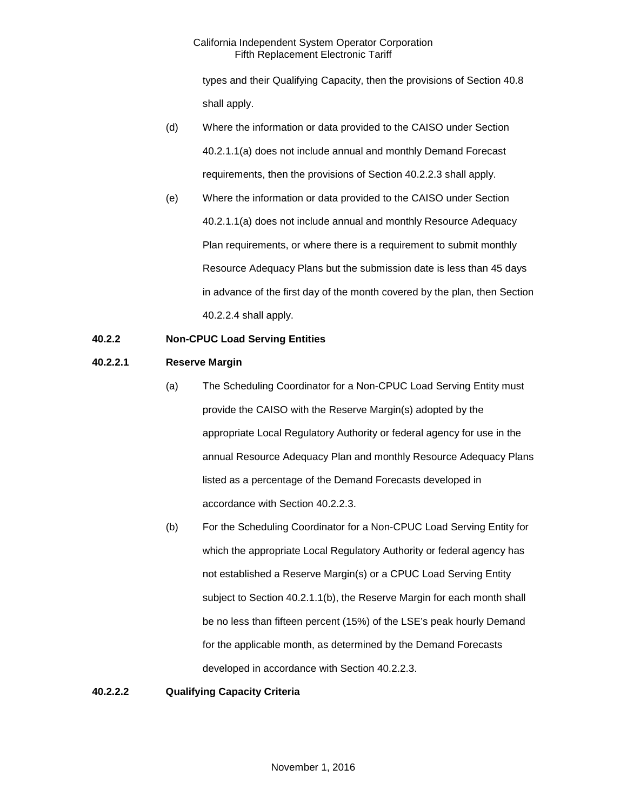types and their Qualifying Capacity, then the provisions of Section 40.8 shall apply.

- (d) Where the information or data provided to the CAISO under Section 40.2.1.1(a) does not include annual and monthly Demand Forecast requirements, then the provisions of Section 40.2.2.3 shall apply.
- (e) Where the information or data provided to the CAISO under Section 40.2.1.1(a) does not include annual and monthly Resource Adequacy Plan requirements, or where there is a requirement to submit monthly Resource Adequacy Plans but the submission date is less than 45 days in advance of the first day of the month covered by the plan, then Section 40.2.2.4 shall apply.

## <span id="page-3-0"></span>**40.2.2 Non-CPUC Load Serving Entities**

#### **40.2.2.1 Reserve Margin**

- (a) The Scheduling Coordinator for a Non-CPUC Load Serving Entity must provide the CAISO with the Reserve Margin(s) adopted by the appropriate Local Regulatory Authority or federal agency for use in the annual Resource Adequacy Plan and monthly Resource Adequacy Plans listed as a percentage of the Demand Forecasts developed in accordance with Section 40.2.2.3.
- (b) For the Scheduling Coordinator for a Non-CPUC Load Serving Entity for which the appropriate Local Regulatory Authority or federal agency has not established a Reserve Margin(s) or a CPUC Load Serving Entity subject to Section 40.2.1.1(b), the Reserve Margin for each month shall be no less than fifteen percent (15%) of the LSE's peak hourly Demand for the applicable month, as determined by the Demand Forecasts developed in accordance with Section 40.2.2.3.

#### **40.2.2.2 Qualifying Capacity Criteria**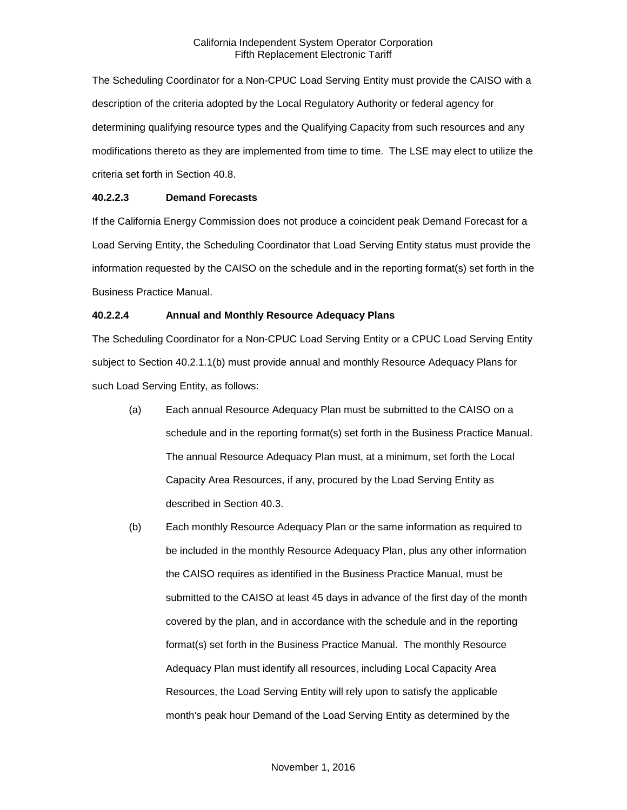The Scheduling Coordinator for a Non-CPUC Load Serving Entity must provide the CAISO with a description of the criteria adopted by the Local Regulatory Authority or federal agency for determining qualifying resource types and the Qualifying Capacity from such resources and any modifications thereto as they are implemented from time to time. The LSE may elect to utilize the criteria set forth in Section 40.8.

### **40.2.2.3 Demand Forecasts**

If the California Energy Commission does not produce a coincident peak Demand Forecast for a Load Serving Entity, the Scheduling Coordinator that Load Serving Entity status must provide the information requested by the CAISO on the schedule and in the reporting format(s) set forth in the Business Practice Manual.

## **40.2.2.4 Annual and Monthly Resource Adequacy Plans**

The Scheduling Coordinator for a Non-CPUC Load Serving Entity or a CPUC Load Serving Entity subject to Section 40.2.1.1(b) must provide annual and monthly Resource Adequacy Plans for such Load Serving Entity, as follows:

- (a) Each annual Resource Adequacy Plan must be submitted to the CAISO on a schedule and in the reporting format(s) set forth in the Business Practice Manual. The annual Resource Adequacy Plan must, at a minimum, set forth the Local Capacity Area Resources, if any, procured by the Load Serving Entity as described in Section 40.3.
- (b) Each monthly Resource Adequacy Plan or the same information as required to be included in the monthly Resource Adequacy Plan, plus any other information the CAISO requires as identified in the Business Practice Manual, must be submitted to the CAISO at least 45 days in advance of the first day of the month covered by the plan, and in accordance with the schedule and in the reporting format(s) set forth in the Business Practice Manual. The monthly Resource Adequacy Plan must identify all resources, including Local Capacity Area Resources, the Load Serving Entity will rely upon to satisfy the applicable month's peak hour Demand of the Load Serving Entity as determined by the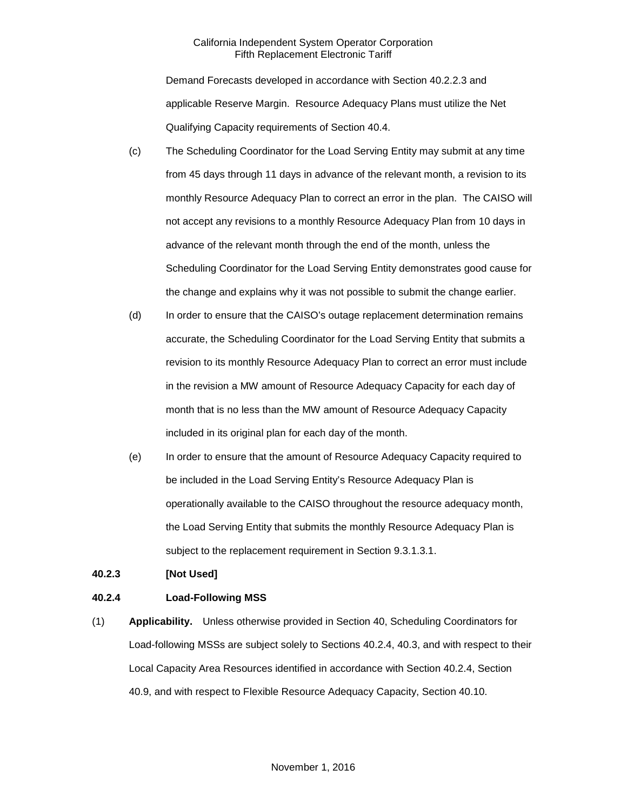Demand Forecasts developed in accordance with Section 40.2.2.3 and applicable Reserve Margin. Resource Adequacy Plans must utilize the Net Qualifying Capacity requirements of Section 40.4.

- (c) The Scheduling Coordinator for the Load Serving Entity may submit at any time from 45 days through 11 days in advance of the relevant month, a revision to its monthly Resource Adequacy Plan to correct an error in the plan. The CAISO will not accept any revisions to a monthly Resource Adequacy Plan from 10 days in advance of the relevant month through the end of the month, unless the Scheduling Coordinator for the Load Serving Entity demonstrates good cause for the change and explains why it was not possible to submit the change earlier.
- (d) In order to ensure that the CAISO's outage replacement determination remains accurate, the Scheduling Coordinator for the Load Serving Entity that submits a revision to its monthly Resource Adequacy Plan to correct an error must include in the revision a MW amount of Resource Adequacy Capacity for each day of month that is no less than the MW amount of Resource Adequacy Capacity included in its original plan for each day of the month.
- (e) In order to ensure that the amount of Resource Adequacy Capacity required to be included in the Load Serving Entity's Resource Adequacy Plan is operationally available to the CAISO throughout the resource adequacy month, the Load Serving Entity that submits the monthly Resource Adequacy Plan is subject to the replacement requirement in Section 9.3.1.3.1.

#### <span id="page-5-0"></span>**40.2.3 [Not Used]**

#### <span id="page-5-1"></span>**40.2.4 Load-Following MSS**

(1) **Applicability.** Unless otherwise provided in Section 40, Scheduling Coordinators for Load-following MSSs are subject solely to Sections 40.2.4, 40.3, and with respect to their Local Capacity Area Resources identified in accordance with Section 40.2.4, Section 40.9, and with respect to Flexible Resource Adequacy Capacity, Section 40.10.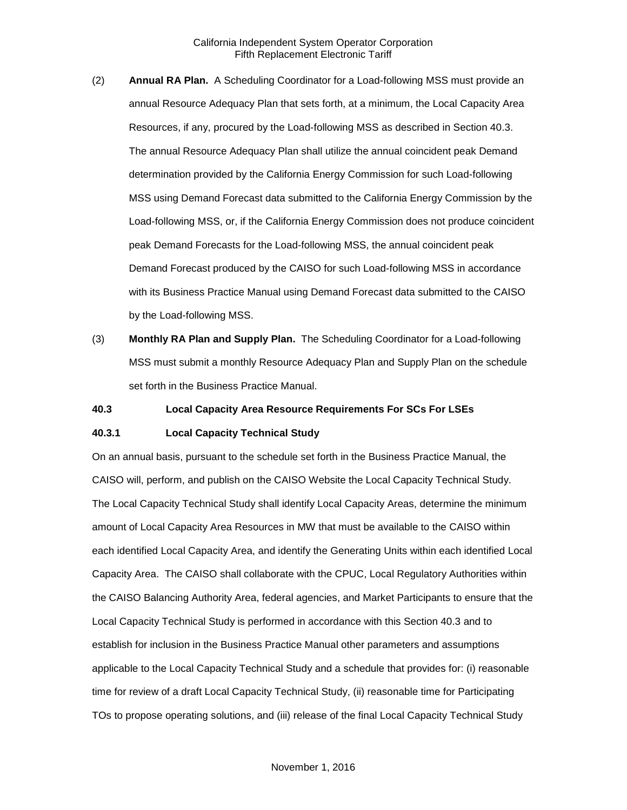- (2) **Annual RA Plan.** A Scheduling Coordinator for a Load-following MSS must provide an annual Resource Adequacy Plan that sets forth, at a minimum, the Local Capacity Area Resources, if any, procured by the Load-following MSS as described in Section 40.3. The annual Resource Adequacy Plan shall utilize the annual coincident peak Demand determination provided by the California Energy Commission for such Load-following MSS using Demand Forecast data submitted to the California Energy Commission by the Load-following MSS, or, if the California Energy Commission does not produce coincident peak Demand Forecasts for the Load-following MSS, the annual coincident peak Demand Forecast produced by the CAISO for such Load-following MSS in accordance with its Business Practice Manual using Demand Forecast data submitted to the CAISO by the Load-following MSS.
- (3) **Monthly RA Plan and Supply Plan.** The Scheduling Coordinator for a Load-following MSS must submit a monthly Resource Adequacy Plan and Supply Plan on the schedule set forth in the Business Practice Manual.

#### <span id="page-6-0"></span>**40.3 Local Capacity Area Resource Requirements For SCs For LSEs**

#### <span id="page-6-1"></span>**40.3.1 Local Capacity Technical Study**

On an annual basis, pursuant to the schedule set forth in the Business Practice Manual, the CAISO will, perform, and publish on the CAISO Website the Local Capacity Technical Study. The Local Capacity Technical Study shall identify Local Capacity Areas, determine the minimum amount of Local Capacity Area Resources in MW that must be available to the CAISO within each identified Local Capacity Area, and identify the Generating Units within each identified Local Capacity Area. The CAISO shall collaborate with the CPUC, Local Regulatory Authorities within the CAISO Balancing Authority Area, federal agencies, and Market Participants to ensure that the Local Capacity Technical Study is performed in accordance with this Section 40.3 and to establish for inclusion in the Business Practice Manual other parameters and assumptions applicable to the Local Capacity Technical Study and a schedule that provides for: (i) reasonable time for review of a draft Local Capacity Technical Study, (ii) reasonable time for Participating TOs to propose operating solutions, and (iii) release of the final Local Capacity Technical Study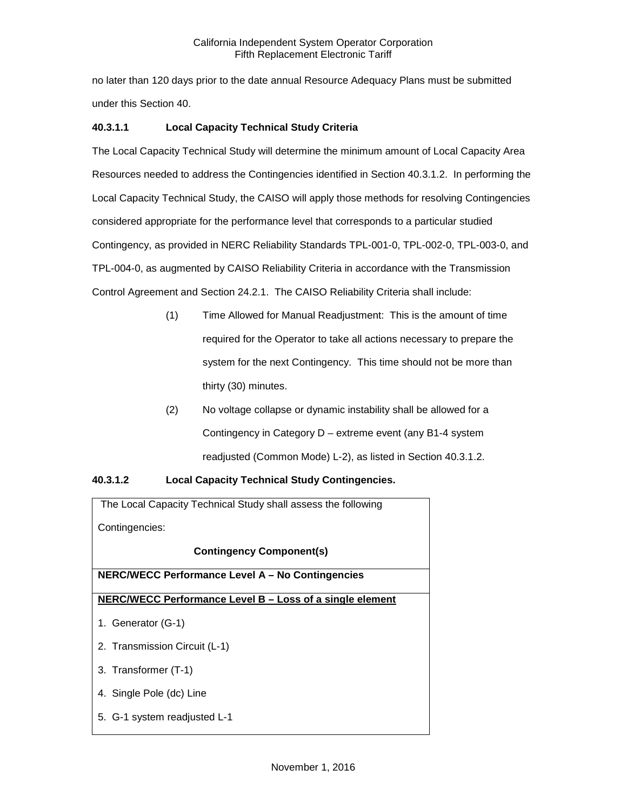no later than 120 days prior to the date annual Resource Adequacy Plans must be submitted under this Section 40.

## **40.3.1.1 Local Capacity Technical Study Criteria**

The Local Capacity Technical Study will determine the minimum amount of Local Capacity Area Resources needed to address the Contingencies identified in Section 40.3.1.2. In performing the Local Capacity Technical Study, the CAISO will apply those methods for resolving Contingencies considered appropriate for the performance level that corresponds to a particular studied Contingency, as provided in NERC Reliability Standards TPL-001-0, TPL-002-0, TPL-003-0, and TPL-004-0, as augmented by CAISO Reliability Criteria in accordance with the Transmission Control Agreement and Section 24.2.1. The CAISO Reliability Criteria shall include:

- (1) Time Allowed for Manual Readjustment: This is the amount of time required for the Operator to take all actions necessary to prepare the system for the next Contingency. This time should not be more than thirty (30) minutes.
- (2) No voltage collapse or dynamic instability shall be allowed for a Contingency in Category D – extreme event (any B1-4 system readjusted (Common Mode) L-2), as listed in Section 40.3.1.2.

## **40.3.1.2 Local Capacity Technical Study Contingencies.**

The Local Capacity Technical Study shall assess the following Contingencies: **Contingency Component(s) NERC/WECC Performance Level A – No Contingencies NERC/WECC Performance Level B – Loss of a single element** 1. Generator (G-1) 2. Transmission Circuit (L-1) 3. Transformer (T-1) 4. Single Pole (dc) Line 5. G-1 system readjusted L-1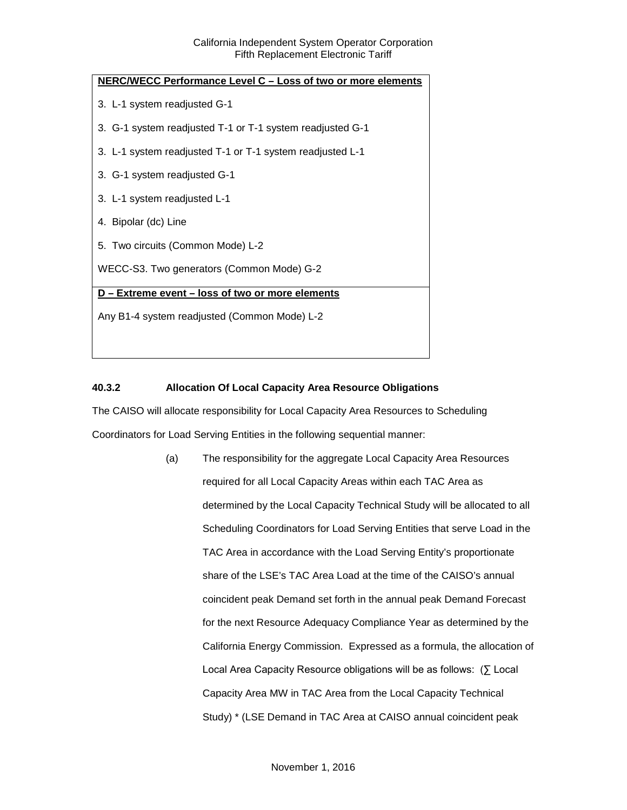| NERC/WECC Performance Level C - Loss of two or more elements |  |  |
|--------------------------------------------------------------|--|--|
| 3. L-1 system readjusted G-1                                 |  |  |
| 3. G-1 system readjusted T-1 or T-1 system readjusted G-1    |  |  |
| 3. L-1 system readjusted T-1 or T-1 system readjusted L-1    |  |  |
| 3. G-1 system readjusted G-1                                 |  |  |
| 3. L-1 system readjusted L-1                                 |  |  |
| 4. Bipolar (dc) Line                                         |  |  |
| 5. Two circuits (Common Mode) L-2                            |  |  |
| WECC-S3. Two generators (Common Mode) G-2                    |  |  |
| D - Extreme event - loss of two or more elements             |  |  |
| Any B1-4 system readjusted (Common Mode) L-2                 |  |  |
|                                                              |  |  |

## <span id="page-8-0"></span>**40.3.2 Allocation Of Local Capacity Area Resource Obligations**

The CAISO will allocate responsibility for Local Capacity Area Resources to Scheduling Coordinators for Load Serving Entities in the following sequential manner:

> (a) The responsibility for the aggregate Local Capacity Area Resources required for all Local Capacity Areas within each TAC Area as determined by the Local Capacity Technical Study will be allocated to all Scheduling Coordinators for Load Serving Entities that serve Load in the TAC Area in accordance with the Load Serving Entity's proportionate share of the LSE's TAC Area Load at the time of the CAISO's annual coincident peak Demand set forth in the annual peak Demand Forecast for the next Resource Adequacy Compliance Year as determined by the California Energy Commission. Expressed as a formula, the allocation of Local Area Capacity Resource obligations will be as follows: (∑ Local Capacity Area MW in TAC Area from the Local Capacity Technical Study) \* (LSE Demand in TAC Area at CAISO annual coincident peak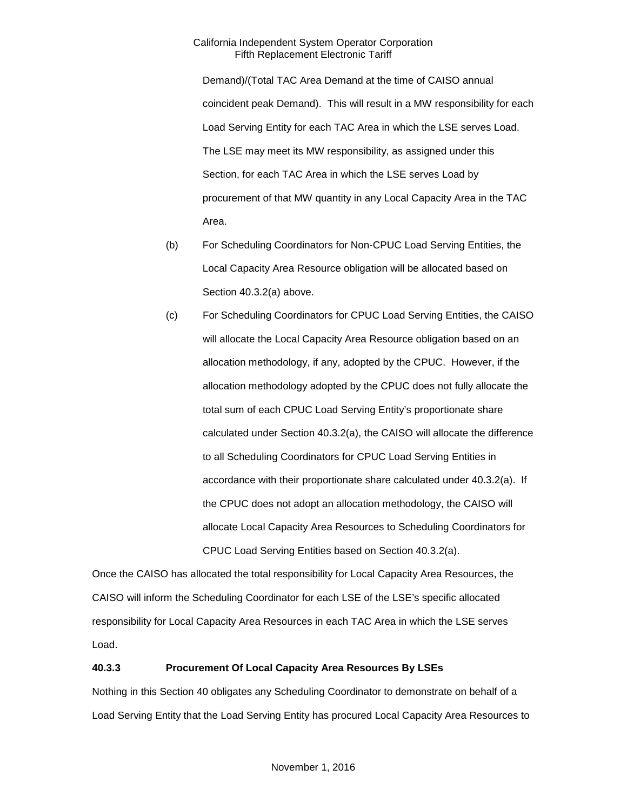Demand)/(Total TAC Area Demand at the time of CAISO annual coincident peak Demand). This will result in a MW responsibility for each Load Serving Entity for each TAC Area in which the LSE serves Load. The LSE may meet its MW responsibility, as assigned under this Section, for each TAC Area in which the LSE serves Load by procurement of that MW quantity in any Local Capacity Area in the TAC Area.

- (b) For Scheduling Coordinators for Non-CPUC Load Serving Entities, the Local Capacity Area Resource obligation will be allocated based on Section 40.3.2(a) above.
- (c) For Scheduling Coordinators for CPUC Load Serving Entities, the CAISO will allocate the Local Capacity Area Resource obligation based on an allocation methodology, if any, adopted by the CPUC. However, if the allocation methodology adopted by the CPUC does not fully allocate the total sum of each CPUC Load Serving Entity's proportionate share calculated under Section 40.3.2(a), the CAISO will allocate the difference to all Scheduling Coordinators for CPUC Load Serving Entities in accordance with their proportionate share calculated under 40.3.2(a). If the CPUC does not adopt an allocation methodology, the CAISO will allocate Local Capacity Area Resources to Scheduling Coordinators for CPUC Load Serving Entities based on Section 40.3.2(a).

Once the CAISO has allocated the total responsibility for Local Capacity Area Resources, the CAISO will inform the Scheduling Coordinator for each LSE of the LSE's specific allocated responsibility for Local Capacity Area Resources in each TAC Area in which the LSE serves Load.

#### <span id="page-9-0"></span>**40.3.3 Procurement Of Local Capacity Area Resources By LSEs**

Nothing in this Section 40 obligates any Scheduling Coordinator to demonstrate on behalf of a Load Serving Entity that the Load Serving Entity has procured Local Capacity Area Resources to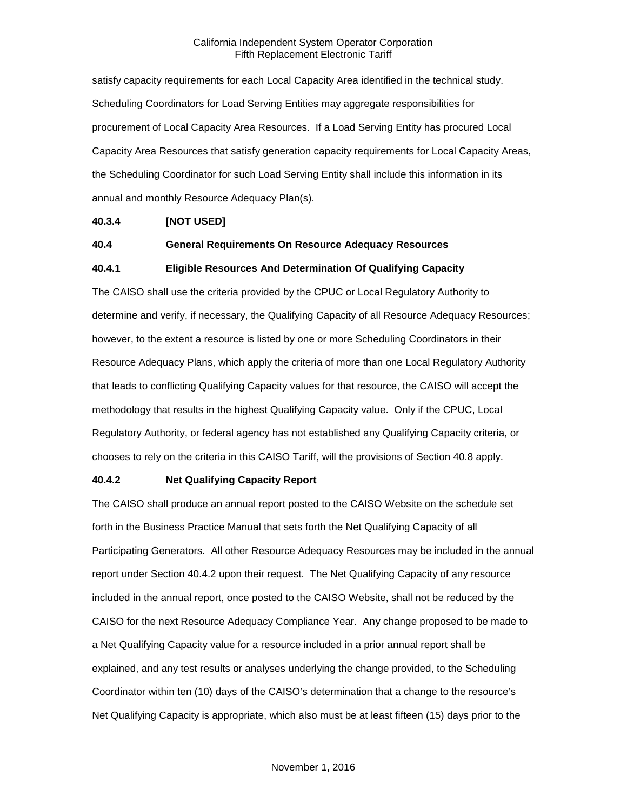satisfy capacity requirements for each Local Capacity Area identified in the technical study. Scheduling Coordinators for Load Serving Entities may aggregate responsibilities for procurement of Local Capacity Area Resources. If a Load Serving Entity has procured Local Capacity Area Resources that satisfy generation capacity requirements for Local Capacity Areas, the Scheduling Coordinator for such Load Serving Entity shall include this information in its annual and monthly Resource Adequacy Plan(s).

#### <span id="page-10-0"></span>**40.3.4 [NOT USED]**

#### <span id="page-10-1"></span>**40.4 General Requirements On Resource Adequacy Resources**

#### <span id="page-10-2"></span>**40.4.1 Eligible Resources And Determination Of Qualifying Capacity**

The CAISO shall use the criteria provided by the CPUC or Local Regulatory Authority to determine and verify, if necessary, the Qualifying Capacity of all Resource Adequacy Resources; however, to the extent a resource is listed by one or more Scheduling Coordinators in their Resource Adequacy Plans, which apply the criteria of more than one Local Regulatory Authority that leads to conflicting Qualifying Capacity values for that resource, the CAISO will accept the methodology that results in the highest Qualifying Capacity value. Only if the CPUC, Local Regulatory Authority, or federal agency has not established any Qualifying Capacity criteria, or chooses to rely on the criteria in this CAISO Tariff, will the provisions of Section 40.8 apply.

#### <span id="page-10-3"></span>**40.4.2 Net Qualifying Capacity Report**

The CAISO shall produce an annual report posted to the CAISO Website on the schedule set forth in the Business Practice Manual that sets forth the Net Qualifying Capacity of all Participating Generators. All other Resource Adequacy Resources may be included in the annual report under Section 40.4.2 upon their request. The Net Qualifying Capacity of any resource included in the annual report, once posted to the CAISO Website, shall not be reduced by the CAISO for the next Resource Adequacy Compliance Year. Any change proposed to be made to a Net Qualifying Capacity value for a resource included in a prior annual report shall be explained, and any test results or analyses underlying the change provided, to the Scheduling Coordinator within ten (10) days of the CAISO's determination that a change to the resource's Net Qualifying Capacity is appropriate, which also must be at least fifteen (15) days prior to the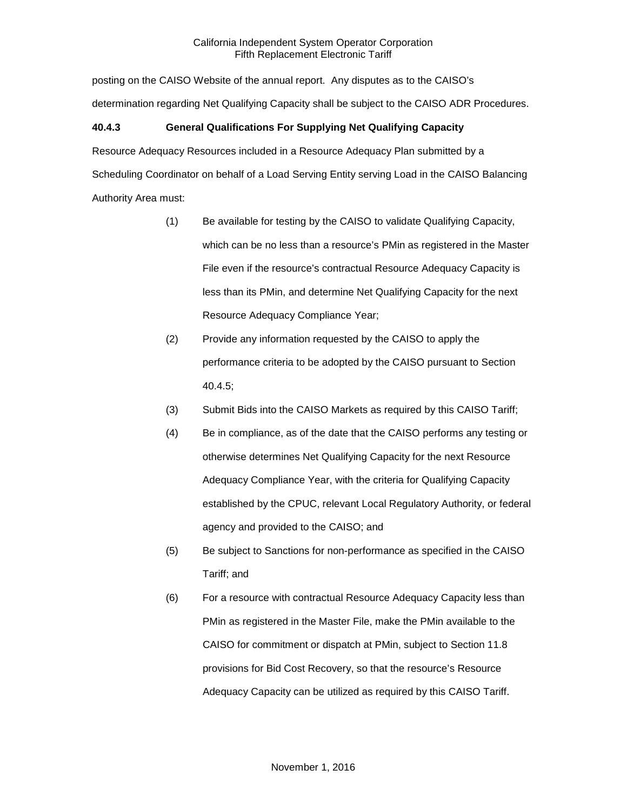posting on the CAISO Website of the annual report. Any disputes as to the CAISO's determination regarding Net Qualifying Capacity shall be subject to the CAISO ADR Procedures.

## <span id="page-11-0"></span>**40.4.3 General Qualifications For Supplying Net Qualifying Capacity**

Resource Adequacy Resources included in a Resource Adequacy Plan submitted by a Scheduling Coordinator on behalf of a Load Serving Entity serving Load in the CAISO Balancing Authority Area must:

- (1) Be available for testing by the CAISO to validate Qualifying Capacity, which can be no less than a resource's PMin as registered in the Master File even if the resource's contractual Resource Adequacy Capacity is less than its PMin, and determine Net Qualifying Capacity for the next Resource Adequacy Compliance Year;
- (2) Provide any information requested by the CAISO to apply the performance criteria to be adopted by the CAISO pursuant to Section 40.4.5;
- (3) Submit Bids into the CAISO Markets as required by this CAISO Tariff;
- (4) Be in compliance, as of the date that the CAISO performs any testing or otherwise determines Net Qualifying Capacity for the next Resource Adequacy Compliance Year, with the criteria for Qualifying Capacity established by the CPUC, relevant Local Regulatory Authority, or federal agency and provided to the CAISO; and
- (5) Be subject to Sanctions for non-performance as specified in the CAISO Tariff; and
- (6) For a resource with contractual Resource Adequacy Capacity less than PMin as registered in the Master File, make the PMin available to the CAISO for commitment or dispatch at PMin, subject to Section 11.8 provisions for Bid Cost Recovery, so that the resource's Resource Adequacy Capacity can be utilized as required by this CAISO Tariff.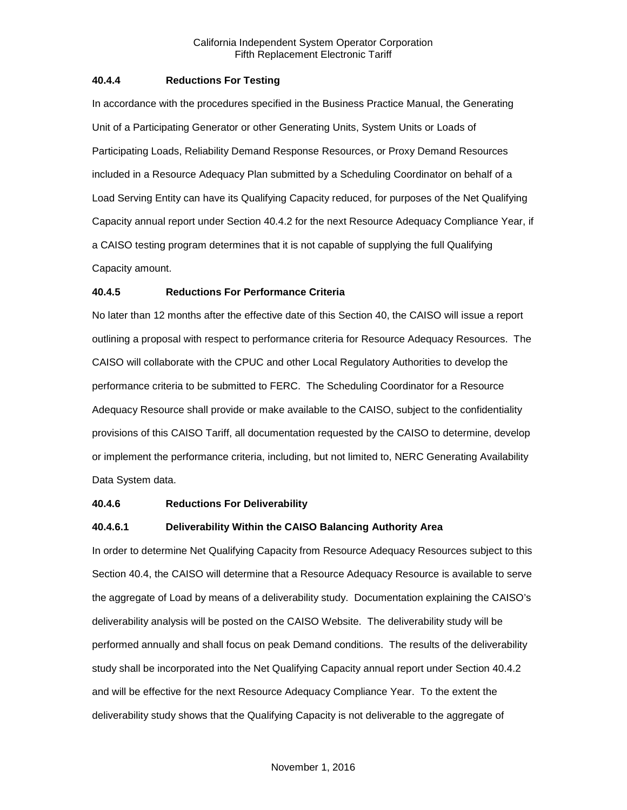#### <span id="page-12-0"></span>**40.4.4 Reductions For Testing**

In accordance with the procedures specified in the Business Practice Manual, the Generating Unit of a Participating Generator or other Generating Units, System Units or Loads of Participating Loads, Reliability Demand Response Resources, or Proxy Demand Resources included in a Resource Adequacy Plan submitted by a Scheduling Coordinator on behalf of a Load Serving Entity can have its Qualifying Capacity reduced, for purposes of the Net Qualifying Capacity annual report under Section 40.4.2 for the next Resource Adequacy Compliance Year, if a CAISO testing program determines that it is not capable of supplying the full Qualifying Capacity amount.

### <span id="page-12-1"></span>**40.4.5 Reductions For Performance Criteria**

No later than 12 months after the effective date of this Section 40, the CAISO will issue a report outlining a proposal with respect to performance criteria for Resource Adequacy Resources. The CAISO will collaborate with the CPUC and other Local Regulatory Authorities to develop the performance criteria to be submitted to FERC. The Scheduling Coordinator for a Resource Adequacy Resource shall provide or make available to the CAISO, subject to the confidentiality provisions of this CAISO Tariff, all documentation requested by the CAISO to determine, develop or implement the performance criteria, including, but not limited to, NERC Generating Availability Data System data.

#### <span id="page-12-2"></span>**40.4.6 Reductions For Deliverability**

#### **40.4.6.1 Deliverability Within the CAISO Balancing Authority Area**

In order to determine Net Qualifying Capacity from Resource Adequacy Resources subject to this Section 40.4, the CAISO will determine that a Resource Adequacy Resource is available to serve the aggregate of Load by means of a deliverability study. Documentation explaining the CAISO's deliverability analysis will be posted on the CAISO Website. The deliverability study will be performed annually and shall focus on peak Demand conditions. The results of the deliverability study shall be incorporated into the Net Qualifying Capacity annual report under Section 40.4.2 and will be effective for the next Resource Adequacy Compliance Year. To the extent the deliverability study shows that the Qualifying Capacity is not deliverable to the aggregate of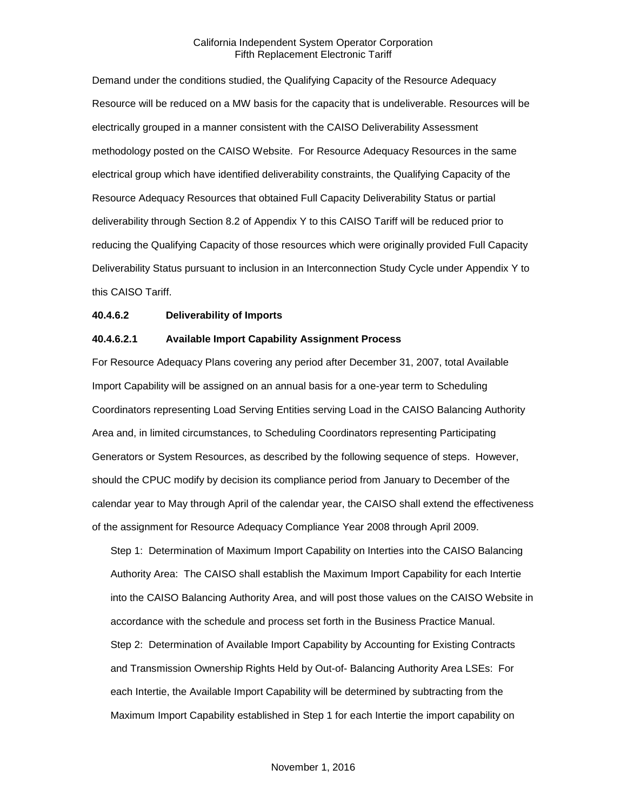Demand under the conditions studied, the Qualifying Capacity of the Resource Adequacy Resource will be reduced on a MW basis for the capacity that is undeliverable. Resources will be electrically grouped in a manner consistent with the CAISO Deliverability Assessment methodology posted on the CAISO Website. For Resource Adequacy Resources in the same electrical group which have identified deliverability constraints, the Qualifying Capacity of the Resource Adequacy Resources that obtained Full Capacity Deliverability Status or partial deliverability through Section 8.2 of Appendix Y to this CAISO Tariff will be reduced prior to reducing the Qualifying Capacity of those resources which were originally provided Full Capacity Deliverability Status pursuant to inclusion in an Interconnection Study Cycle under Appendix Y to this CAISO Tariff.

#### **40.4.6.2 Deliverability of Imports**

#### **40.4.6.2.1 Available Import Capability Assignment Process**

For Resource Adequacy Plans covering any period after December 31, 2007, total Available Import Capability will be assigned on an annual basis for a one-year term to Scheduling Coordinators representing Load Serving Entities serving Load in the CAISO Balancing Authority Area and, in limited circumstances, to Scheduling Coordinators representing Participating Generators or System Resources, as described by the following sequence of steps. However, should the CPUC modify by decision its compliance period from January to December of the calendar year to May through April of the calendar year, the CAISO shall extend the effectiveness of the assignment for Resource Adequacy Compliance Year 2008 through April 2009.

Step 1: Determination of Maximum Import Capability on Interties into the CAISO Balancing Authority Area: The CAISO shall establish the Maximum Import Capability for each Intertie into the CAISO Balancing Authority Area, and will post those values on the CAISO Website in accordance with the schedule and process set forth in the Business Practice Manual. Step 2: Determination of Available Import Capability by Accounting for Existing Contracts and Transmission Ownership Rights Held by Out-of- Balancing Authority Area LSEs: For each Intertie, the Available Import Capability will be determined by subtracting from the Maximum Import Capability established in Step 1 for each Intertie the import capability on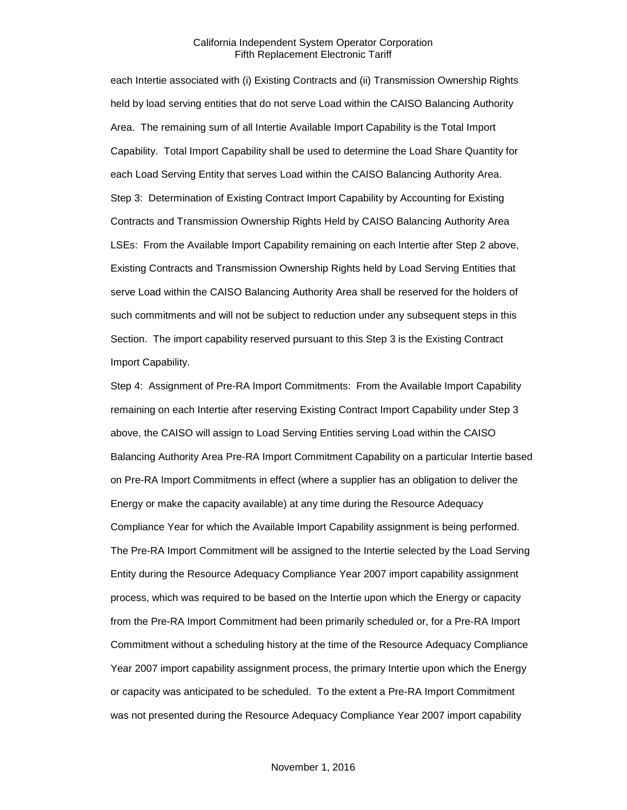each Intertie associated with (i) Existing Contracts and (ii) Transmission Ownership Rights held by load serving entities that do not serve Load within the CAISO Balancing Authority Area. The remaining sum of all Intertie Available Import Capability is the Total Import Capability. Total Import Capability shall be used to determine the Load Share Quantity for each Load Serving Entity that serves Load within the CAISO Balancing Authority Area. Step 3: Determination of Existing Contract Import Capability by Accounting for Existing Contracts and Transmission Ownership Rights Held by CAISO Balancing Authority Area LSEs: From the Available Import Capability remaining on each Intertie after Step 2 above, Existing Contracts and Transmission Ownership Rights held by Load Serving Entities that serve Load within the CAISO Balancing Authority Area shall be reserved for the holders of such commitments and will not be subject to reduction under any subsequent steps in this Section. The import capability reserved pursuant to this Step 3 is the Existing Contract Import Capability.

Step 4: Assignment of Pre-RA Import Commitments: From the Available Import Capability remaining on each Intertie after reserving Existing Contract Import Capability under Step 3 above, the CAISO will assign to Load Serving Entities serving Load within the CAISO Balancing Authority Area Pre-RA Import Commitment Capability on a particular Intertie based on Pre-RA Import Commitments in effect (where a supplier has an obligation to deliver the Energy or make the capacity available) at any time during the Resource Adequacy Compliance Year for which the Available Import Capability assignment is being performed. The Pre-RA Import Commitment will be assigned to the Intertie selected by the Load Serving Entity during the Resource Adequacy Compliance Year 2007 import capability assignment process, which was required to be based on the Intertie upon which the Energy or capacity from the Pre-RA Import Commitment had been primarily scheduled or, for a Pre-RA Import Commitment without a scheduling history at the time of the Resource Adequacy Compliance Year 2007 import capability assignment process, the primary Intertie upon which the Energy or capacity was anticipated to be scheduled. To the extent a Pre-RA Import Commitment was not presented during the Resource Adequacy Compliance Year 2007 import capability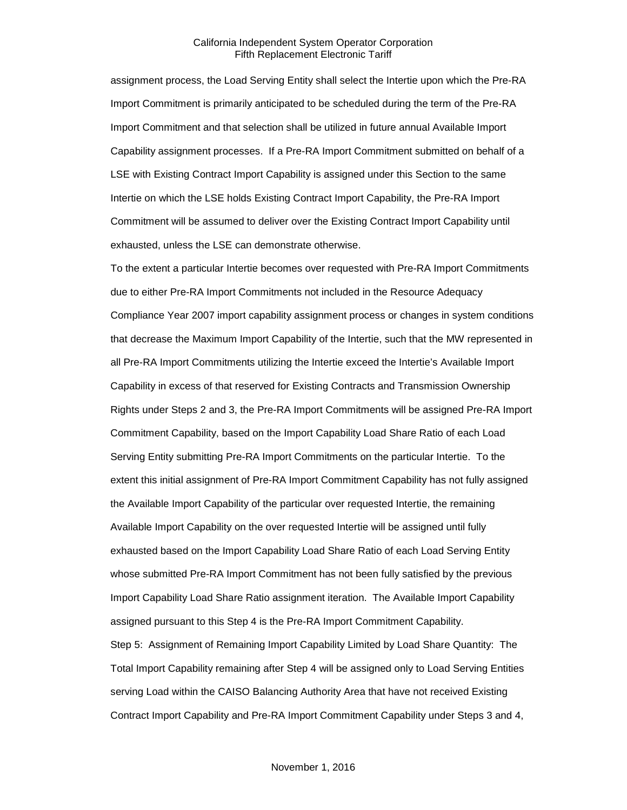assignment process, the Load Serving Entity shall select the Intertie upon which the Pre-RA Import Commitment is primarily anticipated to be scheduled during the term of the Pre-RA Import Commitment and that selection shall be utilized in future annual Available Import Capability assignment processes. If a Pre-RA Import Commitment submitted on behalf of a LSE with Existing Contract Import Capability is assigned under this Section to the same Intertie on which the LSE holds Existing Contract Import Capability, the Pre-RA Import Commitment will be assumed to deliver over the Existing Contract Import Capability until exhausted, unless the LSE can demonstrate otherwise.

To the extent a particular Intertie becomes over requested with Pre-RA Import Commitments due to either Pre-RA Import Commitments not included in the Resource Adequacy Compliance Year 2007 import capability assignment process or changes in system conditions that decrease the Maximum Import Capability of the Intertie, such that the MW represented in all Pre-RA Import Commitments utilizing the Intertie exceed the Intertie's Available Import Capability in excess of that reserved for Existing Contracts and Transmission Ownership Rights under Steps 2 and 3, the Pre-RA Import Commitments will be assigned Pre-RA Import Commitment Capability, based on the Import Capability Load Share Ratio of each Load Serving Entity submitting Pre-RA Import Commitments on the particular Intertie. To the extent this initial assignment of Pre-RA Import Commitment Capability has not fully assigned the Available Import Capability of the particular over requested Intertie, the remaining Available Import Capability on the over requested Intertie will be assigned until fully exhausted based on the Import Capability Load Share Ratio of each Load Serving Entity whose submitted Pre-RA Import Commitment has not been fully satisfied by the previous Import Capability Load Share Ratio assignment iteration. The Available Import Capability assigned pursuant to this Step 4 is the Pre-RA Import Commitment Capability. Step 5: Assignment of Remaining Import Capability Limited by Load Share Quantity: The Total Import Capability remaining after Step 4 will be assigned only to Load Serving Entities serving Load within the CAISO Balancing Authority Area that have not received Existing Contract Import Capability and Pre-RA Import Commitment Capability under Steps 3 and 4,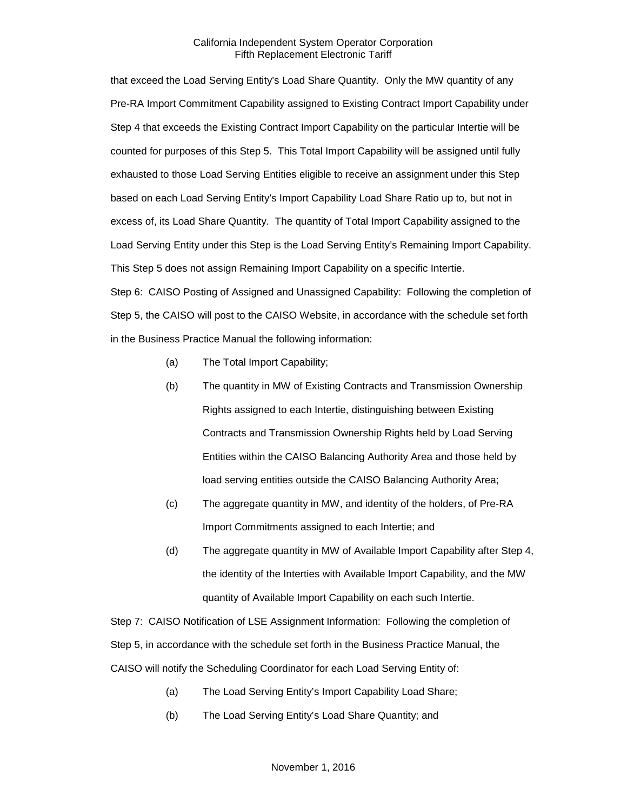that exceed the Load Serving Entity's Load Share Quantity. Only the MW quantity of any Pre-RA Import Commitment Capability assigned to Existing Contract Import Capability under Step 4 that exceeds the Existing Contract Import Capability on the particular Intertie will be counted for purposes of this Step 5. This Total Import Capability will be assigned until fully exhausted to those Load Serving Entities eligible to receive an assignment under this Step based on each Load Serving Entity's Import Capability Load Share Ratio up to, but not in excess of, its Load Share Quantity. The quantity of Total Import Capability assigned to the Load Serving Entity under this Step is the Load Serving Entity's Remaining Import Capability. This Step 5 does not assign Remaining Import Capability on a specific Intertie.

Step 6: CAISO Posting of Assigned and Unassigned Capability: Following the completion of Step 5, the CAISO will post to the CAISO Website, in accordance with the schedule set forth in the Business Practice Manual the following information:

- (a) The Total Import Capability;
- (b) The quantity in MW of Existing Contracts and Transmission Ownership Rights assigned to each Intertie, distinguishing between Existing Contracts and Transmission Ownership Rights held by Load Serving Entities within the CAISO Balancing Authority Area and those held by load serving entities outside the CAISO Balancing Authority Area;
- (c) The aggregate quantity in MW, and identity of the holders, of Pre-RA Import Commitments assigned to each Intertie; and
- (d) The aggregate quantity in MW of Available Import Capability after Step 4, the identity of the Interties with Available Import Capability, and the MW quantity of Available Import Capability on each such Intertie.

Step 7: CAISO Notification of LSE Assignment Information: Following the completion of Step 5, in accordance with the schedule set forth in the Business Practice Manual, the CAISO will notify the Scheduling Coordinator for each Load Serving Entity of:

- (a) The Load Serving Entity's Import Capability Load Share;
- (b) The Load Serving Entity's Load Share Quantity; and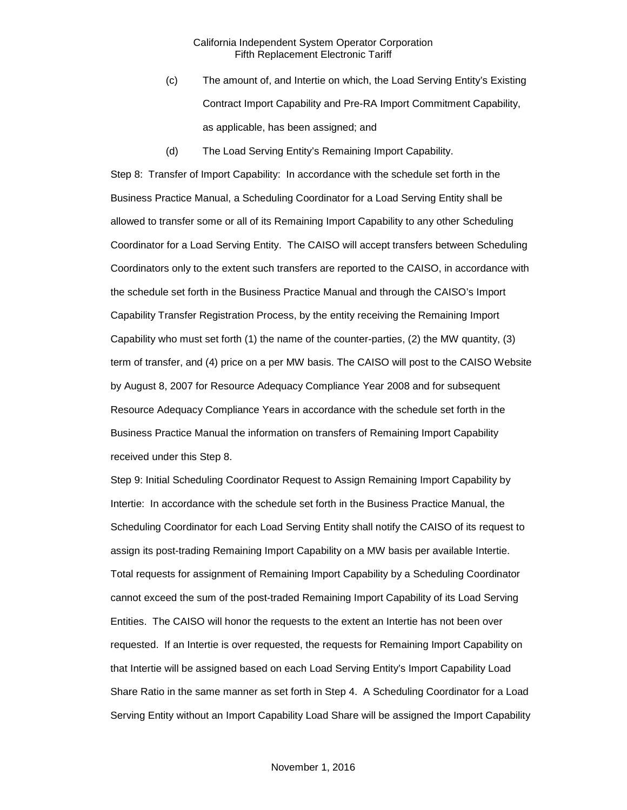- (c) The amount of, and Intertie on which, the Load Serving Entity's Existing Contract Import Capability and Pre-RA Import Commitment Capability, as applicable, has been assigned; and
- (d) The Load Serving Entity's Remaining Import Capability.

Step 8: Transfer of Import Capability: In accordance with the schedule set forth in the Business Practice Manual, a Scheduling Coordinator for a Load Serving Entity shall be allowed to transfer some or all of its Remaining Import Capability to any other Scheduling Coordinator for a Load Serving Entity. The CAISO will accept transfers between Scheduling Coordinators only to the extent such transfers are reported to the CAISO, in accordance with the schedule set forth in the Business Practice Manual and through the CAISO's Import Capability Transfer Registration Process, by the entity receiving the Remaining Import Capability who must set forth (1) the name of the counter-parties, (2) the MW quantity, (3) term of transfer, and (4) price on a per MW basis. The CAISO will post to the CAISO Website by August 8, 2007 for Resource Adequacy Compliance Year 2008 and for subsequent Resource Adequacy Compliance Years in accordance with the schedule set forth in the Business Practice Manual the information on transfers of Remaining Import Capability received under this Step 8.

Step 9: Initial Scheduling Coordinator Request to Assign Remaining Import Capability by Intertie: In accordance with the schedule set forth in the Business Practice Manual, the Scheduling Coordinator for each Load Serving Entity shall notify the CAISO of its request to assign its post-trading Remaining Import Capability on a MW basis per available Intertie. Total requests for assignment of Remaining Import Capability by a Scheduling Coordinator cannot exceed the sum of the post-traded Remaining Import Capability of its Load Serving Entities. The CAISO will honor the requests to the extent an Intertie has not been over requested. If an Intertie is over requested, the requests for Remaining Import Capability on that Intertie will be assigned based on each Load Serving Entity's Import Capability Load Share Ratio in the same manner as set forth in Step 4. A Scheduling Coordinator for a Load Serving Entity without an Import Capability Load Share will be assigned the Import Capability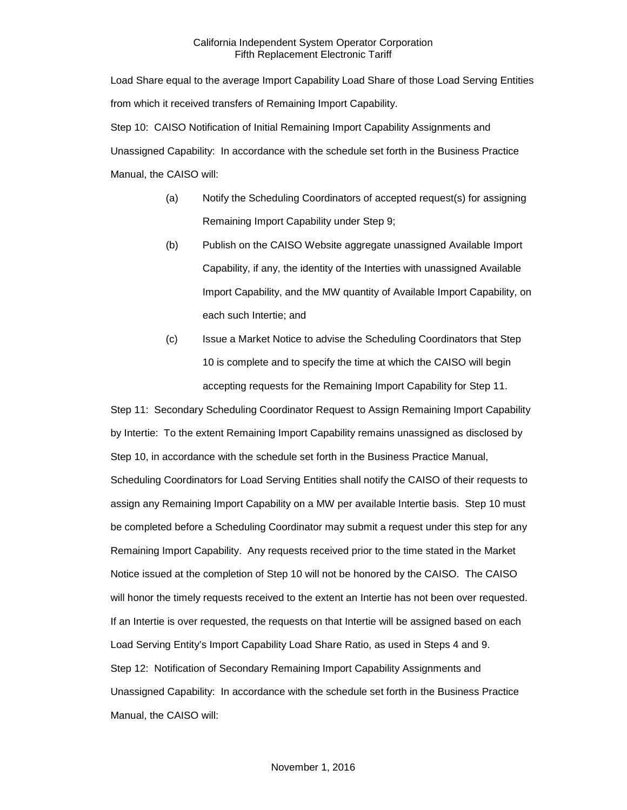Load Share equal to the average Import Capability Load Share of those Load Serving Entities from which it received transfers of Remaining Import Capability. Step 10: CAISO Notification of Initial Remaining Import Capability Assignments and Unassigned Capability: In accordance with the schedule set forth in the Business Practice Manual, the CAISO will:

- (a) Notify the Scheduling Coordinators of accepted request(s) for assigning Remaining Import Capability under Step 9;
- (b) Publish on the CAISO Website aggregate unassigned Available Import Capability, if any, the identity of the Interties with unassigned Available Import Capability, and the MW quantity of Available Import Capability, on each such Intertie; and
- (c) Issue a Market Notice to advise the Scheduling Coordinators that Step 10 is complete and to specify the time at which the CAISO will begin accepting requests for the Remaining Import Capability for Step 11.

Step 11: Secondary Scheduling Coordinator Request to Assign Remaining Import Capability by Intertie: To the extent Remaining Import Capability remains unassigned as disclosed by Step 10, in accordance with the schedule set forth in the Business Practice Manual, Scheduling Coordinators for Load Serving Entities shall notify the CAISO of their requests to assign any Remaining Import Capability on a MW per available Intertie basis. Step 10 must be completed before a Scheduling Coordinator may submit a request under this step for any Remaining Import Capability. Any requests received prior to the time stated in the Market Notice issued at the completion of Step 10 will not be honored by the CAISO. The CAISO will honor the timely requests received to the extent an Intertie has not been over requested. If an Intertie is over requested, the requests on that Intertie will be assigned based on each Load Serving Entity's Import Capability Load Share Ratio, as used in Steps 4 and 9. Step 12: Notification of Secondary Remaining Import Capability Assignments and Unassigned Capability: In accordance with the schedule set forth in the Business Practice Manual, the CAISO will: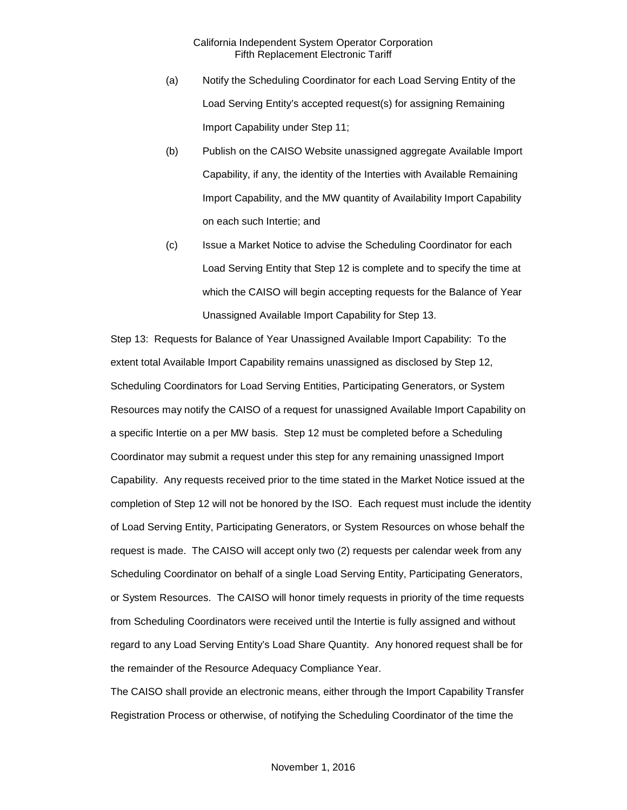- (a) Notify the Scheduling Coordinator for each Load Serving Entity of the Load Serving Entity's accepted request(s) for assigning Remaining Import Capability under Step 11;
- (b) Publish on the CAISO Website unassigned aggregate Available Import Capability, if any, the identity of the Interties with Available Remaining Import Capability, and the MW quantity of Availability Import Capability on each such Intertie; and
- (c) Issue a Market Notice to advise the Scheduling Coordinator for each Load Serving Entity that Step 12 is complete and to specify the time at which the CAISO will begin accepting requests for the Balance of Year Unassigned Available Import Capability for Step 13.

Step 13: Requests for Balance of Year Unassigned Available Import Capability: To the extent total Available Import Capability remains unassigned as disclosed by Step 12, Scheduling Coordinators for Load Serving Entities, Participating Generators, or System Resources may notify the CAISO of a request for unassigned Available Import Capability on a specific Intertie on a per MW basis. Step 12 must be completed before a Scheduling Coordinator may submit a request under this step for any remaining unassigned Import Capability. Any requests received prior to the time stated in the Market Notice issued at the completion of Step 12 will not be honored by the ISO. Each request must include the identity of Load Serving Entity, Participating Generators, or System Resources on whose behalf the request is made. The CAISO will accept only two (2) requests per calendar week from any Scheduling Coordinator on behalf of a single Load Serving Entity, Participating Generators, or System Resources. The CAISO will honor timely requests in priority of the time requests from Scheduling Coordinators were received until the Intertie is fully assigned and without regard to any Load Serving Entity's Load Share Quantity. Any honored request shall be for the remainder of the Resource Adequacy Compliance Year.

The CAISO shall provide an electronic means, either through the Import Capability Transfer Registration Process or otherwise, of notifying the Scheduling Coordinator of the time the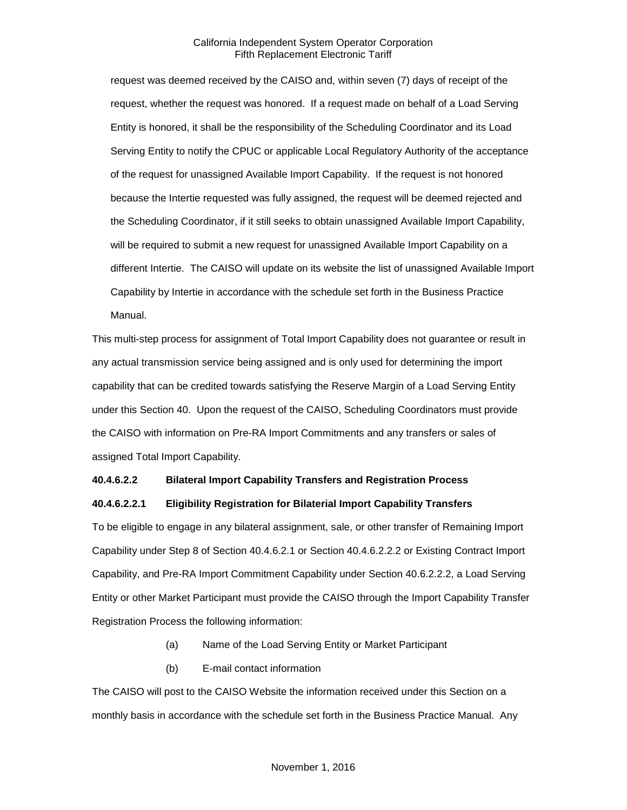request was deemed received by the CAISO and, within seven (7) days of receipt of the request, whether the request was honored. If a request made on behalf of a Load Serving Entity is honored, it shall be the responsibility of the Scheduling Coordinator and its Load Serving Entity to notify the CPUC or applicable Local Regulatory Authority of the acceptance of the request for unassigned Available Import Capability. If the request is not honored because the Intertie requested was fully assigned, the request will be deemed rejected and the Scheduling Coordinator, if it still seeks to obtain unassigned Available Import Capability, will be required to submit a new request for unassigned Available Import Capability on a different Intertie. The CAISO will update on its website the list of unassigned Available Import Capability by Intertie in accordance with the schedule set forth in the Business Practice Manual.

This multi-step process for assignment of Total Import Capability does not guarantee or result in any actual transmission service being assigned and is only used for determining the import capability that can be credited towards satisfying the Reserve Margin of a Load Serving Entity under this Section 40. Upon the request of the CAISO, Scheduling Coordinators must provide the CAISO with information on Pre-RA Import Commitments and any transfers or sales of assigned Total Import Capability.

#### **40.4.6.2.2 Bilateral Import Capability Transfers and Registration Process**

#### **40.4.6.2.2.1 Eligibility Registration for Bilaterial Import Capability Transfers**

To be eligible to engage in any bilateral assignment, sale, or other transfer of Remaining Import Capability under Step 8 of Section 40.4.6.2.1 or Section 40.4.6.2.2.2 or Existing Contract Import Capability, and Pre-RA Import Commitment Capability under Section 40.6.2.2.2, a Load Serving Entity or other Market Participant must provide the CAISO through the Import Capability Transfer Registration Process the following information:

- (a) Name of the Load Serving Entity or Market Participant
- (b) E-mail contact information

The CAISO will post to the CAISO Website the information received under this Section on a monthly basis in accordance with the schedule set forth in the Business Practice Manual. Any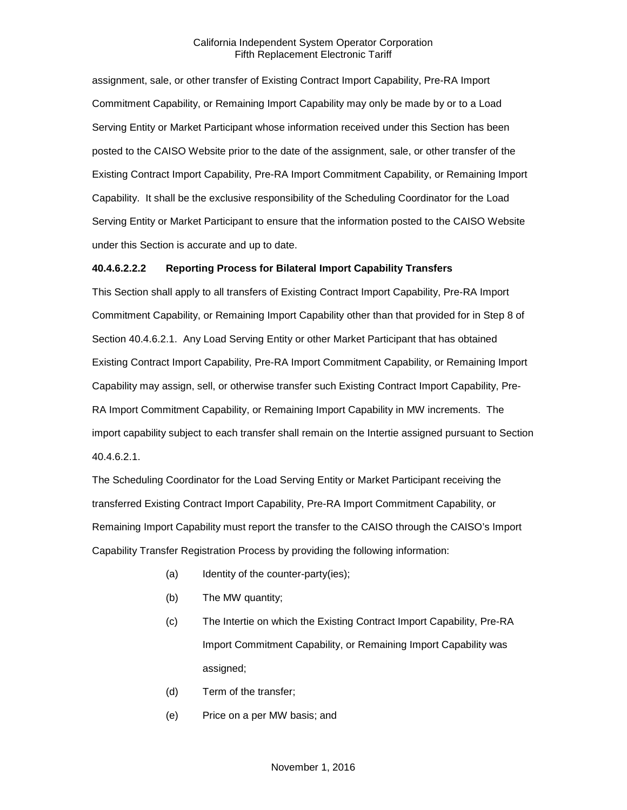assignment, sale, or other transfer of Existing Contract Import Capability, Pre-RA Import Commitment Capability, or Remaining Import Capability may only be made by or to a Load Serving Entity or Market Participant whose information received under this Section has been posted to the CAISO Website prior to the date of the assignment, sale, or other transfer of the Existing Contract Import Capability, Pre-RA Import Commitment Capability, or Remaining Import Capability. It shall be the exclusive responsibility of the Scheduling Coordinator for the Load Serving Entity or Market Participant to ensure that the information posted to the CAISO Website under this Section is accurate and up to date.

#### **40.4.6.2.2.2 Reporting Process for Bilateral Import Capability Transfers**

This Section shall apply to all transfers of Existing Contract Import Capability, Pre-RA Import Commitment Capability, or Remaining Import Capability other than that provided for in Step 8 of Section 40.4.6.2.1. Any Load Serving Entity or other Market Participant that has obtained Existing Contract Import Capability, Pre-RA Import Commitment Capability, or Remaining Import Capability may assign, sell, or otherwise transfer such Existing Contract Import Capability, Pre-RA Import Commitment Capability, or Remaining Import Capability in MW increments. The import capability subject to each transfer shall remain on the Intertie assigned pursuant to Section 40.4.6.2.1.

The Scheduling Coordinator for the Load Serving Entity or Market Participant receiving the transferred Existing Contract Import Capability, Pre-RA Import Commitment Capability, or Remaining Import Capability must report the transfer to the CAISO through the CAISO's Import Capability Transfer Registration Process by providing the following information:

- (a) Identity of the counter-party(ies);
- (b) The MW quantity;
- (c) The Intertie on which the Existing Contract Import Capability, Pre-RA Import Commitment Capability, or Remaining Import Capability was assigned;
- (d) Term of the transfer;
- (e) Price on a per MW basis; and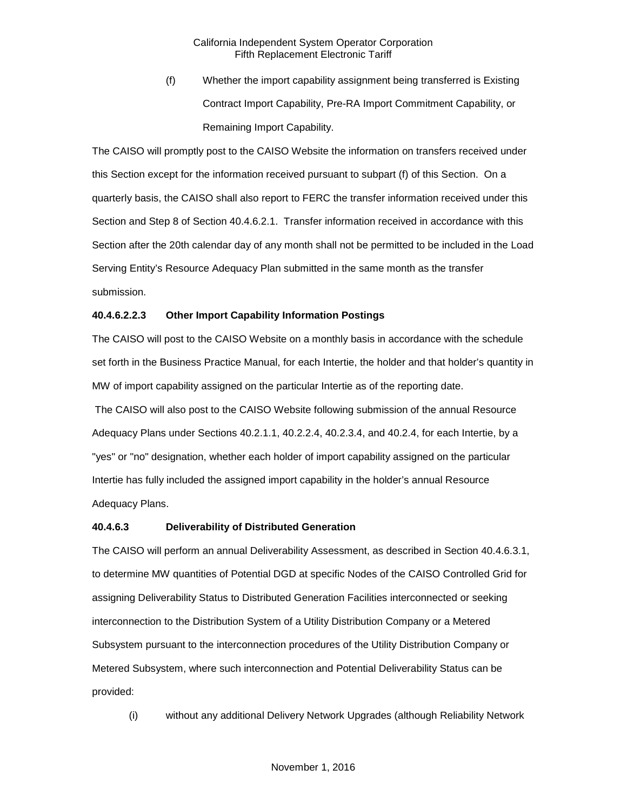(f) Whether the import capability assignment being transferred is Existing Contract Import Capability, Pre-RA Import Commitment Capability, or Remaining Import Capability.

The CAISO will promptly post to the CAISO Website the information on transfers received under this Section except for the information received pursuant to subpart (f) of this Section. On a quarterly basis, the CAISO shall also report to FERC the transfer information received under this Section and Step 8 of Section 40.4.6.2.1. Transfer information received in accordance with this Section after the 20th calendar day of any month shall not be permitted to be included in the Load Serving Entity's Resource Adequacy Plan submitted in the same month as the transfer submission.

#### **40.4.6.2.2.3 Other Import Capability Information Postings**

The CAISO will post to the CAISO Website on a monthly basis in accordance with the schedule set forth in the Business Practice Manual, for each Intertie, the holder and that holder's quantity in MW of import capability assigned on the particular Intertie as of the reporting date.

The CAISO will also post to the CAISO Website following submission of the annual Resource Adequacy Plans under Sections 40.2.1.1, 40.2.2.4, 40.2.3.4, and 40.2.4, for each Intertie, by a "yes" or "no" designation, whether each holder of import capability assigned on the particular Intertie has fully included the assigned import capability in the holder's annual Resource Adequacy Plans.

#### **40.4.6.3 Deliverability of Distributed Generation**

The CAISO will perform an annual Deliverability Assessment, as described in Section 40.4.6.3.1, to determine MW quantities of Potential DGD at specific Nodes of the CAISO Controlled Grid for assigning Deliverability Status to Distributed Generation Facilities interconnected or seeking interconnection to the Distribution System of a Utility Distribution Company or a Metered Subsystem pursuant to the interconnection procedures of the Utility Distribution Company or Metered Subsystem, where such interconnection and Potential Deliverability Status can be provided:

(i) without any additional Delivery Network Upgrades (although Reliability Network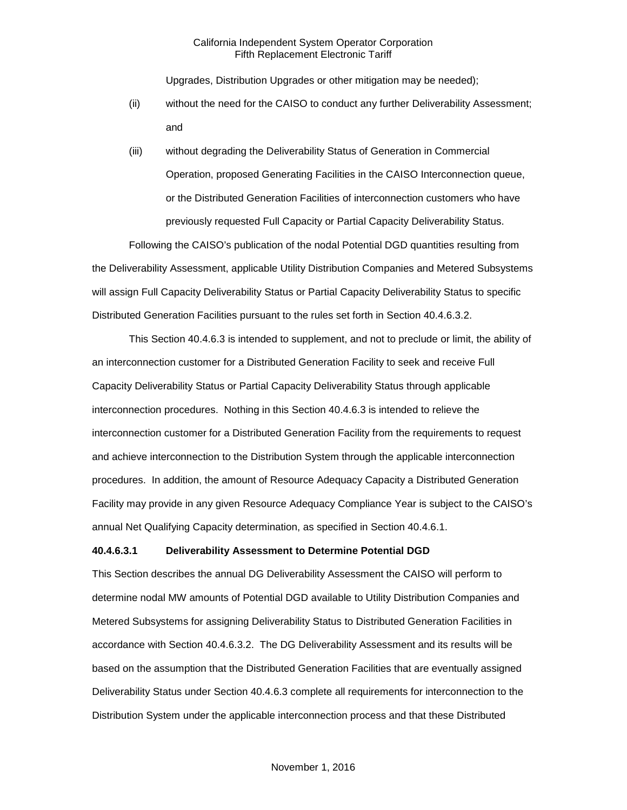Upgrades, Distribution Upgrades or other mitigation may be needed);

- (ii) without the need for the CAISO to conduct any further Deliverability Assessment; and
- (iii) without degrading the Deliverability Status of Generation in Commercial Operation, proposed Generating Facilities in the CAISO Interconnection queue, or the Distributed Generation Facilities of interconnection customers who have previously requested Full Capacity or Partial Capacity Deliverability Status.

Following the CAISO's publication of the nodal Potential DGD quantities resulting from the Deliverability Assessment, applicable Utility Distribution Companies and Metered Subsystems will assign Full Capacity Deliverability Status or Partial Capacity Deliverability Status to specific Distributed Generation Facilities pursuant to the rules set forth in Section 40.4.6.3.2.

This Section 40.4.6.3 is intended to supplement, and not to preclude or limit, the ability of an interconnection customer for a Distributed Generation Facility to seek and receive Full Capacity Deliverability Status or Partial Capacity Deliverability Status through applicable interconnection procedures. Nothing in this Section 40.4.6.3 is intended to relieve the interconnection customer for a Distributed Generation Facility from the requirements to request and achieve interconnection to the Distribution System through the applicable interconnection procedures. In addition, the amount of Resource Adequacy Capacity a Distributed Generation Facility may provide in any given Resource Adequacy Compliance Year is subject to the CAISO's annual Net Qualifying Capacity determination, as specified in Section 40.4.6.1.

#### **40.4.6.3.1 Deliverability Assessment to Determine Potential DGD**

This Section describes the annual DG Deliverability Assessment the CAISO will perform to determine nodal MW amounts of Potential DGD available to Utility Distribution Companies and Metered Subsystems for assigning Deliverability Status to Distributed Generation Facilities in accordance with Section 40.4.6.3.2. The DG Deliverability Assessment and its results will be based on the assumption that the Distributed Generation Facilities that are eventually assigned Deliverability Status under Section 40.4.6.3 complete all requirements for interconnection to the Distribution System under the applicable interconnection process and that these Distributed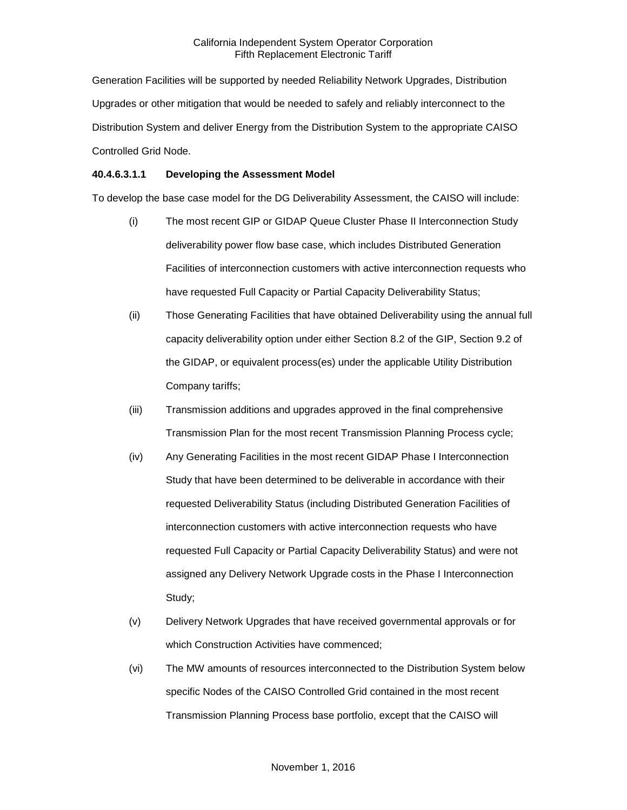Generation Facilities will be supported by needed Reliability Network Upgrades, Distribution Upgrades or other mitigation that would be needed to safely and reliably interconnect to the Distribution System and deliver Energy from the Distribution System to the appropriate CAISO Controlled Grid Node.

#### **40.4.6.3.1.1 Developing the Assessment Model**

To develop the base case model for the DG Deliverability Assessment, the CAISO will include:

- (i) The most recent GIP or GIDAP Queue Cluster Phase II Interconnection Study deliverability power flow base case, which includes Distributed Generation Facilities of interconnection customers with active interconnection requests who have requested Full Capacity or Partial Capacity Deliverability Status;
- (ii) Those Generating Facilities that have obtained Deliverability using the annual full capacity deliverability option under either Section 8.2 of the GIP, Section 9.2 of the GIDAP, or equivalent process(es) under the applicable Utility Distribution Company tariffs;
- (iii) Transmission additions and upgrades approved in the final comprehensive Transmission Plan for the most recent Transmission Planning Process cycle;
- (iv) Any Generating Facilities in the most recent GIDAP Phase I Interconnection Study that have been determined to be deliverable in accordance with their requested Deliverability Status (including Distributed Generation Facilities of interconnection customers with active interconnection requests who have requested Full Capacity or Partial Capacity Deliverability Status) and were not assigned any Delivery Network Upgrade costs in the Phase I Interconnection Study;
- (v) Delivery Network Upgrades that have received governmental approvals or for which Construction Activities have commenced;
- (vi) The MW amounts of resources interconnected to the Distribution System below specific Nodes of the CAISO Controlled Grid contained in the most recent Transmission Planning Process base portfolio, except that the CAISO will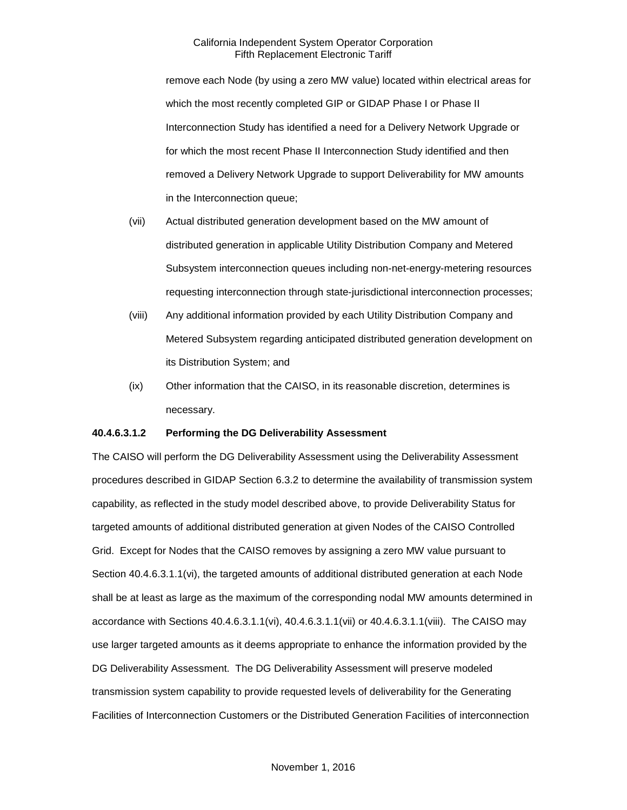remove each Node (by using a zero MW value) located within electrical areas for which the most recently completed GIP or GIDAP Phase I or Phase II Interconnection Study has identified a need for a Delivery Network Upgrade or for which the most recent Phase II Interconnection Study identified and then removed a Delivery Network Upgrade to support Deliverability for MW amounts in the Interconnection queue;

- (vii) Actual distributed generation development based on the MW amount of distributed generation in applicable Utility Distribution Company and Metered Subsystem interconnection queues including non-net-energy-metering resources requesting interconnection through state-jurisdictional interconnection processes;
- (viii) Any additional information provided by each Utility Distribution Company and Metered Subsystem regarding anticipated distributed generation development on its Distribution System; and
- (ix) Other information that the CAISO, in its reasonable discretion, determines is necessary.

#### **40.4.6.3.1.2 Performing the DG Deliverability Assessment**

The CAISO will perform the DG Deliverability Assessment using the Deliverability Assessment procedures described in GIDAP Section 6.3.2 to determine the availability of transmission system capability, as reflected in the study model described above, to provide Deliverability Status for targeted amounts of additional distributed generation at given Nodes of the CAISO Controlled Grid. Except for Nodes that the CAISO removes by assigning a zero MW value pursuant to Section 40.4.6.3.1.1(vi), the targeted amounts of additional distributed generation at each Node shall be at least as large as the maximum of the corresponding nodal MW amounts determined in accordance with Sections 40.4.6.3.1.1(vi), 40.4.6.3.1.1(vii) or 40.4.6.3.1.1(viii). The CAISO may use larger targeted amounts as it deems appropriate to enhance the information provided by the DG Deliverability Assessment. The DG Deliverability Assessment will preserve modeled transmission system capability to provide requested levels of deliverability for the Generating Facilities of Interconnection Customers or the Distributed Generation Facilities of interconnection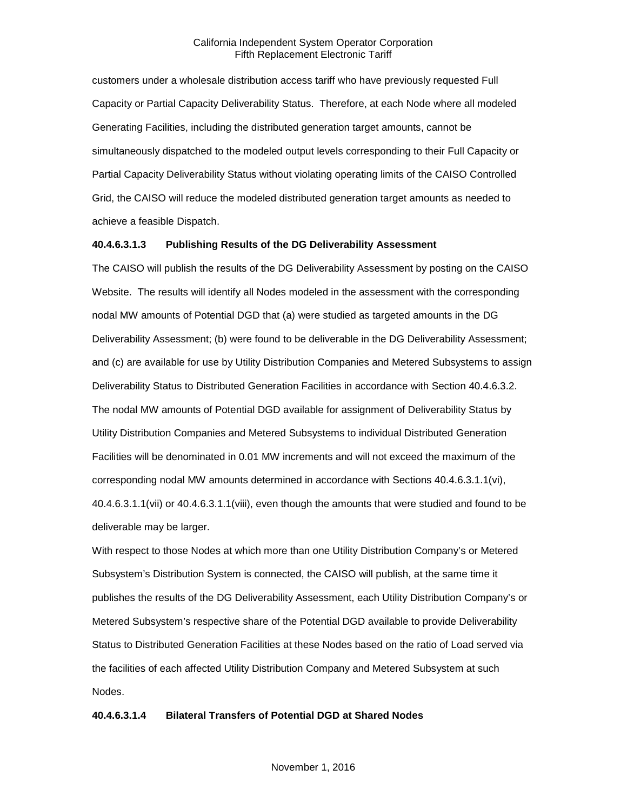customers under a wholesale distribution access tariff who have previously requested Full Capacity or Partial Capacity Deliverability Status. Therefore, at each Node where all modeled Generating Facilities, including the distributed generation target amounts, cannot be simultaneously dispatched to the modeled output levels corresponding to their Full Capacity or Partial Capacity Deliverability Status without violating operating limits of the CAISO Controlled Grid, the CAISO will reduce the modeled distributed generation target amounts as needed to achieve a feasible Dispatch.

#### **40.4.6.3.1.3 Publishing Results of the DG Deliverability Assessment**

The CAISO will publish the results of the DG Deliverability Assessment by posting on the CAISO Website. The results will identify all Nodes modeled in the assessment with the corresponding nodal MW amounts of Potential DGD that (a) were studied as targeted amounts in the DG Deliverability Assessment; (b) were found to be deliverable in the DG Deliverability Assessment; and (c) are available for use by Utility Distribution Companies and Metered Subsystems to assign Deliverability Status to Distributed Generation Facilities in accordance with Section 40.4.6.3.2. The nodal MW amounts of Potential DGD available for assignment of Deliverability Status by Utility Distribution Companies and Metered Subsystems to individual Distributed Generation Facilities will be denominated in 0.01 MW increments and will not exceed the maximum of the corresponding nodal MW amounts determined in accordance with Sections 40.4.6.3.1.1(vi), 40.4.6.3.1.1(vii) or 40.4.6.3.1.1(viii), even though the amounts that were studied and found to be deliverable may be larger.

With respect to those Nodes at which more than one Utility Distribution Company's or Metered Subsystem's Distribution System is connected, the CAISO will publish, at the same time it publishes the results of the DG Deliverability Assessment, each Utility Distribution Company's or Metered Subsystem's respective share of the Potential DGD available to provide Deliverability Status to Distributed Generation Facilities at these Nodes based on the ratio of Load served via the facilities of each affected Utility Distribution Company and Metered Subsystem at such Nodes.

#### **40.4.6.3.1.4 Bilateral Transfers of Potential DGD at Shared Nodes**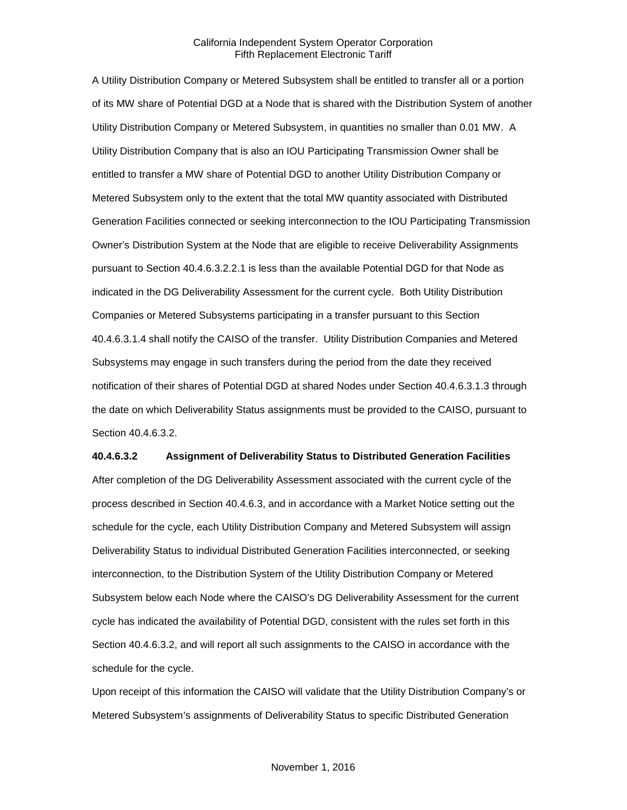A Utility Distribution Company or Metered Subsystem shall be entitled to transfer all or a portion of its MW share of Potential DGD at a Node that is shared with the Distribution System of another Utility Distribution Company or Metered Subsystem, in quantities no smaller than 0.01 MW. A Utility Distribution Company that is also an IOU Participating Transmission Owner shall be entitled to transfer a MW share of Potential DGD to another Utility Distribution Company or Metered Subsystem only to the extent that the total MW quantity associated with Distributed Generation Facilities connected or seeking interconnection to the IOU Participating Transmission Owner's Distribution System at the Node that are eligible to receive Deliverability Assignments pursuant to Section 40.4.6.3.2.2.1 is less than the available Potential DGD for that Node as indicated in the DG Deliverability Assessment for the current cycle. Both Utility Distribution Companies or Metered Subsystems participating in a transfer pursuant to this Section 40.4.6.3.1.4 shall notify the CAISO of the transfer. Utility Distribution Companies and Metered Subsystems may engage in such transfers during the period from the date they received notification of their shares of Potential DGD at shared Nodes under Section 40.4.6.3.1.3 through the date on which Deliverability Status assignments must be provided to the CAISO, pursuant to Section 40.4.6.3.2.

#### **40.4.6.3.2 Assignment of Deliverability Status to Distributed Generation Facilities**

After completion of the DG Deliverability Assessment associated with the current cycle of the process described in Section 40.4.6.3, and in accordance with a Market Notice setting out the schedule for the cycle, each Utility Distribution Company and Metered Subsystem will assign Deliverability Status to individual Distributed Generation Facilities interconnected, or seeking interconnection, to the Distribution System of the Utility Distribution Company or Metered Subsystem below each Node where the CAISO's DG Deliverability Assessment for the current cycle has indicated the availability of Potential DGD, consistent with the rules set forth in this Section 40.4.6.3.2, and will report all such assignments to the CAISO in accordance with the schedule for the cycle.

Upon receipt of this information the CAISO will validate that the Utility Distribution Company's or Metered Subsystem's assignments of Deliverability Status to specific Distributed Generation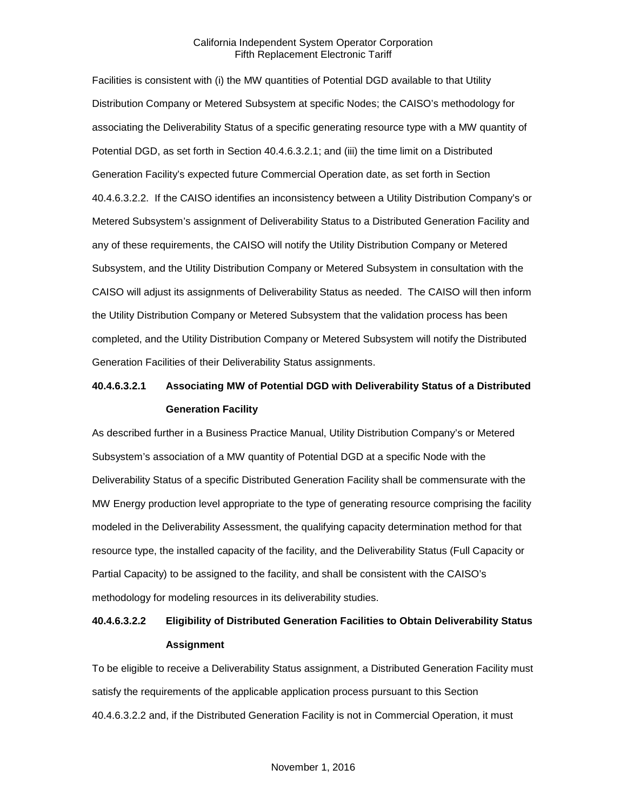Facilities is consistent with (i) the MW quantities of Potential DGD available to that Utility Distribution Company or Metered Subsystem at specific Nodes; the CAISO's methodology for associating the Deliverability Status of a specific generating resource type with a MW quantity of Potential DGD, as set forth in Section 40.4.6.3.2.1; and (iii) the time limit on a Distributed Generation Facility's expected future Commercial Operation date, as set forth in Section 40.4.6.3.2.2. If the CAISO identifies an inconsistency between a Utility Distribution Company's or Metered Subsystem's assignment of Deliverability Status to a Distributed Generation Facility and any of these requirements, the CAISO will notify the Utility Distribution Company or Metered Subsystem, and the Utility Distribution Company or Metered Subsystem in consultation with the CAISO will adjust its assignments of Deliverability Status as needed. The CAISO will then inform the Utility Distribution Company or Metered Subsystem that the validation process has been completed, and the Utility Distribution Company or Metered Subsystem will notify the Distributed Generation Facilities of their Deliverability Status assignments.

## **40.4.6.3.2.1 Associating MW of Potential DGD with Deliverability Status of a Distributed Generation Facility**

As described further in a Business Practice Manual, Utility Distribution Company's or Metered Subsystem's association of a MW quantity of Potential DGD at a specific Node with the Deliverability Status of a specific Distributed Generation Facility shall be commensurate with the MW Energy production level appropriate to the type of generating resource comprising the facility modeled in the Deliverability Assessment, the qualifying capacity determination method for that resource type, the installed capacity of the facility, and the Deliverability Status (Full Capacity or Partial Capacity) to be assigned to the facility, and shall be consistent with the CAISO's methodology for modeling resources in its deliverability studies.

## **40.4.6.3.2.2 Eligibility of Distributed Generation Facilities to Obtain Deliverability Status Assignment**

To be eligible to receive a Deliverability Status assignment, a Distributed Generation Facility must satisfy the requirements of the applicable application process pursuant to this Section 40.4.6.3.2.2 and, if the Distributed Generation Facility is not in Commercial Operation, it must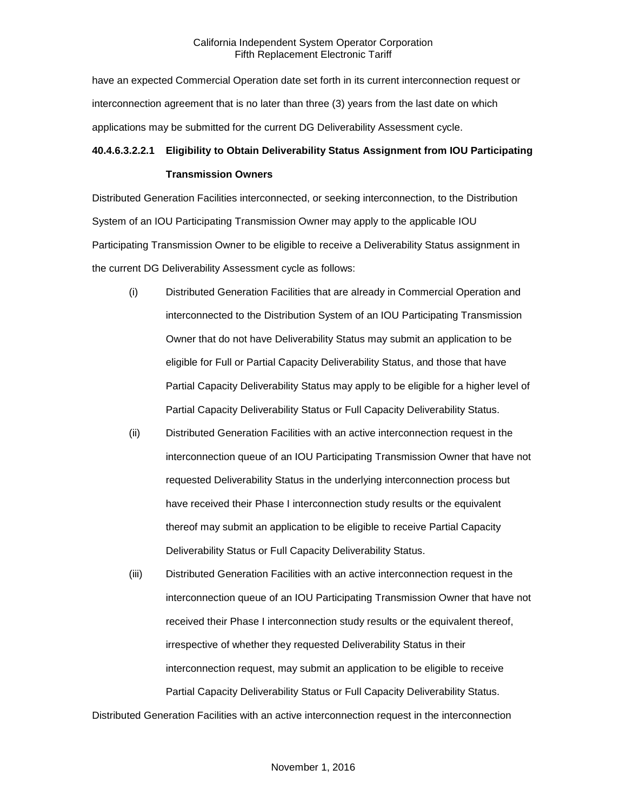have an expected Commercial Operation date set forth in its current interconnection request or interconnection agreement that is no later than three (3) years from the last date on which applications may be submitted for the current DG Deliverability Assessment cycle.

### **40.4.6.3.2.2.1 Eligibility to Obtain Deliverability Status Assignment from IOU Participating**

#### **Transmission Owners**

Distributed Generation Facilities interconnected, or seeking interconnection, to the Distribution System of an IOU Participating Transmission Owner may apply to the applicable IOU Participating Transmission Owner to be eligible to receive a Deliverability Status assignment in the current DG Deliverability Assessment cycle as follows:

- (i) Distributed Generation Facilities that are already in Commercial Operation and interconnected to the Distribution System of an IOU Participating Transmission Owner that do not have Deliverability Status may submit an application to be eligible for Full or Partial Capacity Deliverability Status, and those that have Partial Capacity Deliverability Status may apply to be eligible for a higher level of Partial Capacity Deliverability Status or Full Capacity Deliverability Status.
- (ii) Distributed Generation Facilities with an active interconnection request in the interconnection queue of an IOU Participating Transmission Owner that have not requested Deliverability Status in the underlying interconnection process but have received their Phase I interconnection study results or the equivalent thereof may submit an application to be eligible to receive Partial Capacity Deliverability Status or Full Capacity Deliverability Status.
- (iii) Distributed Generation Facilities with an active interconnection request in the interconnection queue of an IOU Participating Transmission Owner that have not received their Phase I interconnection study results or the equivalent thereof, irrespective of whether they requested Deliverability Status in their interconnection request, may submit an application to be eligible to receive Partial Capacity Deliverability Status or Full Capacity Deliverability Status.

Distributed Generation Facilities with an active interconnection request in the interconnection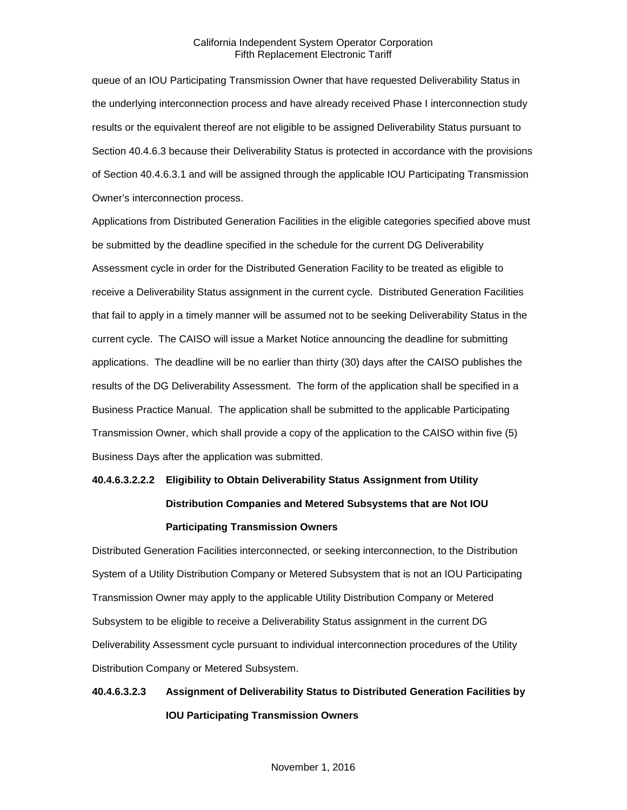queue of an IOU Participating Transmission Owner that have requested Deliverability Status in the underlying interconnection process and have already received Phase I interconnection study results or the equivalent thereof are not eligible to be assigned Deliverability Status pursuant to Section 40.4.6.3 because their Deliverability Status is protected in accordance with the provisions of Section 40.4.6.3.1 and will be assigned through the applicable IOU Participating Transmission Owner's interconnection process.

Applications from Distributed Generation Facilities in the eligible categories specified above must be submitted by the deadline specified in the schedule for the current DG Deliverability Assessment cycle in order for the Distributed Generation Facility to be treated as eligible to receive a Deliverability Status assignment in the current cycle. Distributed Generation Facilities that fail to apply in a timely manner will be assumed not to be seeking Deliverability Status in the current cycle. The CAISO will issue a Market Notice announcing the deadline for submitting applications. The deadline will be no earlier than thirty (30) days after the CAISO publishes the results of the DG Deliverability Assessment. The form of the application shall be specified in a Business Practice Manual. The application shall be submitted to the applicable Participating Transmission Owner, which shall provide a copy of the application to the CAISO within five (5) Business Days after the application was submitted.

# **40.4.6.3.2.2.2 Eligibility to Obtain Deliverability Status Assignment from Utility Distribution Companies and Metered Subsystems that are Not IOU Participating Transmission Owners**

Distributed Generation Facilities interconnected, or seeking interconnection, to the Distribution System of a Utility Distribution Company or Metered Subsystem that is not an IOU Participating Transmission Owner may apply to the applicable Utility Distribution Company or Metered Subsystem to be eligible to receive a Deliverability Status assignment in the current DG Deliverability Assessment cycle pursuant to individual interconnection procedures of the Utility Distribution Company or Metered Subsystem.

## **40.4.6.3.2.3 Assignment of Deliverability Status to Distributed Generation Facilities by IOU Participating Transmission Owners**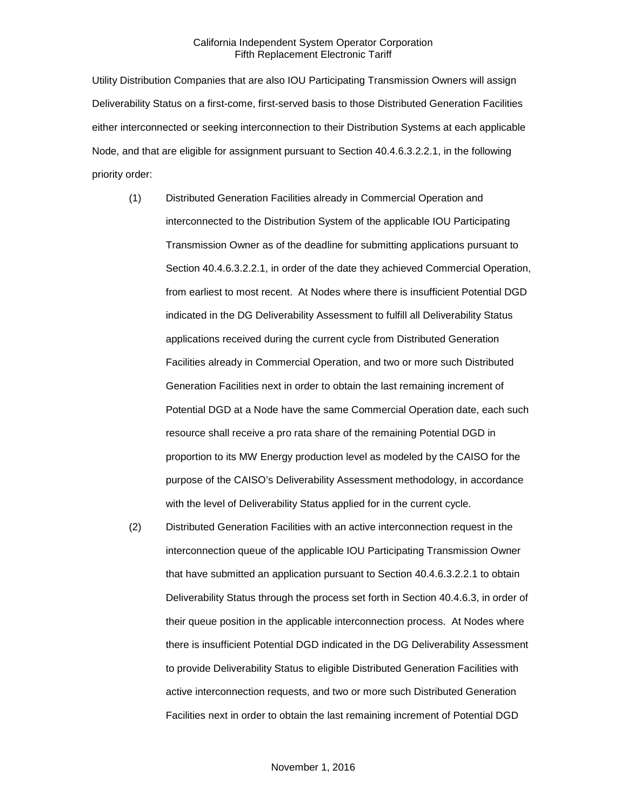Utility Distribution Companies that are also IOU Participating Transmission Owners will assign Deliverability Status on a first-come, first-served basis to those Distributed Generation Facilities either interconnected or seeking interconnection to their Distribution Systems at each applicable Node, and that are eligible for assignment pursuant to Section 40.4.6.3.2.2.1, in the following priority order:

- (1) Distributed Generation Facilities already in Commercial Operation and interconnected to the Distribution System of the applicable IOU Participating Transmission Owner as of the deadline for submitting applications pursuant to Section 40.4.6.3.2.2.1, in order of the date they achieved Commercial Operation, from earliest to most recent. At Nodes where there is insufficient Potential DGD indicated in the DG Deliverability Assessment to fulfill all Deliverability Status applications received during the current cycle from Distributed Generation Facilities already in Commercial Operation, and two or more such Distributed Generation Facilities next in order to obtain the last remaining increment of Potential DGD at a Node have the same Commercial Operation date, each such resource shall receive a pro rata share of the remaining Potential DGD in proportion to its MW Energy production level as modeled by the CAISO for the purpose of the CAISO's Deliverability Assessment methodology, in accordance with the level of Deliverability Status applied for in the current cycle.
- (2) Distributed Generation Facilities with an active interconnection request in the interconnection queue of the applicable IOU Participating Transmission Owner that have submitted an application pursuant to Section 40.4.6.3.2.2.1 to obtain Deliverability Status through the process set forth in Section 40.4.6.3, in order of their queue position in the applicable interconnection process. At Nodes where there is insufficient Potential DGD indicated in the DG Deliverability Assessment to provide Deliverability Status to eligible Distributed Generation Facilities with active interconnection requests, and two or more such Distributed Generation Facilities next in order to obtain the last remaining increment of Potential DGD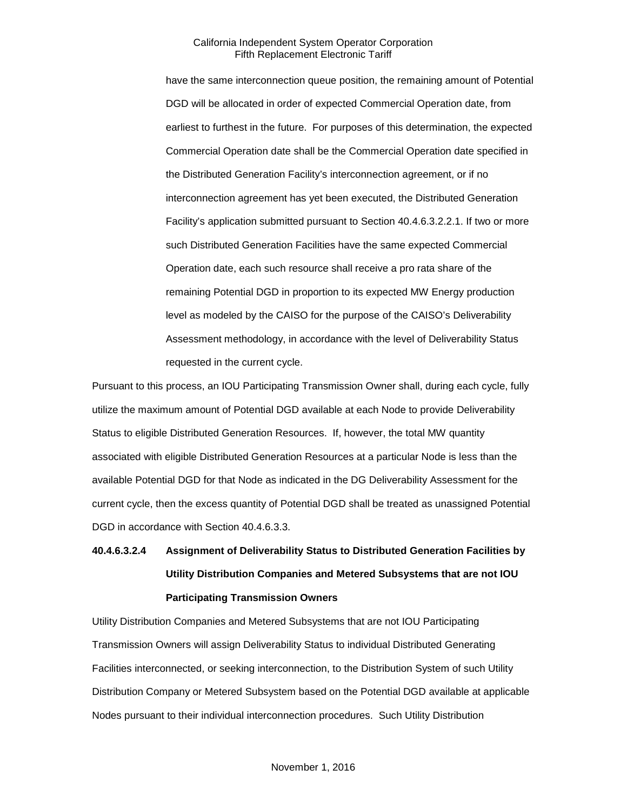have the same interconnection queue position, the remaining amount of Potential DGD will be allocated in order of expected Commercial Operation date, from earliest to furthest in the future. For purposes of this determination, the expected Commercial Operation date shall be the Commercial Operation date specified in the Distributed Generation Facility's interconnection agreement, or if no interconnection agreement has yet been executed, the Distributed Generation Facility's application submitted pursuant to Section 40.4.6.3.2.2.1. If two or more such Distributed Generation Facilities have the same expected Commercial Operation date, each such resource shall receive a pro rata share of the remaining Potential DGD in proportion to its expected MW Energy production level as modeled by the CAISO for the purpose of the CAISO's Deliverability Assessment methodology, in accordance with the level of Deliverability Status requested in the current cycle.

Pursuant to this process, an IOU Participating Transmission Owner shall, during each cycle, fully utilize the maximum amount of Potential DGD available at each Node to provide Deliverability Status to eligible Distributed Generation Resources. If, however, the total MW quantity associated with eligible Distributed Generation Resources at a particular Node is less than the available Potential DGD for that Node as indicated in the DG Deliverability Assessment for the current cycle, then the excess quantity of Potential DGD shall be treated as unassigned Potential DGD in accordance with Section 40.4.6.3.3.

# **40.4.6.3.2.4 Assignment of Deliverability Status to Distributed Generation Facilities by Utility Distribution Companies and Metered Subsystems that are not IOU Participating Transmission Owners**

Utility Distribution Companies and Metered Subsystems that are not IOU Participating Transmission Owners will assign Deliverability Status to individual Distributed Generating Facilities interconnected, or seeking interconnection, to the Distribution System of such Utility Distribution Company or Metered Subsystem based on the Potential DGD available at applicable Nodes pursuant to their individual interconnection procedures. Such Utility Distribution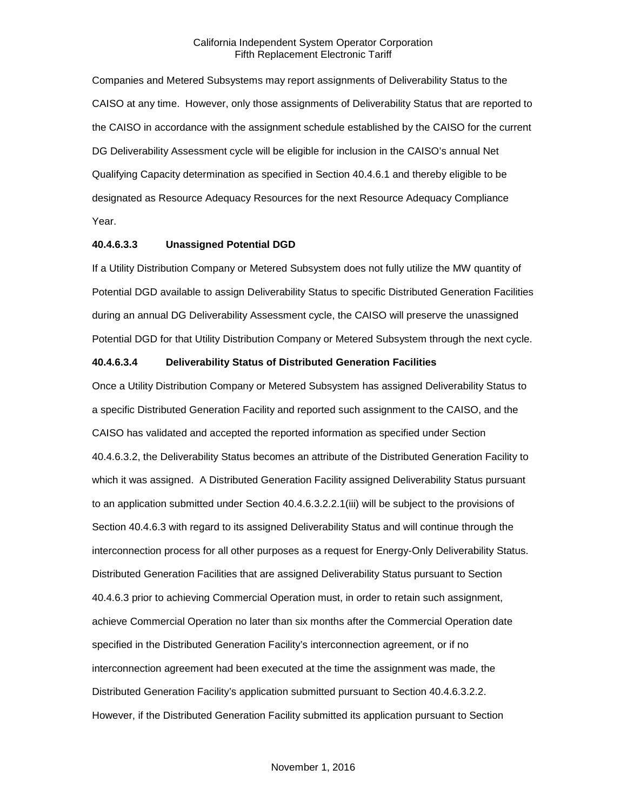Companies and Metered Subsystems may report assignments of Deliverability Status to the CAISO at any time. However, only those assignments of Deliverability Status that are reported to the CAISO in accordance with the assignment schedule established by the CAISO for the current DG Deliverability Assessment cycle will be eligible for inclusion in the CAISO's annual Net Qualifying Capacity determination as specified in Section 40.4.6.1 and thereby eligible to be designated as Resource Adequacy Resources for the next Resource Adequacy Compliance Year.

#### **40.4.6.3.3 Unassigned Potential DGD**

If a Utility Distribution Company or Metered Subsystem does not fully utilize the MW quantity of Potential DGD available to assign Deliverability Status to specific Distributed Generation Facilities during an annual DG Deliverability Assessment cycle, the CAISO will preserve the unassigned Potential DGD for that Utility Distribution Company or Metered Subsystem through the next cycle.

#### **40.4.6.3.4 Deliverability Status of Distributed Generation Facilities**

Once a Utility Distribution Company or Metered Subsystem has assigned Deliverability Status to a specific Distributed Generation Facility and reported such assignment to the CAISO, and the CAISO has validated and accepted the reported information as specified under Section 40.4.6.3.2, the Deliverability Status becomes an attribute of the Distributed Generation Facility to which it was assigned. A Distributed Generation Facility assigned Deliverability Status pursuant to an application submitted under Section 40.4.6.3.2.2.1(iii) will be subject to the provisions of Section 40.4.6.3 with regard to its assigned Deliverability Status and will continue through the interconnection process for all other purposes as a request for Energy-Only Deliverability Status. Distributed Generation Facilities that are assigned Deliverability Status pursuant to Section 40.4.6.3 prior to achieving Commercial Operation must, in order to retain such assignment, achieve Commercial Operation no later than six months after the Commercial Operation date specified in the Distributed Generation Facility's interconnection agreement, or if no interconnection agreement had been executed at the time the assignment was made, the Distributed Generation Facility's application submitted pursuant to Section 40.4.6.3.2.2. However, if the Distributed Generation Facility submitted its application pursuant to Section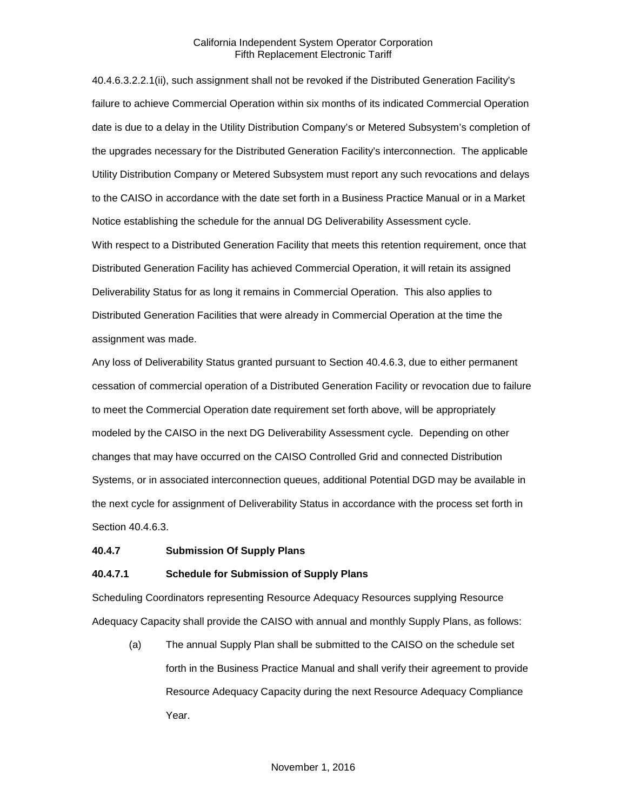40.4.6.3.2.2.1(ii), such assignment shall not be revoked if the Distributed Generation Facility's failure to achieve Commercial Operation within six months of its indicated Commercial Operation date is due to a delay in the Utility Distribution Company's or Metered Subsystem's completion of the upgrades necessary for the Distributed Generation Facility's interconnection. The applicable Utility Distribution Company or Metered Subsystem must report any such revocations and delays to the CAISO in accordance with the date set forth in a Business Practice Manual or in a Market Notice establishing the schedule for the annual DG Deliverability Assessment cycle.

With respect to a Distributed Generation Facility that meets this retention requirement, once that Distributed Generation Facility has achieved Commercial Operation, it will retain its assigned Deliverability Status for as long it remains in Commercial Operation. This also applies to Distributed Generation Facilities that were already in Commercial Operation at the time the assignment was made.

Any loss of Deliverability Status granted pursuant to Section 40.4.6.3, due to either permanent cessation of commercial operation of a Distributed Generation Facility or revocation due to failure to meet the Commercial Operation date requirement set forth above, will be appropriately modeled by the CAISO in the next DG Deliverability Assessment cycle. Depending on other changes that may have occurred on the CAISO Controlled Grid and connected Distribution Systems, or in associated interconnection queues, additional Potential DGD may be available in the next cycle for assignment of Deliverability Status in accordance with the process set forth in Section 40.4.6.3.

#### <span id="page-34-0"></span>**40.4.7 Submission Of Supply Plans**

#### **40.4.7.1 Schedule for Submission of Supply Plans**

Scheduling Coordinators representing Resource Adequacy Resources supplying Resource Adequacy Capacity shall provide the CAISO with annual and monthly Supply Plans, as follows:

(a) The annual Supply Plan shall be submitted to the CAISO on the schedule set forth in the Business Practice Manual and shall verify their agreement to provide Resource Adequacy Capacity during the next Resource Adequacy Compliance Year.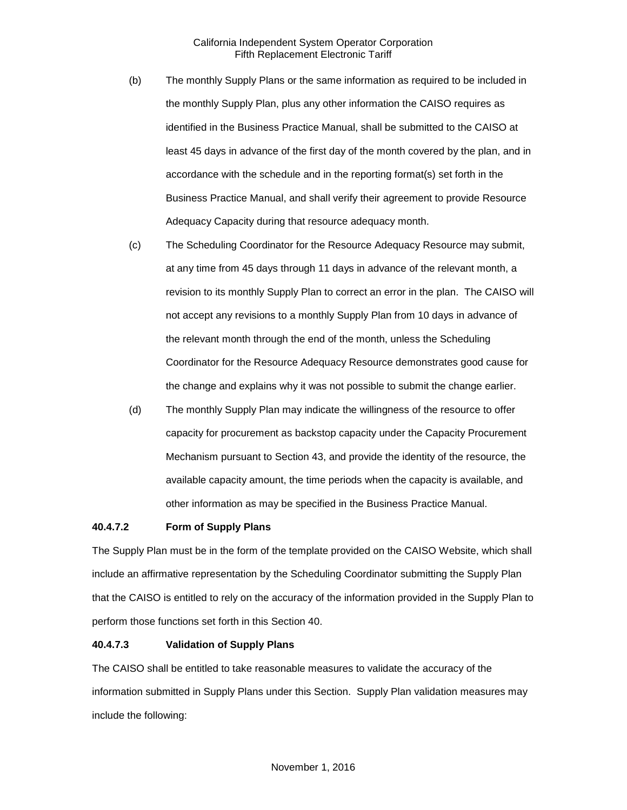- (b) The monthly Supply Plans or the same information as required to be included in the monthly Supply Plan, plus any other information the CAISO requires as identified in the Business Practice Manual, shall be submitted to the CAISO at least 45 days in advance of the first day of the month covered by the plan, and in accordance with the schedule and in the reporting format(s) set forth in the Business Practice Manual, and shall verify their agreement to provide Resource Adequacy Capacity during that resource adequacy month.
- (c) The Scheduling Coordinator for the Resource Adequacy Resource may submit, at any time from 45 days through 11 days in advance of the relevant month, a revision to its monthly Supply Plan to correct an error in the plan. The CAISO will not accept any revisions to a monthly Supply Plan from 10 days in advance of the relevant month through the end of the month, unless the Scheduling Coordinator for the Resource Adequacy Resource demonstrates good cause for the change and explains why it was not possible to submit the change earlier.
- (d) The monthly Supply Plan may indicate the willingness of the resource to offer capacity for procurement as backstop capacity under the Capacity Procurement Mechanism pursuant to Section 43, and provide the identity of the resource, the available capacity amount, the time periods when the capacity is available, and other information as may be specified in the Business Practice Manual.

## **40.4.7.2 Form of Supply Plans**

The Supply Plan must be in the form of the template provided on the CAISO Website, which shall include an affirmative representation by the Scheduling Coordinator submitting the Supply Plan that the CAISO is entitled to rely on the accuracy of the information provided in the Supply Plan to perform those functions set forth in this Section 40.

#### **40.4.7.3 Validation of Supply Plans**

The CAISO shall be entitled to take reasonable measures to validate the accuracy of the information submitted in Supply Plans under this Section. Supply Plan validation measures may include the following: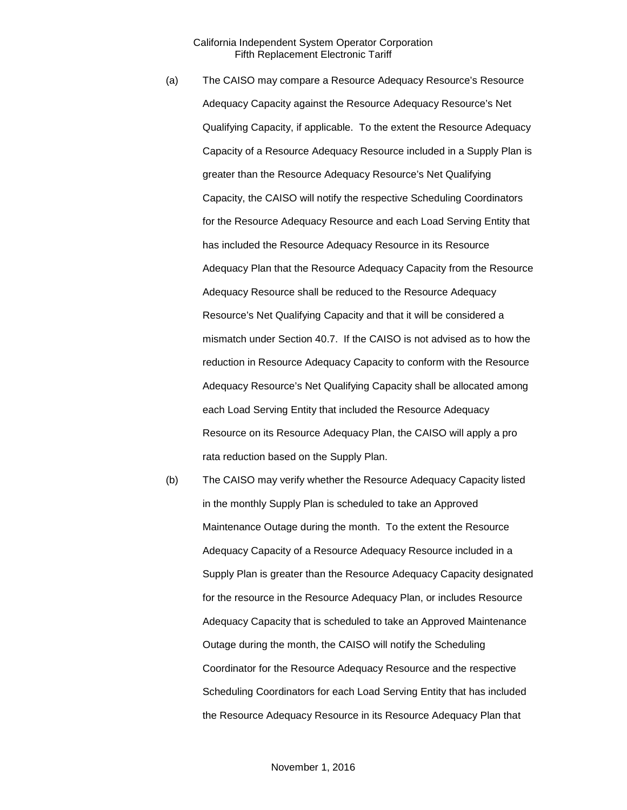- (a) The CAISO may compare a Resource Adequacy Resource's Resource Adequacy Capacity against the Resource Adequacy Resource's Net Qualifying Capacity, if applicable. To the extent the Resource Adequacy Capacity of a Resource Adequacy Resource included in a Supply Plan is greater than the Resource Adequacy Resource's Net Qualifying Capacity, the CAISO will notify the respective Scheduling Coordinators for the Resource Adequacy Resource and each Load Serving Entity that has included the Resource Adequacy Resource in its Resource Adequacy Plan that the Resource Adequacy Capacity from the Resource Adequacy Resource shall be reduced to the Resource Adequacy Resource's Net Qualifying Capacity and that it will be considered a mismatch under Section 40.7. If the CAISO is not advised as to how the reduction in Resource Adequacy Capacity to conform with the Resource Adequacy Resource's Net Qualifying Capacity shall be allocated among each Load Serving Entity that included the Resource Adequacy Resource on its Resource Adequacy Plan, the CAISO will apply a pro rata reduction based on the Supply Plan.
- (b) The CAISO may verify whether the Resource Adequacy Capacity listed in the monthly Supply Plan is scheduled to take an Approved Maintenance Outage during the month. To the extent the Resource Adequacy Capacity of a Resource Adequacy Resource included in a Supply Plan is greater than the Resource Adequacy Capacity designated for the resource in the Resource Adequacy Plan, or includes Resource Adequacy Capacity that is scheduled to take an Approved Maintenance Outage during the month, the CAISO will notify the Scheduling Coordinator for the Resource Adequacy Resource and the respective Scheduling Coordinators for each Load Serving Entity that has included the Resource Adequacy Resource in its Resource Adequacy Plan that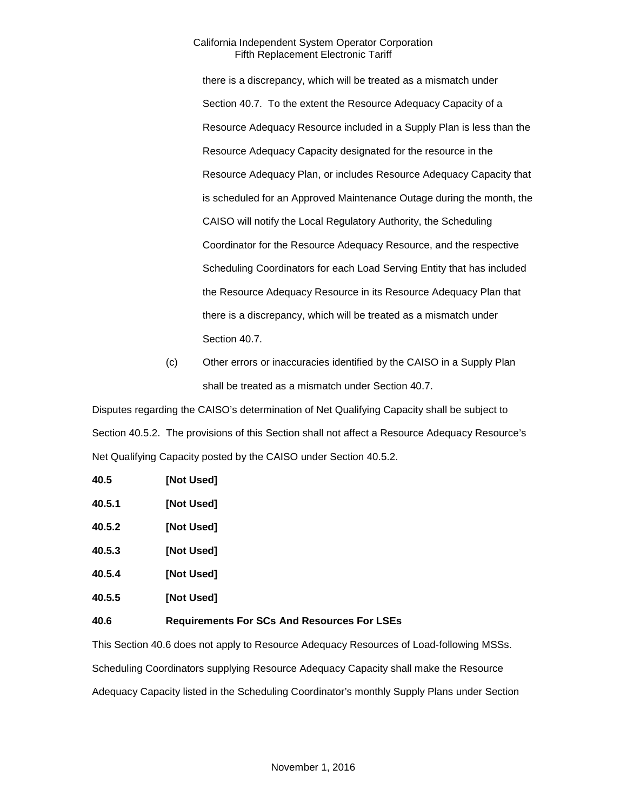there is a discrepancy, which will be treated as a mismatch under Section 40.7. To the extent the Resource Adequacy Capacity of a Resource Adequacy Resource included in a Supply Plan is less than the Resource Adequacy Capacity designated for the resource in the Resource Adequacy Plan, or includes Resource Adequacy Capacity that is scheduled for an Approved Maintenance Outage during the month, the CAISO will notify the Local Regulatory Authority, the Scheduling Coordinator for the Resource Adequacy Resource, and the respective Scheduling Coordinators for each Load Serving Entity that has included the Resource Adequacy Resource in its Resource Adequacy Plan that there is a discrepancy, which will be treated as a mismatch under Section 40.7.

(c) Other errors or inaccuracies identified by the CAISO in a Supply Plan shall be treated as a mismatch under Section 40.7.

Disputes regarding the CAISO's determination of Net Qualifying Capacity shall be subject to Section 40.5.2. The provisions of this Section shall not affect a Resource Adequacy Resource's Net Qualifying Capacity posted by the CAISO under Section 40.5.2.

| 40.5   | [Not Used]                                         |
|--------|----------------------------------------------------|
| 40.5.1 | [Not Used]                                         |
| 40.5.2 | [Not Used]                                         |
| 40.5.3 | [Not Used]                                         |
| 40.5.4 | [Not Used]                                         |
| 40.5.5 | [Not Used]                                         |
| 40.6   | <b>Requirements For SCs And Resources For LSEs</b> |

This Section 40.6 does not apply to Resource Adequacy Resources of Load-following MSSs. Scheduling Coordinators supplying Resource Adequacy Capacity shall make the Resource Adequacy Capacity listed in the Scheduling Coordinator's monthly Supply Plans under Section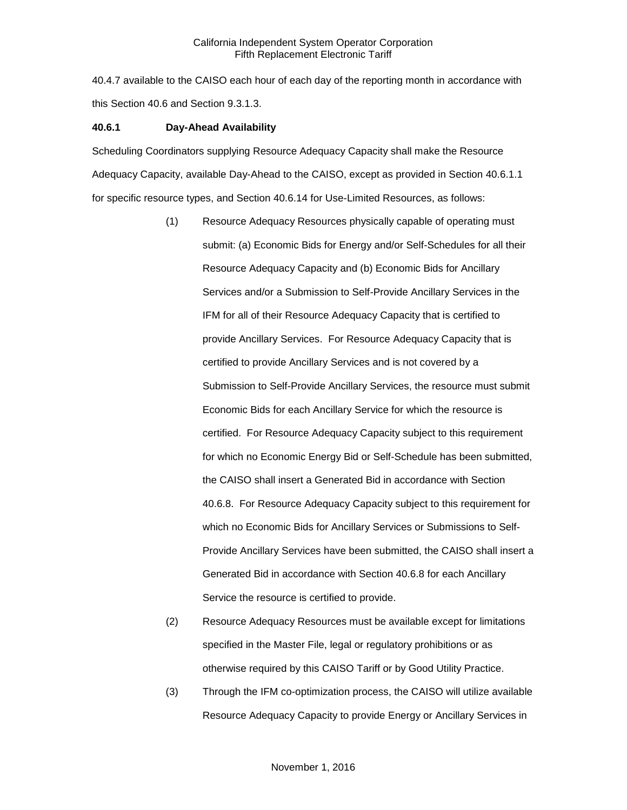40.4.7 available to the CAISO each hour of each day of the reporting month in accordance with this Section 40.6 and Section 9.3.1.3.

#### **40.6.1 Day-Ahead Availability**

Scheduling Coordinators supplying Resource Adequacy Capacity shall make the Resource Adequacy Capacity, available Day-Ahead to the CAISO, except as provided in Section 40.6.1.1 for specific resource types, and Section 40.6.14 for Use-Limited Resources, as follows:

- (1) Resource Adequacy Resources physically capable of operating must submit: (a) Economic Bids for Energy and/or Self-Schedules for all their Resource Adequacy Capacity and (b) Economic Bids for Ancillary Services and/or a Submission to Self-Provide Ancillary Services in the IFM for all of their Resource Adequacy Capacity that is certified to provide Ancillary Services. For Resource Adequacy Capacity that is certified to provide Ancillary Services and is not covered by a Submission to Self-Provide Ancillary Services, the resource must submit Economic Bids for each Ancillary Service for which the resource is certified. For Resource Adequacy Capacity subject to this requirement for which no Economic Energy Bid or Self-Schedule has been submitted, the CAISO shall insert a Generated Bid in accordance with Section 40.6.8. For Resource Adequacy Capacity subject to this requirement for which no Economic Bids for Ancillary Services or Submissions to Self-Provide Ancillary Services have been submitted, the CAISO shall insert a Generated Bid in accordance with Section 40.6.8 for each Ancillary Service the resource is certified to provide.
- (2) Resource Adequacy Resources must be available except for limitations specified in the Master File, legal or regulatory prohibitions or as otherwise required by this CAISO Tariff or by Good Utility Practice.
- (3) Through the IFM co-optimization process, the CAISO will utilize available Resource Adequacy Capacity to provide Energy or Ancillary Services in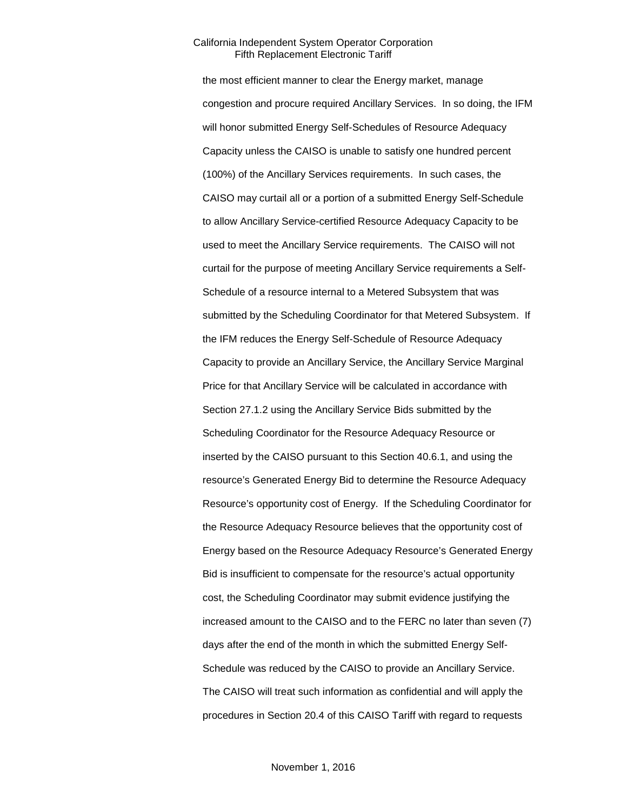the most efficient manner to clear the Energy market, manage congestion and procure required Ancillary Services. In so doing, the IFM will honor submitted Energy Self-Schedules of Resource Adequacy Capacity unless the CAISO is unable to satisfy one hundred percent (100%) of the Ancillary Services requirements. In such cases, the CAISO may curtail all or a portion of a submitted Energy Self-Schedule to allow Ancillary Service-certified Resource Adequacy Capacity to be used to meet the Ancillary Service requirements. The CAISO will not curtail for the purpose of meeting Ancillary Service requirements a Self-Schedule of a resource internal to a Metered Subsystem that was submitted by the Scheduling Coordinator for that Metered Subsystem. If the IFM reduces the Energy Self-Schedule of Resource Adequacy Capacity to provide an Ancillary Service, the Ancillary Service Marginal Price for that Ancillary Service will be calculated in accordance with Section 27.1.2 using the Ancillary Service Bids submitted by the Scheduling Coordinator for the Resource Adequacy Resource or inserted by the CAISO pursuant to this Section 40.6.1, and using the resource's Generated Energy Bid to determine the Resource Adequacy Resource's opportunity cost of Energy. If the Scheduling Coordinator for the Resource Adequacy Resource believes that the opportunity cost of Energy based on the Resource Adequacy Resource's Generated Energy Bid is insufficient to compensate for the resource's actual opportunity cost, the Scheduling Coordinator may submit evidence justifying the increased amount to the CAISO and to the FERC no later than seven (7) days after the end of the month in which the submitted Energy Self-Schedule was reduced by the CAISO to provide an Ancillary Service. The CAISO will treat such information as confidential and will apply the procedures in Section 20.4 of this CAISO Tariff with regard to requests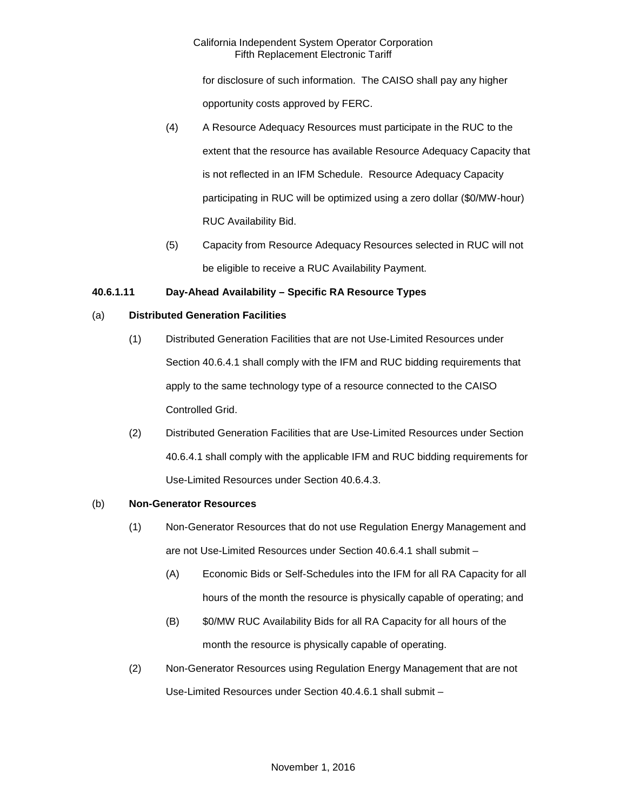for disclosure of such information. The CAISO shall pay any higher opportunity costs approved by FERC.

- (4) A Resource Adequacy Resources must participate in the RUC to the extent that the resource has available Resource Adequacy Capacity that is not reflected in an IFM Schedule. Resource Adequacy Capacity participating in RUC will be optimized using a zero dollar (\$0/MW-hour) RUC Availability Bid.
- (5) Capacity from Resource Adequacy Resources selected in RUC will not be eligible to receive a RUC Availability Payment.

# **40.6.1.11 Day-Ahead Availability – Specific RA Resource Types**

# (a) **Distributed Generation Facilities**

- (1) Distributed Generation Facilities that are not Use-Limited Resources under Section 40.6.4.1 shall comply with the IFM and RUC bidding requirements that apply to the same technology type of a resource connected to the CAISO Controlled Grid.
- (2) Distributed Generation Facilities that are Use-Limited Resources under Section 40.6.4.1 shall comply with the applicable IFM and RUC bidding requirements for Use-Limited Resources under Section 40.6.4.3.

# (b) **Non-Generator Resources**

- (1) Non-Generator Resources that do not use Regulation Energy Management and are not Use-Limited Resources under Section 40.6.4.1 shall submit –
	- (A) Economic Bids or Self-Schedules into the IFM for all RA Capacity for all hours of the month the resource is physically capable of operating; and
	- (B) \$0/MW RUC Availability Bids for all RA Capacity for all hours of the month the resource is physically capable of operating.
- (2) Non-Generator Resources using Regulation Energy Management that are not Use-Limited Resources under Section 40.4.6.1 shall submit –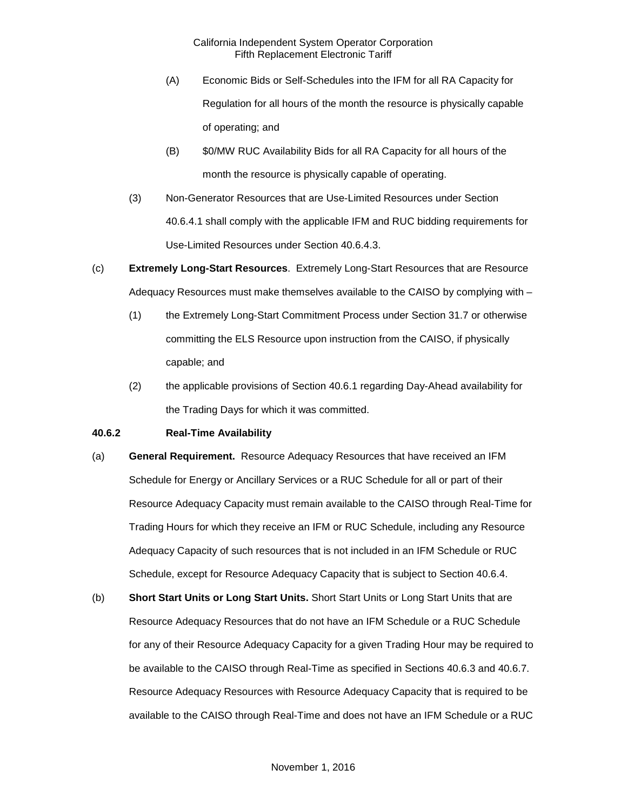- (A) Economic Bids or Self-Schedules into the IFM for all RA Capacity for Regulation for all hours of the month the resource is physically capable of operating; and
- (B) \$0/MW RUC Availability Bids for all RA Capacity for all hours of the month the resource is physically capable of operating.
- (3) Non-Generator Resources that are Use-Limited Resources under Section 40.6.4.1 shall comply with the applicable IFM and RUC bidding requirements for Use-Limited Resources under Section 40.6.4.3.
- (c) **Extremely Long-Start Resources**. Extremely Long-Start Resources that are Resource Adequacy Resources must make themselves available to the CAISO by complying with –
	- (1) the Extremely Long-Start Commitment Process under Section 31.7 or otherwise committing the ELS Resource upon instruction from the CAISO, if physically capable; and
	- (2) the applicable provisions of Section 40.6.1 regarding Day-Ahead availability for the Trading Days for which it was committed.

# **40.6.2 Real-Time Availability**

- (a) **General Requirement.** Resource Adequacy Resources that have received an IFM Schedule for Energy or Ancillary Services or a RUC Schedule for all or part of their Resource Adequacy Capacity must remain available to the CAISO through Real-Time for Trading Hours for which they receive an IFM or RUC Schedule, including any Resource Adequacy Capacity of such resources that is not included in an IFM Schedule or RUC Schedule, except for Resource Adequacy Capacity that is subject to Section 40.6.4.
- (b) **Short Start Units or Long Start Units.** Short Start Units or Long Start Units that are Resource Adequacy Resources that do not have an IFM Schedule or a RUC Schedule for any of their Resource Adequacy Capacity for a given Trading Hour may be required to be available to the CAISO through Real-Time as specified in Sections 40.6.3 and 40.6.7. Resource Adequacy Resources with Resource Adequacy Capacity that is required to be available to the CAISO through Real-Time and does not have an IFM Schedule or a RUC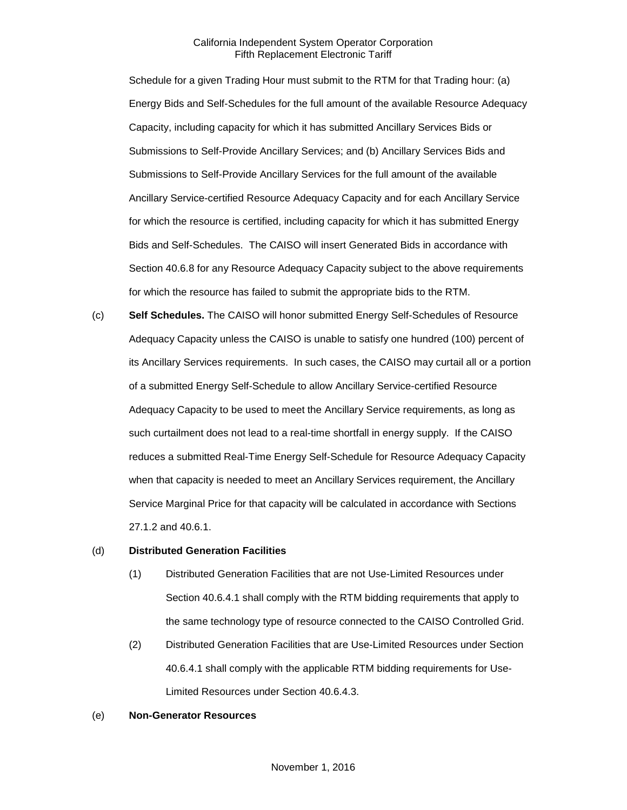Schedule for a given Trading Hour must submit to the RTM for that Trading hour: (a) Energy Bids and Self-Schedules for the full amount of the available Resource Adequacy Capacity, including capacity for which it has submitted Ancillary Services Bids or Submissions to Self-Provide Ancillary Services; and (b) Ancillary Services Bids and Submissions to Self-Provide Ancillary Services for the full amount of the available Ancillary Service-certified Resource Adequacy Capacity and for each Ancillary Service for which the resource is certified, including capacity for which it has submitted Energy Bids and Self-Schedules. The CAISO will insert Generated Bids in accordance with Section 40.6.8 for any Resource Adequacy Capacity subject to the above requirements for which the resource has failed to submit the appropriate bids to the RTM.

(c) **Self Schedules.** The CAISO will honor submitted Energy Self-Schedules of Resource Adequacy Capacity unless the CAISO is unable to satisfy one hundred (100) percent of its Ancillary Services requirements. In such cases, the CAISO may curtail all or a portion of a submitted Energy Self-Schedule to allow Ancillary Service-certified Resource Adequacy Capacity to be used to meet the Ancillary Service requirements, as long as such curtailment does not lead to a real-time shortfall in energy supply. If the CAISO reduces a submitted Real-Time Energy Self-Schedule for Resource Adequacy Capacity when that capacity is needed to meet an Ancillary Services requirement, the Ancillary Service Marginal Price for that capacity will be calculated in accordance with Sections 27.1.2 and 40.6.1.

#### (d) **Distributed Generation Facilities**

- (1) Distributed Generation Facilities that are not Use-Limited Resources under Section 40.6.4.1 shall comply with the RTM bidding requirements that apply to the same technology type of resource connected to the CAISO Controlled Grid.
- (2) Distributed Generation Facilities that are Use-Limited Resources under Section 40.6.4.1 shall comply with the applicable RTM bidding requirements for Use-Limited Resources under Section 40.6.4.3.

#### (e) **Non-Generator Resources**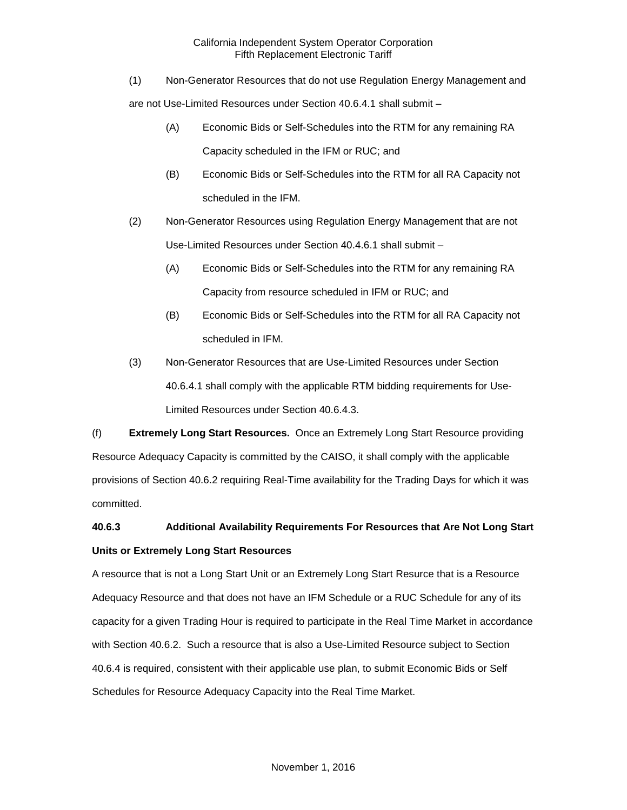(1) Non-Generator Resources that do not use Regulation Energy Management and

are not Use-Limited Resources under Section 40.6.4.1 shall submit –

- (A) Economic Bids or Self-Schedules into the RTM for any remaining RA Capacity scheduled in the IFM or RUC; and
- (B) Economic Bids or Self-Schedules into the RTM for all RA Capacity not scheduled in the IFM.
- (2) Non-Generator Resources using Regulation Energy Management that are not Use-Limited Resources under Section 40.4.6.1 shall submit –
	- (A) Economic Bids or Self-Schedules into the RTM for any remaining RA Capacity from resource scheduled in IFM or RUC; and
	- (B) Economic Bids or Self-Schedules into the RTM for all RA Capacity not scheduled in IFM.
- (3) Non-Generator Resources that are Use-Limited Resources under Section 40.6.4.1 shall comply with the applicable RTM bidding requirements for Use-Limited Resources under Section 40.6.4.3.

(f) **Extremely Long Start Resources.** Once an Extremely Long Start Resource providing Resource Adequacy Capacity is committed by the CAISO, it shall comply with the applicable provisions of Section 40.6.2 requiring Real-Time availability for the Trading Days for which it was committed.

# **40.6.3 Additional Availability Requirements For Resources that Are Not Long Start Units or Extremely Long Start Resources**

A resource that is not a Long Start Unit or an Extremely Long Start Resurce that is a Resource Adequacy Resource and that does not have an IFM Schedule or a RUC Schedule for any of its capacity for a given Trading Hour is required to participate in the Real Time Market in accordance with Section 40.6.2. Such a resource that is also a Use-Limited Resource subject to Section 40.6.4 is required, consistent with their applicable use plan, to submit Economic Bids or Self Schedules for Resource Adequacy Capacity into the Real Time Market.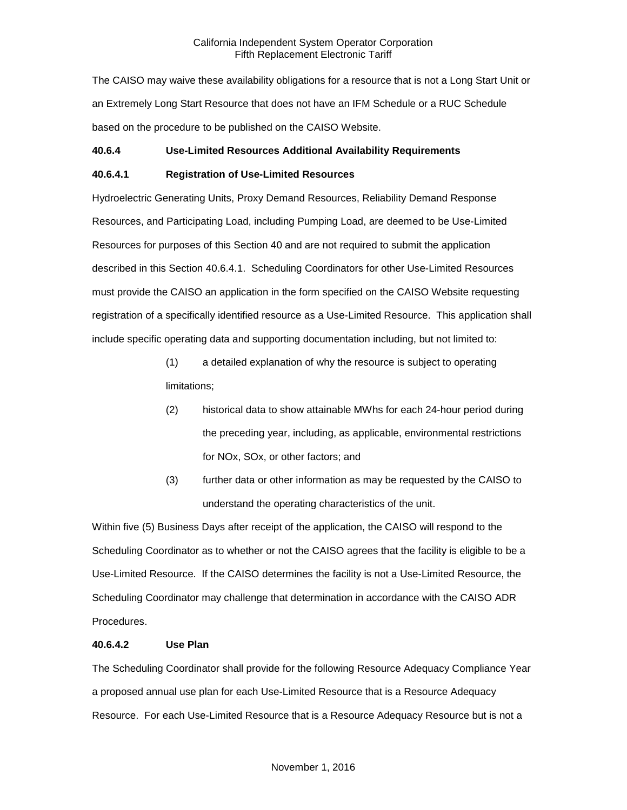The CAISO may waive these availability obligations for a resource that is not a Long Start Unit or an Extremely Long Start Resource that does not have an IFM Schedule or a RUC Schedule based on the procedure to be published on the CAISO Website.

# **40.6.4 Use-Limited Resources Additional Availability Requirements**

# **40.6.4.1 Registration of Use-Limited Resources**

Hydroelectric Generating Units, Proxy Demand Resources, Reliability Demand Response Resources, and Participating Load, including Pumping Load, are deemed to be Use-Limited Resources for purposes of this Section 40 and are not required to submit the application described in this Section 40.6.4.1. Scheduling Coordinators for other Use-Limited Resources must provide the CAISO an application in the form specified on the CAISO Website requesting registration of a specifically identified resource as a Use-Limited Resource. This application shall include specific operating data and supporting documentation including, but not limited to:

- (1) a detailed explanation of why the resource is subject to operating limitations;
- (2) historical data to show attainable MWhs for each 24-hour period during the preceding year, including, as applicable, environmental restrictions for NOx, SOx, or other factors; and
- (3) further data or other information as may be requested by the CAISO to understand the operating characteristics of the unit.

Within five (5) Business Days after receipt of the application, the CAISO will respond to the Scheduling Coordinator as to whether or not the CAISO agrees that the facility is eligible to be a Use-Limited Resource. If the CAISO determines the facility is not a Use-Limited Resource, the Scheduling Coordinator may challenge that determination in accordance with the CAISO ADR Procedures.

#### **40.6.4.2 Use Plan**

The Scheduling Coordinator shall provide for the following Resource Adequacy Compliance Year a proposed annual use plan for each Use-Limited Resource that is a Resource Adequacy Resource. For each Use-Limited Resource that is a Resource Adequacy Resource but is not a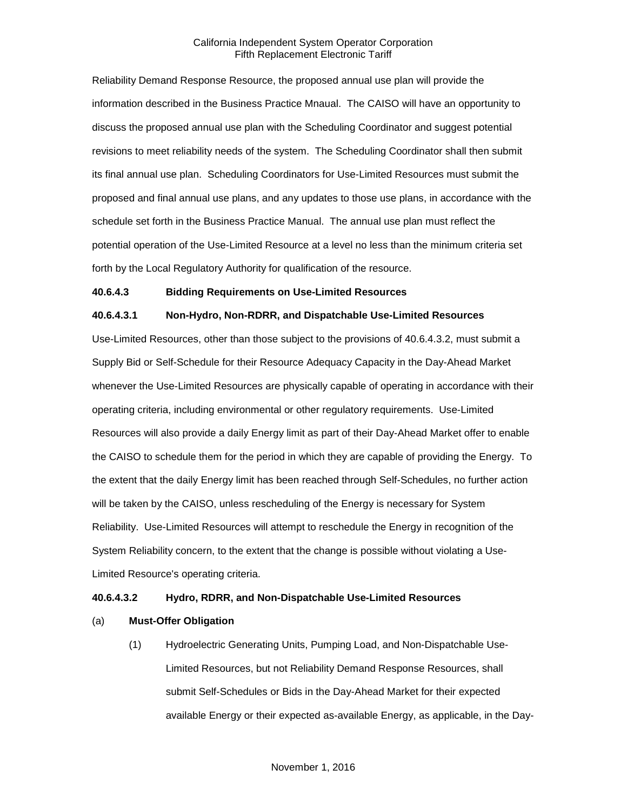Reliability Demand Response Resource, the proposed annual use plan will provide the information described in the Business Practice Mnaual. The CAISO will have an opportunity to discuss the proposed annual use plan with the Scheduling Coordinator and suggest potential revisions to meet reliability needs of the system. The Scheduling Coordinator shall then submit its final annual use plan. Scheduling Coordinators for Use-Limited Resources must submit the proposed and final annual use plans, and any updates to those use plans, in accordance with the schedule set forth in the Business Practice Manual. The annual use plan must reflect the potential operation of the Use-Limited Resource at a level no less than the minimum criteria set forth by the Local Regulatory Authority for qualification of the resource.

#### **40.6.4.3 Bidding Requirements on Use-Limited Resources**

#### **40.6.4.3.1 Non-Hydro, Non-RDRR, and Dispatchable Use-Limited Resources**

Use-Limited Resources, other than those subject to the provisions of 40.6.4.3.2, must submit a Supply Bid or Self-Schedule for their Resource Adequacy Capacity in the Day-Ahead Market whenever the Use-Limited Resources are physically capable of operating in accordance with their operating criteria, including environmental or other regulatory requirements. Use-Limited Resources will also provide a daily Energy limit as part of their Day-Ahead Market offer to enable the CAISO to schedule them for the period in which they are capable of providing the Energy. To the extent that the daily Energy limit has been reached through Self-Schedules, no further action will be taken by the CAISO, unless rescheduling of the Energy is necessary for System Reliability. Use-Limited Resources will attempt to reschedule the Energy in recognition of the System Reliability concern, to the extent that the change is possible without violating a Use-Limited Resource's operating criteria.

#### **40.6.4.3.2 Hydro, RDRR, and Non-Dispatchable Use-Limited Resources**

#### (a) **Must-Offer Obligation**

(1) Hydroelectric Generating Units, Pumping Load, and Non-Dispatchable Use-Limited Resources, but not Reliability Demand Response Resources, shall submit Self-Schedules or Bids in the Day-Ahead Market for their expected available Energy or their expected as-available Energy, as applicable, in the Day-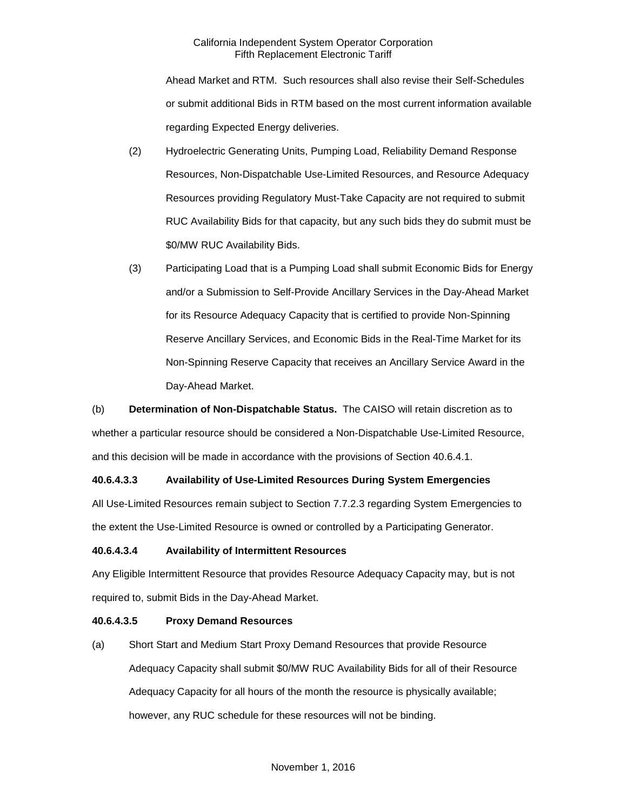Ahead Market and RTM. Such resources shall also revise their Self-Schedules or submit additional Bids in RTM based on the most current information available regarding Expected Energy deliveries.

- (2) Hydroelectric Generating Units, Pumping Load, Reliability Demand Response Resources, Non-Dispatchable Use-Limited Resources, and Resource Adequacy Resources providing Regulatory Must-Take Capacity are not required to submit RUC Availability Bids for that capacity, but any such bids they do submit must be \$0/MW RUC Availability Bids.
- (3) Participating Load that is a Pumping Load shall submit Economic Bids for Energy and/or a Submission to Self-Provide Ancillary Services in the Day-Ahead Market for its Resource Adequacy Capacity that is certified to provide Non-Spinning Reserve Ancillary Services, and Economic Bids in the Real-Time Market for its Non-Spinning Reserve Capacity that receives an Ancillary Service Award in the Day-Ahead Market.

(b) **Determination of Non-Dispatchable Status.** The CAISO will retain discretion as to whether a particular resource should be considered a Non-Dispatchable Use-Limited Resource, and this decision will be made in accordance with the provisions of Section 40.6.4.1.

# **40.6.4.3.3 Availability of Use-Limited Resources During System Emergencies**

All Use-Limited Resources remain subject to Section 7.7.2.3 regarding System Emergencies to the extent the Use-Limited Resource is owned or controlled by a Participating Generator.

#### **40.6.4.3.4 Availability of Intermittent Resources**

Any Eligible Intermittent Resource that provides Resource Adequacy Capacity may, but is not required to, submit Bids in the Day-Ahead Market.

#### **40.6.4.3.5 Proxy Demand Resources**

(a) Short Start and Medium Start Proxy Demand Resources that provide Resource Adequacy Capacity shall submit \$0/MW RUC Availability Bids for all of their Resource Adequacy Capacity for all hours of the month the resource is physically available; however, any RUC schedule for these resources will not be binding.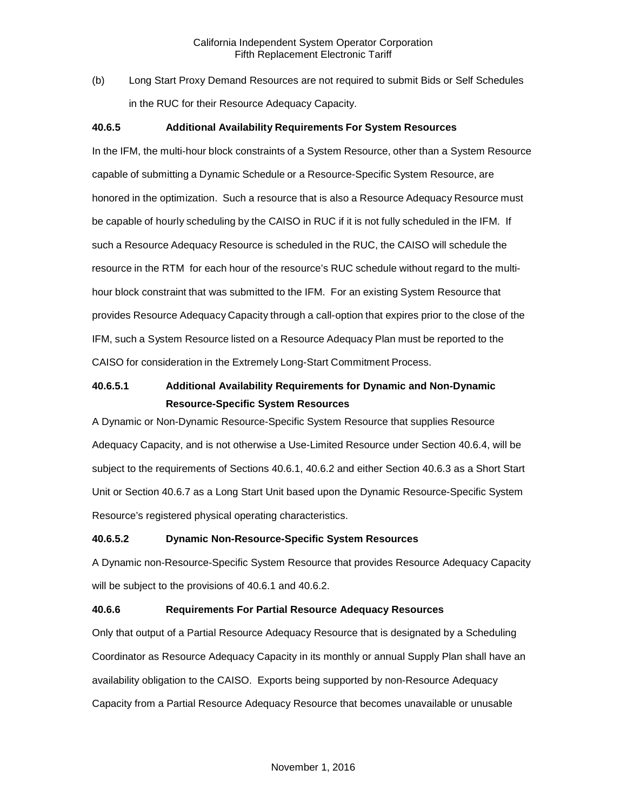(b) Long Start Proxy Demand Resources are not required to submit Bids or Self Schedules in the RUC for their Resource Adequacy Capacity.

### **40.6.5 Additional Availability Requirements For System Resources**

In the IFM, the multi-hour block constraints of a System Resource, other than a System Resource capable of submitting a Dynamic Schedule or a Resource-Specific System Resource, are honored in the optimization. Such a resource that is also a Resource Adequacy Resource must be capable of hourly scheduling by the CAISO in RUC if it is not fully scheduled in the IFM. If such a Resource Adequacy Resource is scheduled in the RUC, the CAISO will schedule the resource in the RTM for each hour of the resource's RUC schedule without regard to the multihour block constraint that was submitted to the IFM. For an existing System Resource that provides Resource Adequacy Capacity through a call-option that expires prior to the close of the IFM, such a System Resource listed on a Resource Adequacy Plan must be reported to the CAISO for consideration in the Extremely Long-Start Commitment Process.

# **40.6.5.1 Additional Availability Requirements for Dynamic and Non-Dynamic Resource-Specific System Resources**

A Dynamic or Non-Dynamic Resource-Specific System Resource that supplies Resource Adequacy Capacity, and is not otherwise a Use-Limited Resource under Section 40.6.4, will be subject to the requirements of Sections 40.6.1, 40.6.2 and either Section 40.6.3 as a Short Start Unit or Section 40.6.7 as a Long Start Unit based upon the Dynamic Resource-Specific System Resource's registered physical operating characteristics.

#### **40.6.5.2 Dynamic Non-Resource-Specific System Resources**

A Dynamic non-Resource-Specific System Resource that provides Resource Adequacy Capacity will be subject to the provisions of 40.6.1 and 40.6.2.

#### **40.6.6 Requirements For Partial Resource Adequacy Resources**

Only that output of a Partial Resource Adequacy Resource that is designated by a Scheduling Coordinator as Resource Adequacy Capacity in its monthly or annual Supply Plan shall have an availability obligation to the CAISO. Exports being supported by non-Resource Adequacy Capacity from a Partial Resource Adequacy Resource that becomes unavailable or unusable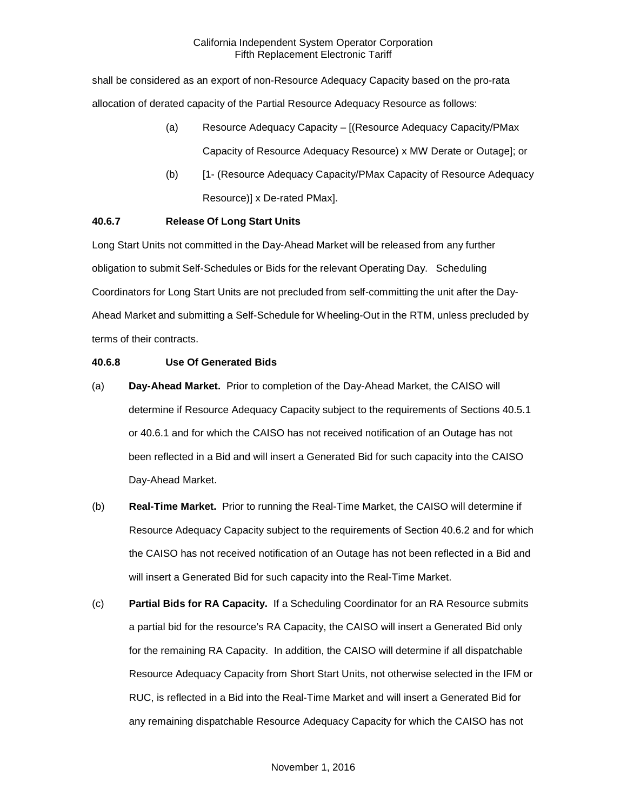shall be considered as an export of non-Resource Adequacy Capacity based on the pro-rata allocation of derated capacity of the Partial Resource Adequacy Resource as follows:

- (a) Resource Adequacy Capacity [(Resource Adequacy Capacity/PMax Capacity of Resource Adequacy Resource) x MW Derate or Outage]; or
- (b) [1- (Resource Adequacy Capacity/PMax Capacity of Resource Adequacy Resource)] x De-rated PMax].

# **40.6.7 Release Of Long Start Units**

Long Start Units not committed in the Day-Ahead Market will be released from any further obligation to submit Self-Schedules or Bids for the relevant Operating Day. Scheduling Coordinators for Long Start Units are not precluded from self-committing the unit after the Day-Ahead Market and submitting a Self-Schedule for Wheeling-Out in the RTM, unless precluded by terms of their contracts.

# **40.6.8 Use Of Generated Bids**

- (a) **Day-Ahead Market.** Prior to completion of the Day-Ahead Market, the CAISO will determine if Resource Adequacy Capacity subject to the requirements of Sections 40.5.1 or 40.6.1 and for which the CAISO has not received notification of an Outage has not been reflected in a Bid and will insert a Generated Bid for such capacity into the CAISO Day-Ahead Market.
- (b) **Real-Time Market.** Prior to running the Real-Time Market, the CAISO will determine if Resource Adequacy Capacity subject to the requirements of Section 40.6.2 and for which the CAISO has not received notification of an Outage has not been reflected in a Bid and will insert a Generated Bid for such capacity into the Real-Time Market.
- (c) **Partial Bids for RA Capacity.** If a Scheduling Coordinator for an RA Resource submits a partial bid for the resource's RA Capacity, the CAISO will insert a Generated Bid only for the remaining RA Capacity. In addition, the CAISO will determine if all dispatchable Resource Adequacy Capacity from Short Start Units, not otherwise selected in the IFM or RUC, is reflected in a Bid into the Real-Time Market and will insert a Generated Bid for any remaining dispatchable Resource Adequacy Capacity for which the CAISO has not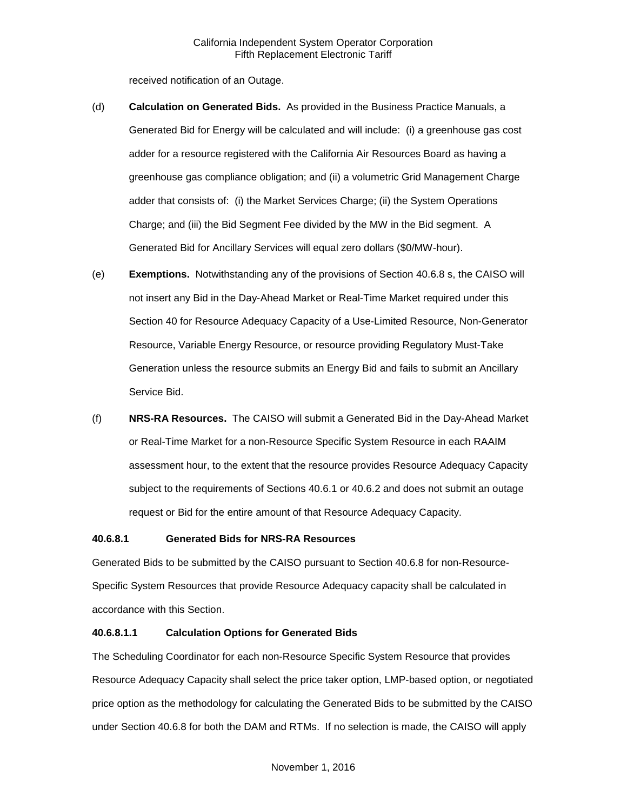received notification of an Outage.

- (d) **Calculation on Generated Bids.** As provided in the Business Practice Manuals, a Generated Bid for Energy will be calculated and will include: (i) a greenhouse gas cost adder for a resource registered with the California Air Resources Board as having a greenhouse gas compliance obligation; and (ii) a volumetric Grid Management Charge adder that consists of: (i) the Market Services Charge; (ii) the System Operations Charge; and (iii) the Bid Segment Fee divided by the MW in the Bid segment. A Generated Bid for Ancillary Services will equal zero dollars (\$0/MW-hour).
- (e) **Exemptions.** Notwithstanding any of the provisions of Section 40.6.8 s, the CAISO will not insert any Bid in the Day-Ahead Market or Real-Time Market required under this Section 40 for Resource Adequacy Capacity of a Use-Limited Resource, Non-Generator Resource, Variable Energy Resource, or resource providing Regulatory Must-Take Generation unless the resource submits an Energy Bid and fails to submit an Ancillary Service Bid.
- (f) **NRS-RA Resources.** The CAISO will submit a Generated Bid in the Day-Ahead Market or Real-Time Market for a non-Resource Specific System Resource in each RAAIM assessment hour, to the extent that the resource provides Resource Adequacy Capacity subject to the requirements of Sections 40.6.1 or 40.6.2 and does not submit an outage request or Bid for the entire amount of that Resource Adequacy Capacity.

#### **40.6.8.1 Generated Bids for NRS-RA Resources**

Generated Bids to be submitted by the CAISO pursuant to Section 40.6.8 for non-Resource-Specific System Resources that provide Resource Adequacy capacity shall be calculated in accordance with this Section.

# **40.6.8.1.1 Calculation Options for Generated Bids**

The Scheduling Coordinator for each non-Resource Specific System Resource that provides Resource Adequacy Capacity shall select the price taker option, LMP-based option, or negotiated price option as the methodology for calculating the Generated Bids to be submitted by the CAISO under Section 40.6.8 for both the DAM and RTMs. If no selection is made, the CAISO will apply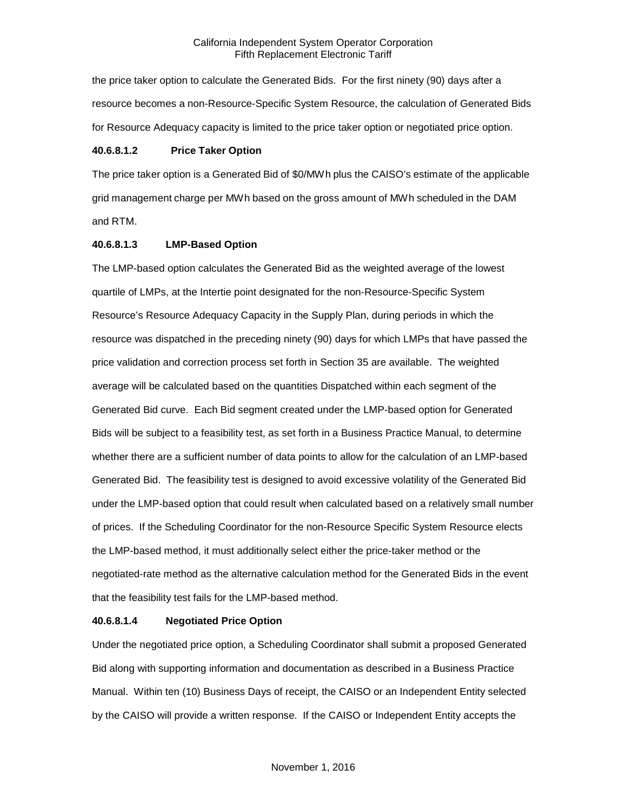the price taker option to calculate the Generated Bids. For the first ninety (90) days after a resource becomes a non-Resource-Specific System Resource, the calculation of Generated Bids for Resource Adequacy capacity is limited to the price taker option or negotiated price option.

#### **40.6.8.1.2 Price Taker Option**

The price taker option is a Generated Bid of \$0/MWh plus the CAISO's estimate of the applicable grid management charge per MWh based on the gross amount of MWh scheduled in the DAM and RTM.

#### **40.6.8.1.3 LMP-Based Option**

The LMP-based option calculates the Generated Bid as the weighted average of the lowest quartile of LMPs, at the Intertie point designated for the non-Resource-Specific System Resource's Resource Adequacy Capacity in the Supply Plan, during periods in which the resource was dispatched in the preceding ninety (90) days for which LMPs that have passed the price validation and correction process set forth in Section 35 are available. The weighted average will be calculated based on the quantities Dispatched within each segment of the Generated Bid curve. Each Bid segment created under the LMP-based option for Generated Bids will be subject to a feasibility test, as set forth in a Business Practice Manual, to determine whether there are a sufficient number of data points to allow for the calculation of an LMP-based Generated Bid. The feasibility test is designed to avoid excessive volatility of the Generated Bid under the LMP-based option that could result when calculated based on a relatively small number of prices. If the Scheduling Coordinator for the non-Resource Specific System Resource elects the LMP-based method, it must additionally select either the price-taker method or the negotiated-rate method as the alternative calculation method for the Generated Bids in the event that the feasibility test fails for the LMP-based method.

#### **40.6.8.1.4 Negotiated Price Option**

Under the negotiated price option, a Scheduling Coordinator shall submit a proposed Generated Bid along with supporting information and documentation as described in a Business Practice Manual. Within ten (10) Business Days of receipt, the CAISO or an Independent Entity selected by the CAISO will provide a written response. If the CAISO or Independent Entity accepts the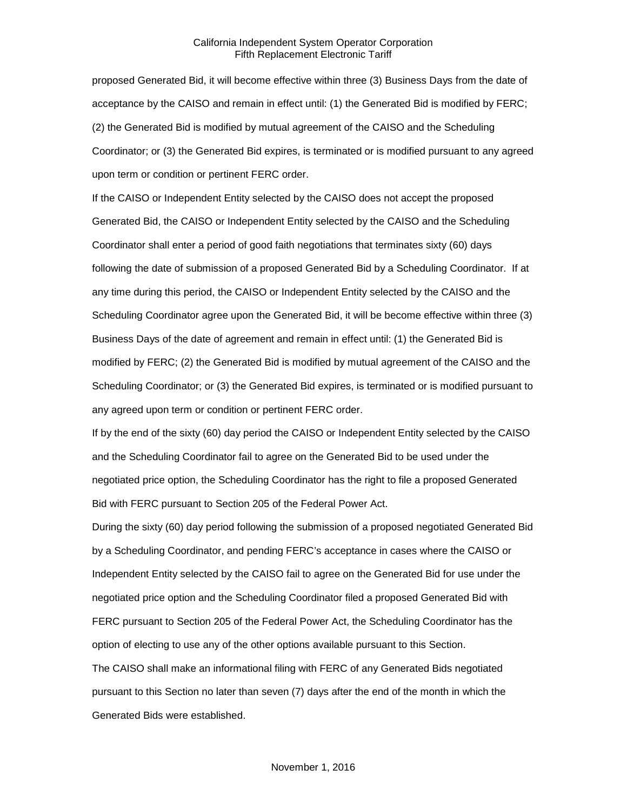proposed Generated Bid, it will become effective within three (3) Business Days from the date of acceptance by the CAISO and remain in effect until: (1) the Generated Bid is modified by FERC; (2) the Generated Bid is modified by mutual agreement of the CAISO and the Scheduling Coordinator; or (3) the Generated Bid expires, is terminated or is modified pursuant to any agreed upon term or condition or pertinent FERC order.

If the CAISO or Independent Entity selected by the CAISO does not accept the proposed Generated Bid, the CAISO or Independent Entity selected by the CAISO and the Scheduling Coordinator shall enter a period of good faith negotiations that terminates sixty (60) days following the date of submission of a proposed Generated Bid by a Scheduling Coordinator. If at any time during this period, the CAISO or Independent Entity selected by the CAISO and the Scheduling Coordinator agree upon the Generated Bid, it will be become effective within three (3) Business Days of the date of agreement and remain in effect until: (1) the Generated Bid is modified by FERC; (2) the Generated Bid is modified by mutual agreement of the CAISO and the Scheduling Coordinator; or (3) the Generated Bid expires, is terminated or is modified pursuant to any agreed upon term or condition or pertinent FERC order.

If by the end of the sixty (60) day period the CAISO or Independent Entity selected by the CAISO and the Scheduling Coordinator fail to agree on the Generated Bid to be used under the negotiated price option, the Scheduling Coordinator has the right to file a proposed Generated Bid with FERC pursuant to Section 205 of the Federal Power Act.

During the sixty (60) day period following the submission of a proposed negotiated Generated Bid by a Scheduling Coordinator, and pending FERC's acceptance in cases where the CAISO or Independent Entity selected by the CAISO fail to agree on the Generated Bid for use under the negotiated price option and the Scheduling Coordinator filed a proposed Generated Bid with FERC pursuant to Section 205 of the Federal Power Act, the Scheduling Coordinator has the option of electing to use any of the other options available pursuant to this Section. The CAISO shall make an informational filing with FERC of any Generated Bids negotiated

pursuant to this Section no later than seven (7) days after the end of the month in which the Generated Bids were established.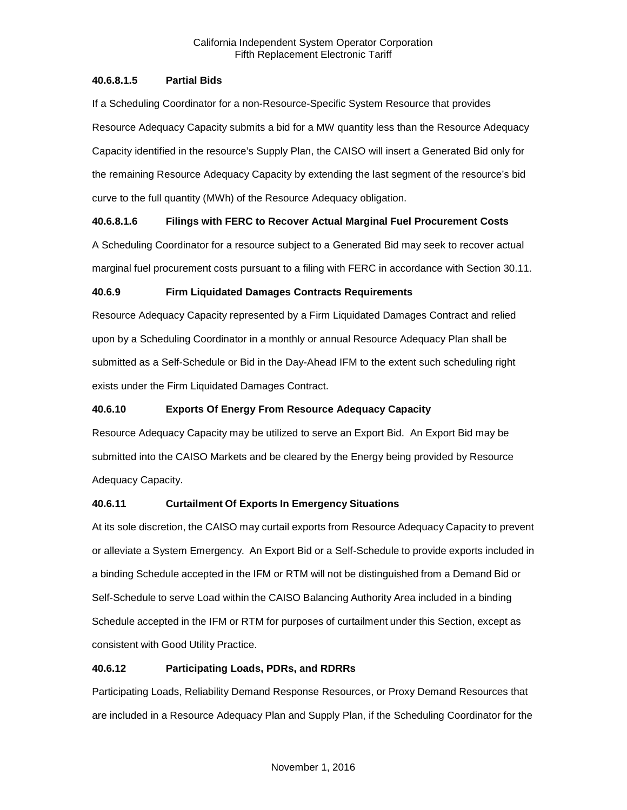# **40.6.8.1.5 Partial Bids**

If a Scheduling Coordinator for a non-Resource-Specific System Resource that provides Resource Adequacy Capacity submits a bid for a MW quantity less than the Resource Adequacy Capacity identified in the resource's Supply Plan, the CAISO will insert a Generated Bid only for the remaining Resource Adequacy Capacity by extending the last segment of the resource's bid curve to the full quantity (MWh) of the Resource Adequacy obligation.

# **40.6.8.1.6 Filings with FERC to Recover Actual Marginal Fuel Procurement Costs**

A Scheduling Coordinator for a resource subject to a Generated Bid may seek to recover actual marginal fuel procurement costs pursuant to a filing with FERC in accordance with Section 30.11.

# **40.6.9 Firm Liquidated Damages Contracts Requirements**

Resource Adequacy Capacity represented by a Firm Liquidated Damages Contract and relied upon by a Scheduling Coordinator in a monthly or annual Resource Adequacy Plan shall be submitted as a Self-Schedule or Bid in the Day-Ahead IFM to the extent such scheduling right exists under the Firm Liquidated Damages Contract.

# **40.6.10 Exports Of Energy From Resource Adequacy Capacity**

Resource Adequacy Capacity may be utilized to serve an Export Bid. An Export Bid may be submitted into the CAISO Markets and be cleared by the Energy being provided by Resource Adequacy Capacity.

# **40.6.11 Curtailment Of Exports In Emergency Situations**

At its sole discretion, the CAISO may curtail exports from Resource Adequacy Capacity to prevent or alleviate a System Emergency. An Export Bid or a Self-Schedule to provide exports included in a binding Schedule accepted in the IFM or RTM will not be distinguished from a Demand Bid or Self-Schedule to serve Load within the CAISO Balancing Authority Area included in a binding Schedule accepted in the IFM or RTM for purposes of curtailment under this Section, except as consistent with Good Utility Practice.

# **40.6.12 Participating Loads, PDRs, and RDRRs**

Participating Loads, Reliability Demand Response Resources, or Proxy Demand Resources that are included in a Resource Adequacy Plan and Supply Plan, if the Scheduling Coordinator for the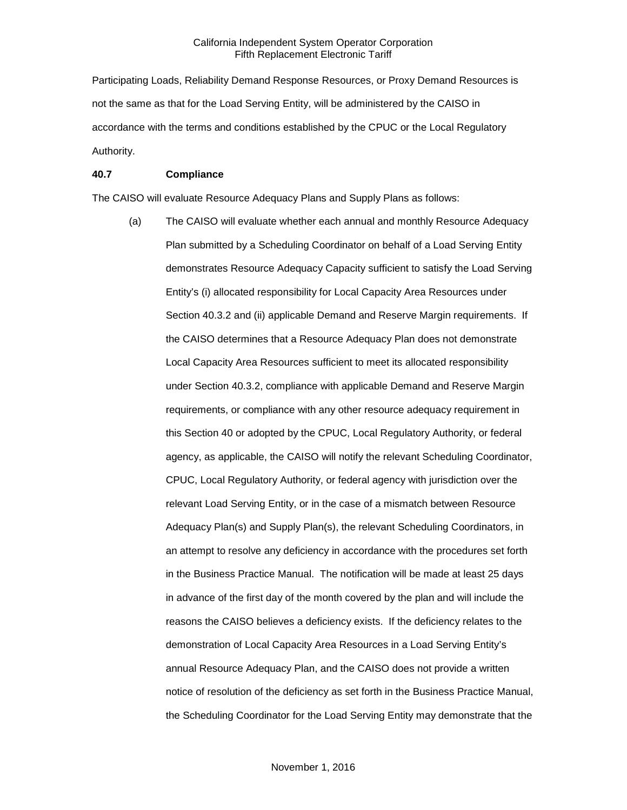Participating Loads, Reliability Demand Response Resources, or Proxy Demand Resources is not the same as that for the Load Serving Entity, will be administered by the CAISO in accordance with the terms and conditions established by the CPUC or the Local Regulatory Authority.

#### **40.7 Compliance**

The CAISO will evaluate Resource Adequacy Plans and Supply Plans as follows:

(a) The CAISO will evaluate whether each annual and monthly Resource Adequacy Plan submitted by a Scheduling Coordinator on behalf of a Load Serving Entity demonstrates Resource Adequacy Capacity sufficient to satisfy the Load Serving Entity's (i) allocated responsibility for Local Capacity Area Resources under Section 40.3.2 and (ii) applicable Demand and Reserve Margin requirements. If the CAISO determines that a Resource Adequacy Plan does not demonstrate Local Capacity Area Resources sufficient to meet its allocated responsibility under Section 40.3.2, compliance with applicable Demand and Reserve Margin requirements, or compliance with any other resource adequacy requirement in this Section 40 or adopted by the CPUC, Local Regulatory Authority, or federal agency, as applicable, the CAISO will notify the relevant Scheduling Coordinator, CPUC, Local Regulatory Authority, or federal agency with jurisdiction over the relevant Load Serving Entity, or in the case of a mismatch between Resource Adequacy Plan(s) and Supply Plan(s), the relevant Scheduling Coordinators, in an attempt to resolve any deficiency in accordance with the procedures set forth in the Business Practice Manual. The notification will be made at least 25 days in advance of the first day of the month covered by the plan and will include the reasons the CAISO believes a deficiency exists. If the deficiency relates to the demonstration of Local Capacity Area Resources in a Load Serving Entity's annual Resource Adequacy Plan, and the CAISO does not provide a written notice of resolution of the deficiency as set forth in the Business Practice Manual, the Scheduling Coordinator for the Load Serving Entity may demonstrate that the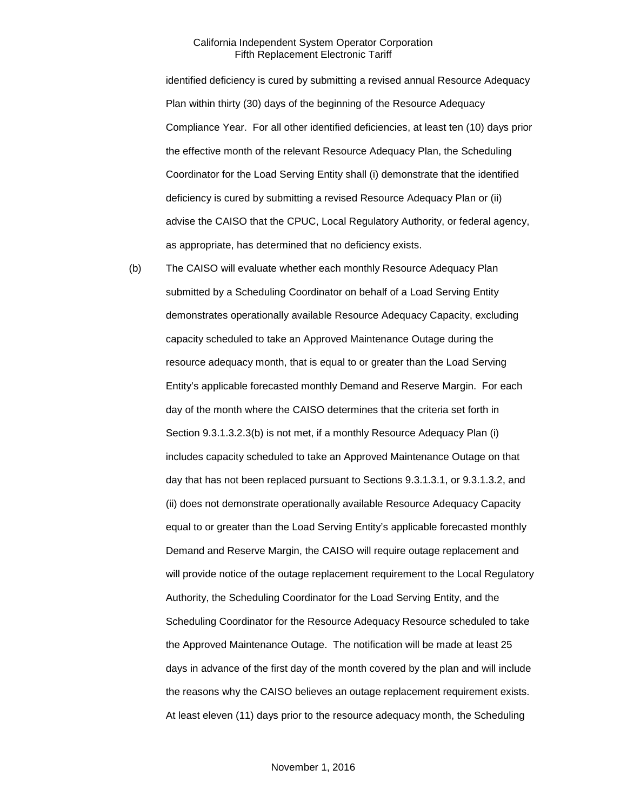identified deficiency is cured by submitting a revised annual Resource Adequacy Plan within thirty (30) days of the beginning of the Resource Adequacy Compliance Year. For all other identified deficiencies, at least ten (10) days prior the effective month of the relevant Resource Adequacy Plan, the Scheduling Coordinator for the Load Serving Entity shall (i) demonstrate that the identified deficiency is cured by submitting a revised Resource Adequacy Plan or (ii) advise the CAISO that the CPUC, Local Regulatory Authority, or federal agency, as appropriate, has determined that no deficiency exists.

(b) The CAISO will evaluate whether each monthly Resource Adequacy Plan submitted by a Scheduling Coordinator on behalf of a Load Serving Entity demonstrates operationally available Resource Adequacy Capacity, excluding capacity scheduled to take an Approved Maintenance Outage during the resource adequacy month, that is equal to or greater than the Load Serving Entity's applicable forecasted monthly Demand and Reserve Margin. For each day of the month where the CAISO determines that the criteria set forth in Section 9.3.1.3.2.3(b) is not met, if a monthly Resource Adequacy Plan (i) includes capacity scheduled to take an Approved Maintenance Outage on that day that has not been replaced pursuant to Sections 9.3.1.3.1, or 9.3.1.3.2, and (ii) does not demonstrate operationally available Resource Adequacy Capacity equal to or greater than the Load Serving Entity's applicable forecasted monthly Demand and Reserve Margin, the CAISO will require outage replacement and will provide notice of the outage replacement requirement to the Local Regulatory Authority, the Scheduling Coordinator for the Load Serving Entity, and the Scheduling Coordinator for the Resource Adequacy Resource scheduled to take the Approved Maintenance Outage. The notification will be made at least 25 days in advance of the first day of the month covered by the plan and will include the reasons why the CAISO believes an outage replacement requirement exists. At least eleven (11) days prior to the resource adequacy month, the Scheduling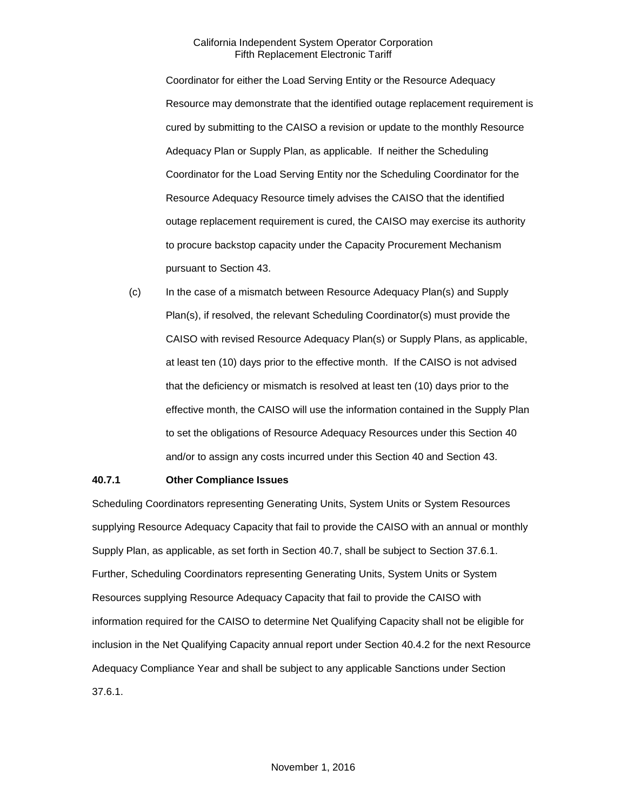Coordinator for either the Load Serving Entity or the Resource Adequacy Resource may demonstrate that the identified outage replacement requirement is cured by submitting to the CAISO a revision or update to the monthly Resource Adequacy Plan or Supply Plan, as applicable. If neither the Scheduling Coordinator for the Load Serving Entity nor the Scheduling Coordinator for the Resource Adequacy Resource timely advises the CAISO that the identified outage replacement requirement is cured, the CAISO may exercise its authority to procure backstop capacity under the Capacity Procurement Mechanism pursuant to Section 43.

(c) In the case of a mismatch between Resource Adequacy Plan(s) and Supply Plan(s), if resolved, the relevant Scheduling Coordinator(s) must provide the CAISO with revised Resource Adequacy Plan(s) or Supply Plans, as applicable, at least ten (10) days prior to the effective month. If the CAISO is not advised that the deficiency or mismatch is resolved at least ten (10) days prior to the effective month, the CAISO will use the information contained in the Supply Plan to set the obligations of Resource Adequacy Resources under this Section 40 and/or to assign any costs incurred under this Section 40 and Section 43.

#### **40.7.1 Other Compliance Issues**

Scheduling Coordinators representing Generating Units, System Units or System Resources supplying Resource Adequacy Capacity that fail to provide the CAISO with an annual or monthly Supply Plan, as applicable, as set forth in Section 40.7, shall be subject to Section 37.6.1. Further, Scheduling Coordinators representing Generating Units, System Units or System Resources supplying Resource Adequacy Capacity that fail to provide the CAISO with information required for the CAISO to determine Net Qualifying Capacity shall not be eligible for inclusion in the Net Qualifying Capacity annual report under Section 40.4.2 for the next Resource Adequacy Compliance Year and shall be subject to any applicable Sanctions under Section 37.6.1.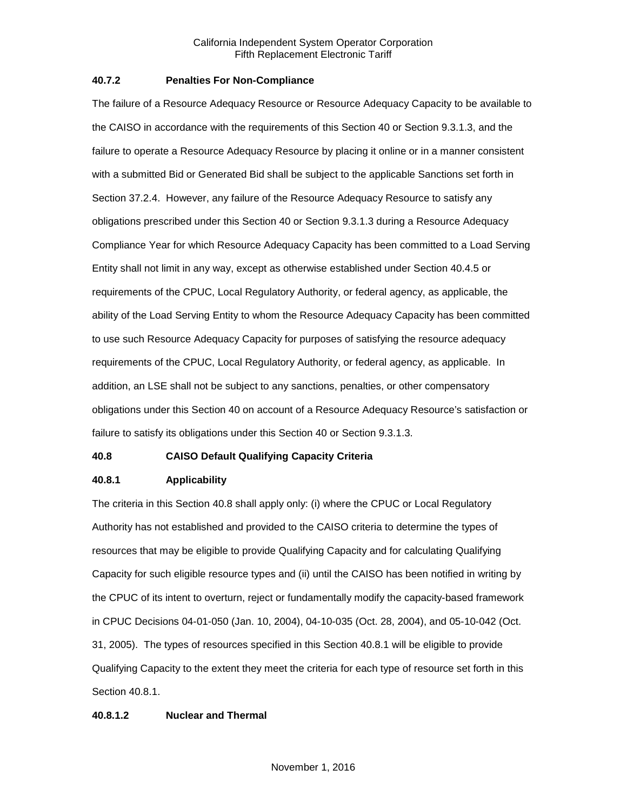#### **40.7.2 Penalties For Non-Compliance**

The failure of a Resource Adequacy Resource or Resource Adequacy Capacity to be available to the CAISO in accordance with the requirements of this Section 40 or Section 9.3.1.3, and the failure to operate a Resource Adequacy Resource by placing it online or in a manner consistent with a submitted Bid or Generated Bid shall be subject to the applicable Sanctions set forth in Section 37.2.4. However, any failure of the Resource Adequacy Resource to satisfy any obligations prescribed under this Section 40 or Section 9.3.1.3 during a Resource Adequacy Compliance Year for which Resource Adequacy Capacity has been committed to a Load Serving Entity shall not limit in any way, except as otherwise established under Section 40.4.5 or requirements of the CPUC, Local Regulatory Authority, or federal agency, as applicable, the ability of the Load Serving Entity to whom the Resource Adequacy Capacity has been committed to use such Resource Adequacy Capacity for purposes of satisfying the resource adequacy requirements of the CPUC, Local Regulatory Authority, or federal agency, as applicable. In addition, an LSE shall not be subject to any sanctions, penalties, or other compensatory obligations under this Section 40 on account of a Resource Adequacy Resource's satisfaction or failure to satisfy its obligations under this Section 40 or Section 9.3.1.3.

#### **40.8 CAISO Default Qualifying Capacity Criteria**

#### **40.8.1 Applicability**

The criteria in this Section 40.8 shall apply only: (i) where the CPUC or Local Regulatory Authority has not established and provided to the CAISO criteria to determine the types of resources that may be eligible to provide Qualifying Capacity and for calculating Qualifying Capacity for such eligible resource types and (ii) until the CAISO has been notified in writing by the CPUC of its intent to overturn, reject or fundamentally modify the capacity-based framework in CPUC Decisions 04-01-050 (Jan. 10, 2004), 04-10-035 (Oct. 28, 2004), and 05-10-042 (Oct. 31, 2005). The types of resources specified in this Section 40.8.1 will be eligible to provide Qualifying Capacity to the extent they meet the criteria for each type of resource set forth in this Section 40.8.1.

#### **40.8.1.2 Nuclear and Thermal**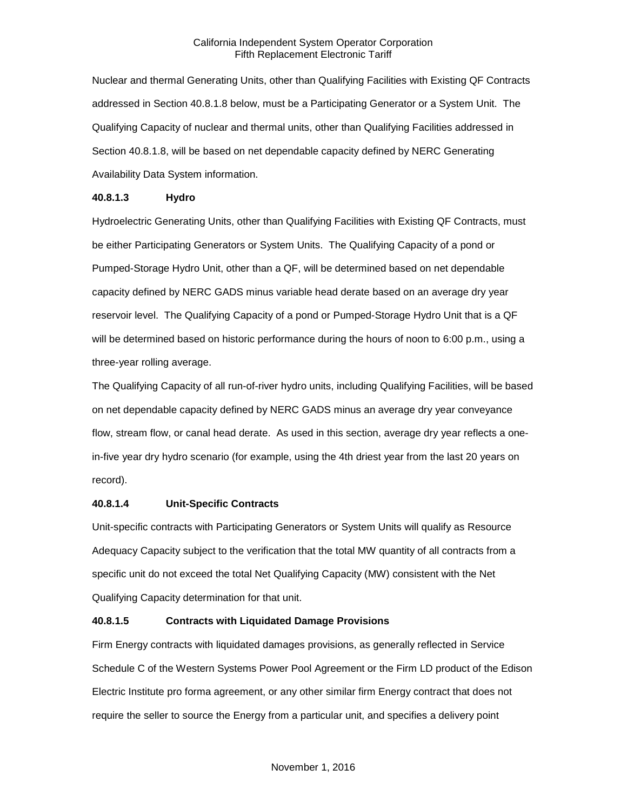Nuclear and thermal Generating Units, other than Qualifying Facilities with Existing QF Contracts addressed in Section 40.8.1.8 below, must be a Participating Generator or a System Unit. The Qualifying Capacity of nuclear and thermal units, other than Qualifying Facilities addressed in Section 40.8.1.8, will be based on net dependable capacity defined by NERC Generating Availability Data System information.

#### **40.8.1.3 Hydro**

Hydroelectric Generating Units, other than Qualifying Facilities with Existing QF Contracts, must be either Participating Generators or System Units. The Qualifying Capacity of a pond or Pumped-Storage Hydro Unit, other than a QF, will be determined based on net dependable capacity defined by NERC GADS minus variable head derate based on an average dry year reservoir level. The Qualifying Capacity of a pond or Pumped-Storage Hydro Unit that is a QF will be determined based on historic performance during the hours of noon to 6:00 p.m., using a three-year rolling average.

The Qualifying Capacity of all run-of-river hydro units, including Qualifying Facilities, will be based on net dependable capacity defined by NERC GADS minus an average dry year conveyance flow, stream flow, or canal head derate. As used in this section, average dry year reflects a onein-five year dry hydro scenario (for example, using the 4th driest year from the last 20 years on record).

#### **40.8.1.4 Unit-Specific Contracts**

Unit-specific contracts with Participating Generators or System Units will qualify as Resource Adequacy Capacity subject to the verification that the total MW quantity of all contracts from a specific unit do not exceed the total Net Qualifying Capacity (MW) consistent with the Net Qualifying Capacity determination for that unit.

#### **40.8.1.5 Contracts with Liquidated Damage Provisions**

Firm Energy contracts with liquidated damages provisions, as generally reflected in Service Schedule C of the Western Systems Power Pool Agreement or the Firm LD product of the Edison Electric Institute pro forma agreement, or any other similar firm Energy contract that does not require the seller to source the Energy from a particular unit, and specifies a delivery point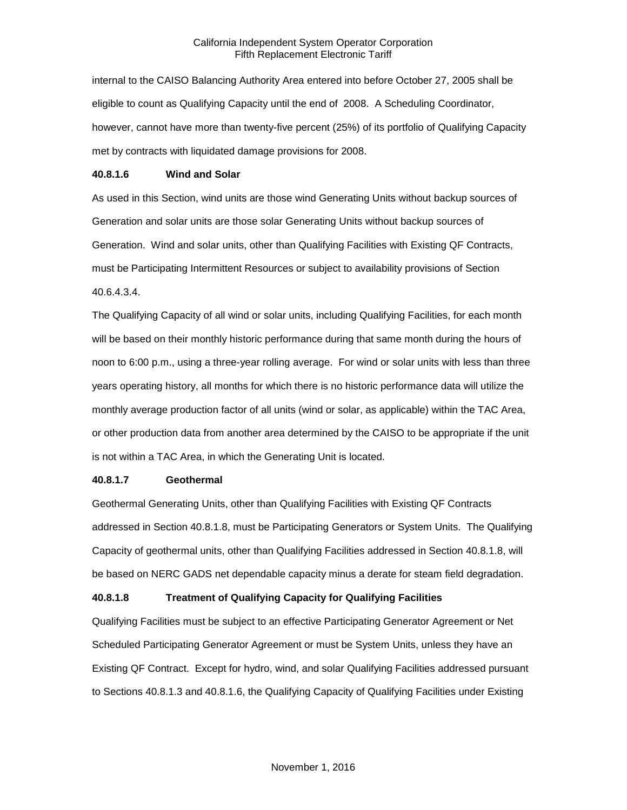internal to the CAISO Balancing Authority Area entered into before October 27, 2005 shall be eligible to count as Qualifying Capacity until the end of 2008. A Scheduling Coordinator, however, cannot have more than twenty-five percent (25%) of its portfolio of Qualifying Capacity met by contracts with liquidated damage provisions for 2008.

#### **40.8.1.6 Wind and Solar**

As used in this Section, wind units are those wind Generating Units without backup sources of Generation and solar units are those solar Generating Units without backup sources of Generation. Wind and solar units, other than Qualifying Facilities with Existing QF Contracts, must be Participating Intermittent Resources or subject to availability provisions of Section 40.6.4.3.4.

The Qualifying Capacity of all wind or solar units, including Qualifying Facilities, for each month will be based on their monthly historic performance during that same month during the hours of noon to 6:00 p.m., using a three-year rolling average. For wind or solar units with less than three years operating history, all months for which there is no historic performance data will utilize the monthly average production factor of all units (wind or solar, as applicable) within the TAC Area, or other production data from another area determined by the CAISO to be appropriate if the unit is not within a TAC Area, in which the Generating Unit is located.

#### **40.8.1.7 Geothermal**

Geothermal Generating Units, other than Qualifying Facilities with Existing QF Contracts addressed in Section 40.8.1.8, must be Participating Generators or System Units. The Qualifying Capacity of geothermal units, other than Qualifying Facilities addressed in Section 40.8.1.8, will be based on NERC GADS net dependable capacity minus a derate for steam field degradation.

#### **40.8.1.8 Treatment of Qualifying Capacity for Qualifying Facilities**

Qualifying Facilities must be subject to an effective Participating Generator Agreement or Net Scheduled Participating Generator Agreement or must be System Units, unless they have an Existing QF Contract. Except for hydro, wind, and solar Qualifying Facilities addressed pursuant to Sections 40.8.1.3 and 40.8.1.6, the Qualifying Capacity of Qualifying Facilities under Existing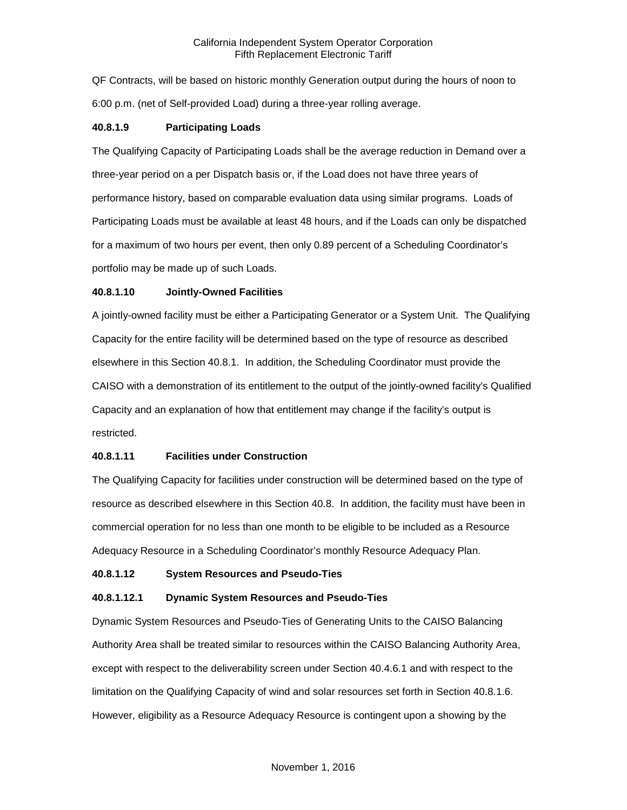QF Contracts, will be based on historic monthly Generation output during the hours of noon to 6:00 p.m. (net of Self-provided Load) during a three-year rolling average.

#### **40.8.1.9 Participating Loads**

The Qualifying Capacity of Participating Loads shall be the average reduction in Demand over a three-year period on a per Dispatch basis or, if the Load does not have three years of performance history, based on comparable evaluation data using similar programs. Loads of Participating Loads must be available at least 48 hours, and if the Loads can only be dispatched for a maximum of two hours per event, then only 0.89 percent of a Scheduling Coordinator's portfolio may be made up of such Loads.

#### **40.8.1.10 Jointly-Owned Facilities**

A jointly-owned facility must be either a Participating Generator or a System Unit. The Qualifying Capacity for the entire facility will be determined based on the type of resource as described elsewhere in this Section 40.8.1. In addition, the Scheduling Coordinator must provide the CAISO with a demonstration of its entitlement to the output of the jointly-owned facility's Qualified Capacity and an explanation of how that entitlement may change if the facility's output is restricted.

#### **40.8.1.11 Facilities under Construction**

The Qualifying Capacity for facilities under construction will be determined based on the type of resource as described elsewhere in this Section 40.8. In addition, the facility must have been in commercial operation for no less than one month to be eligible to be included as a Resource Adequacy Resource in a Scheduling Coordinator's monthly Resource Adequacy Plan.

#### **40.8.1.12 System Resources and Pseudo-Ties**

#### **40.8.1.12.1 Dynamic System Resources and Pseudo-Ties**

Dynamic System Resources and Pseudo-Ties of Generating Units to the CAISO Balancing Authority Area shall be treated similar to resources within the CAISO Balancing Authority Area, except with respect to the deliverability screen under Section 40.4.6.1 and with respect to the limitation on the Qualifying Capacity of wind and solar resources set forth in Section 40.8.1.6. However, eligibility as a Resource Adequacy Resource is contingent upon a showing by the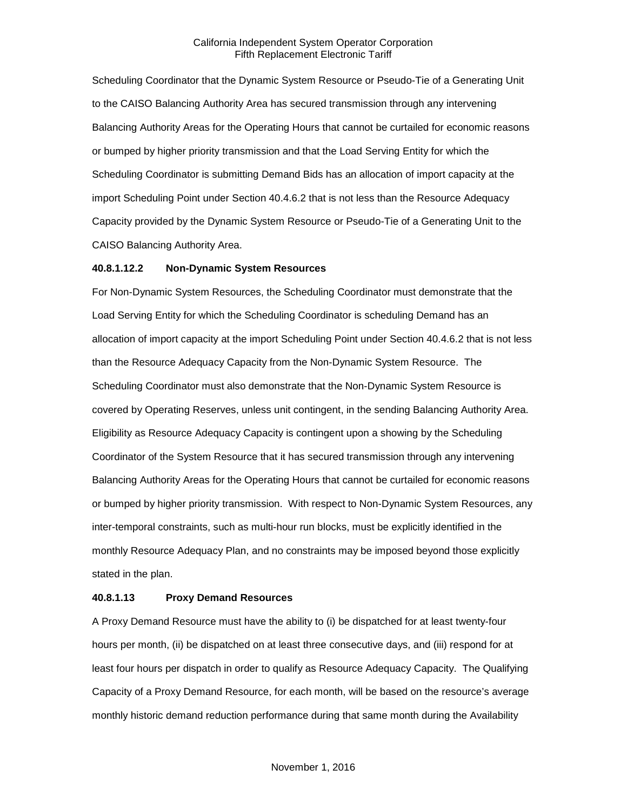Scheduling Coordinator that the Dynamic System Resource or Pseudo-Tie of a Generating Unit to the CAISO Balancing Authority Area has secured transmission through any intervening Balancing Authority Areas for the Operating Hours that cannot be curtailed for economic reasons or bumped by higher priority transmission and that the Load Serving Entity for which the Scheduling Coordinator is submitting Demand Bids has an allocation of import capacity at the import Scheduling Point under Section 40.4.6.2 that is not less than the Resource Adequacy Capacity provided by the Dynamic System Resource or Pseudo-Tie of a Generating Unit to the CAISO Balancing Authority Area.

#### **40.8.1.12.2 Non-Dynamic System Resources**

For Non-Dynamic System Resources, the Scheduling Coordinator must demonstrate that the Load Serving Entity for which the Scheduling Coordinator is scheduling Demand has an allocation of import capacity at the import Scheduling Point under Section 40.4.6.2 that is not less than the Resource Adequacy Capacity from the Non-Dynamic System Resource. The Scheduling Coordinator must also demonstrate that the Non-Dynamic System Resource is covered by Operating Reserves, unless unit contingent, in the sending Balancing Authority Area. Eligibility as Resource Adequacy Capacity is contingent upon a showing by the Scheduling Coordinator of the System Resource that it has secured transmission through any intervening Balancing Authority Areas for the Operating Hours that cannot be curtailed for economic reasons or bumped by higher priority transmission. With respect to Non-Dynamic System Resources, any inter-temporal constraints, such as multi-hour run blocks, must be explicitly identified in the monthly Resource Adequacy Plan, and no constraints may be imposed beyond those explicitly stated in the plan.

#### **40.8.1.13 Proxy Demand Resources**

A Proxy Demand Resource must have the ability to (i) be dispatched for at least twenty-four hours per month, (ii) be dispatched on at least three consecutive days, and (iii) respond for at least four hours per dispatch in order to qualify as Resource Adequacy Capacity. The Qualifying Capacity of a Proxy Demand Resource, for each month, will be based on the resource's average monthly historic demand reduction performance during that same month during the Availability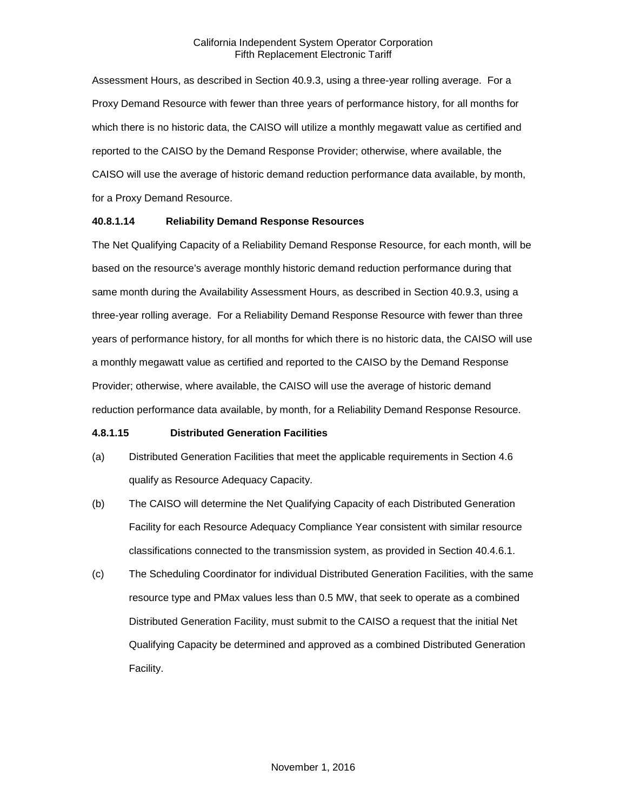Assessment Hours, as described in Section 40.9.3, using a three-year rolling average. For a Proxy Demand Resource with fewer than three years of performance history, for all months for which there is no historic data, the CAISO will utilize a monthly megawatt value as certified and reported to the CAISO by the Demand Response Provider; otherwise, where available, the CAISO will use the average of historic demand reduction performance data available, by month, for a Proxy Demand Resource.

#### **40.8.1.14 Reliability Demand Response Resources**

The Net Qualifying Capacity of a Reliability Demand Response Resource, for each month, will be based on the resource's average monthly historic demand reduction performance during that same month during the Availability Assessment Hours, as described in Section 40.9.3, using a three-year rolling average. For a Reliability Demand Response Resource with fewer than three years of performance history, for all months for which there is no historic data, the CAISO will use a monthly megawatt value as certified and reported to the CAISO by the Demand Response Provider; otherwise, where available, the CAISO will use the average of historic demand reduction performance data available, by month, for a Reliability Demand Response Resource.

#### **4.8.1.15 Distributed Generation Facilities**

- (a) Distributed Generation Facilities that meet the applicable requirements in Section 4.6 qualify as Resource Adequacy Capacity.
- (b) The CAISO will determine the Net Qualifying Capacity of each Distributed Generation Facility for each Resource Adequacy Compliance Year consistent with similar resource classifications connected to the transmission system, as provided in Section 40.4.6.1.
- (c) The Scheduling Coordinator for individual Distributed Generation Facilities, with the same resource type and PMax values less than 0.5 MW, that seek to operate as a combined Distributed Generation Facility, must submit to the CAISO a request that the initial Net Qualifying Capacity be determined and approved as a combined Distributed Generation Facility.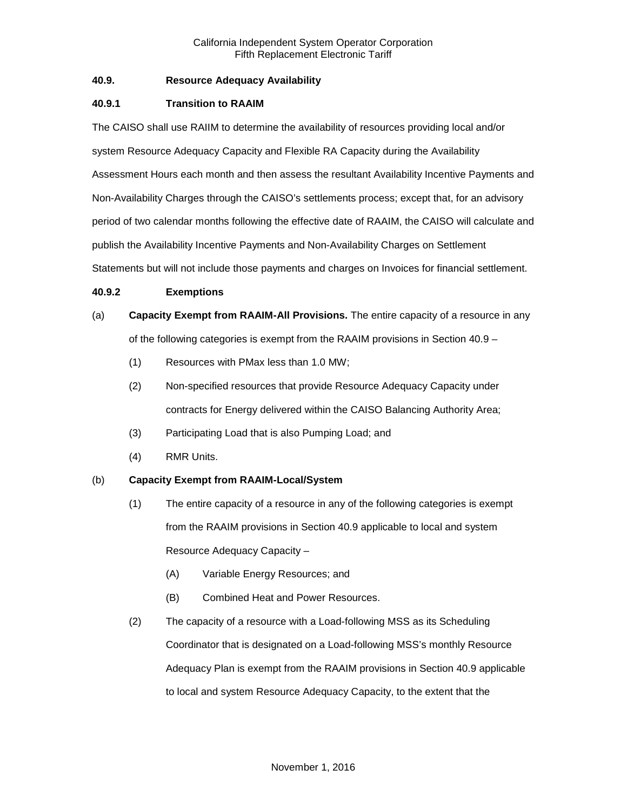# **40.9. Resource Adequacy Availability**

# **40.9.1 Transition to RAAIM**

The CAISO shall use RAIIM to determine the availability of resources providing local and/or system Resource Adequacy Capacity and Flexible RA Capacity during the Availability Assessment Hours each month and then assess the resultant Availability Incentive Payments and Non-Availability Charges through the CAISO's settlements process; except that, for an advisory period of two calendar months following the effective date of RAAIM, the CAISO will calculate and publish the Availability Incentive Payments and Non-Availability Charges on Settlement Statements but will not include those payments and charges on Invoices for financial settlement.

#### **40.9.2 Exemptions**

- (a) **Capacity Exempt from RAAIM-All Provisions.** The entire capacity of a resource in any of the following categories is exempt from the RAAIM provisions in Section 40.9 –
	- (1) Resources with PMax less than 1.0 MW;
	- (2) Non-specified resources that provide Resource Adequacy Capacity under contracts for Energy delivered within the CAISO Balancing Authority Area;
	- (3) Participating Load that is also Pumping Load; and
	- (4) RMR Units.

#### (b) **Capacity Exempt from RAAIM-Local/System**

- (1) The entire capacity of a resource in any of the following categories is exempt from the RAAIM provisions in Section 40.9 applicable to local and system Resource Adequacy Capacity –
	- (A) Variable Energy Resources; and
	- (B) Combined Heat and Power Resources.
- (2) The capacity of a resource with a Load-following MSS as its Scheduling Coordinator that is designated on a Load-following MSS's monthly Resource Adequacy Plan is exempt from the RAAIM provisions in Section 40.9 applicable to local and system Resource Adequacy Capacity, to the extent that the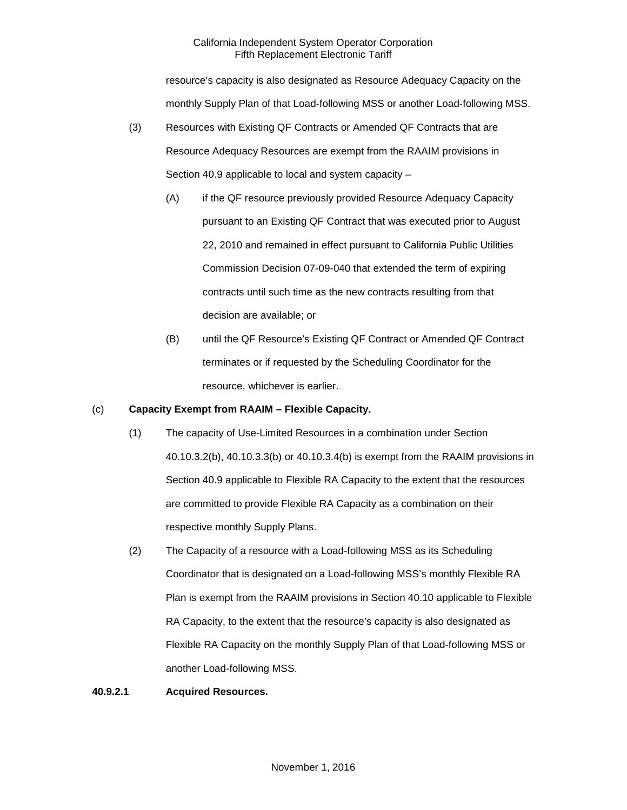resource's capacity is also designated as Resource Adequacy Capacity on the monthly Supply Plan of that Load-following MSS or another Load-following MSS.

- (3) Resources with Existing QF Contracts or Amended QF Contracts that are Resource Adequacy Resources are exempt from the RAAIM provisions in Section 40.9 applicable to local and system capacity –
	- (A) if the QF resource previously provided Resource Adequacy Capacity pursuant to an Existing QF Contract that was executed prior to August 22, 2010 and remained in effect pursuant to California Public Utilities Commission Decision 07-09-040 that extended the term of expiring contracts until such time as the new contracts resulting from that decision are available; or
	- (B) until the QF Resource's Existing QF Contract or Amended QF Contract terminates or if requested by the Scheduling Coordinator for the resource, whichever is earlier.

### (c) **Capacity Exempt from RAAIM – Flexible Capacity.**

- (1) The capacity of Use-Limited Resources in a combination under Section 40.10.3.2(b), 40.10.3.3(b) or 40.10.3.4(b) is exempt from the RAAIM provisions in Section 40.9 applicable to Flexible RA Capacity to the extent that the resources are committed to provide Flexible RA Capacity as a combination on their respective monthly Supply Plans.
- (2) The Capacity of a resource with a Load-following MSS as its Scheduling Coordinator that is designated on a Load-following MSS's monthly Flexible RA Plan is exempt from the RAAIM provisions in Section 40.10 applicable to Flexible RA Capacity, to the extent that the resource's capacity is also designated as Flexible RA Capacity on the monthly Supply Plan of that Load-following MSS or another Load-following MSS.

#### **40.9.2.1 Acquired Resources.**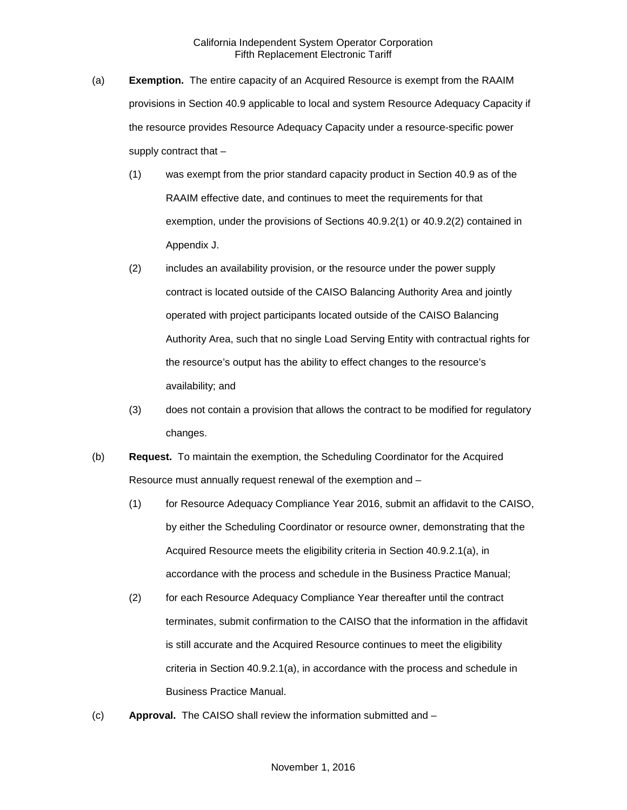- (a) **Exemption.** The entire capacity of an Acquired Resource is exempt from the RAAIM provisions in Section 40.9 applicable to local and system Resource Adequacy Capacity if the resource provides Resource Adequacy Capacity under a resource-specific power supply contract that –
	- (1) was exempt from the prior standard capacity product in Section 40.9 as of the RAAIM effective date, and continues to meet the requirements for that exemption, under the provisions of Sections 40.9.2(1) or 40.9.2(2) contained in Appendix J.
	- (2) includes an availability provision, or the resource under the power supply contract is located outside of the CAISO Balancing Authority Area and jointly operated with project participants located outside of the CAISO Balancing Authority Area, such that no single Load Serving Entity with contractual rights for the resource's output has the ability to effect changes to the resource's availability; and
	- (3) does not contain a provision that allows the contract to be modified for regulatory changes.
- (b) **Request.** To maintain the exemption, the Scheduling Coordinator for the Acquired Resource must annually request renewal of the exemption and –
	- (1) for Resource Adequacy Compliance Year 2016, submit an affidavit to the CAISO, by either the Scheduling Coordinator or resource owner, demonstrating that the Acquired Resource meets the eligibility criteria in Section 40.9.2.1(a), in accordance with the process and schedule in the Business Practice Manual;
	- (2) for each Resource Adequacy Compliance Year thereafter until the contract terminates, submit confirmation to the CAISO that the information in the affidavit is still accurate and the Acquired Resource continues to meet the eligibility criteria in Section 40.9.2.1(a), in accordance with the process and schedule in Business Practice Manual.
- (c) **Approval.** The CAISO shall review the information submitted and –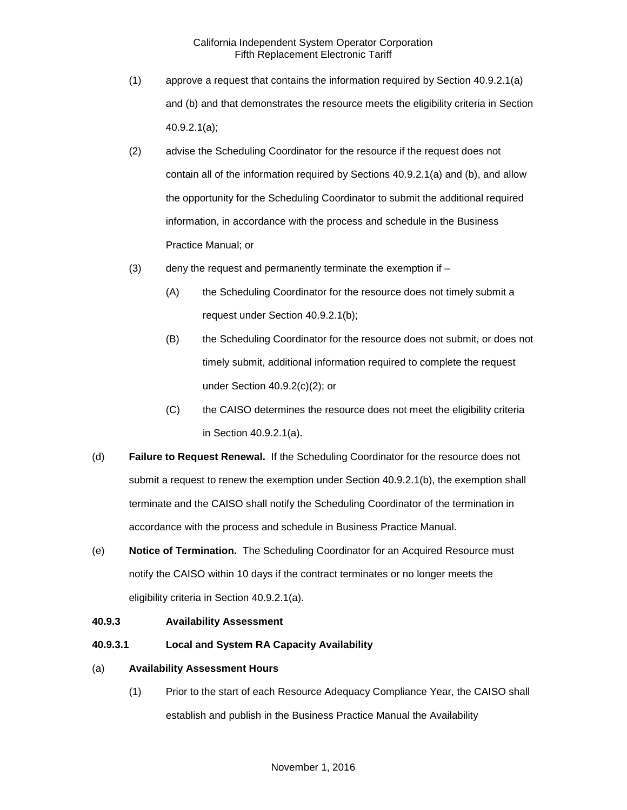- (1) approve a request that contains the information required by Section 40.9.2.1(a) and (b) and that demonstrates the resource meets the eligibility criteria in Section 40.9.2.1(a);
- (2) advise the Scheduling Coordinator for the resource if the request does not contain all of the information required by Sections 40.9.2.1(a) and (b), and allow the opportunity for the Scheduling Coordinator to submit the additional required information, in accordance with the process and schedule in the Business Practice Manual; or
- (3) deny the request and permanently terminate the exemption if
	- (A) the Scheduling Coordinator for the resource does not timely submit a request under Section 40.9.2.1(b);
	- (B) the Scheduling Coordinator for the resource does not submit, or does not timely submit, additional information required to complete the request under Section 40.9.2(c)(2); or
	- (C) the CAISO determines the resource does not meet the eligibility criteria in Section 40.9.2.1(a).
- (d) **Failure to Request Renewal.** If the Scheduling Coordinator for the resource does not submit a request to renew the exemption under Section 40.9.2.1(b), the exemption shall terminate and the CAISO shall notify the Scheduling Coordinator of the termination in accordance with the process and schedule in Business Practice Manual.
- (e) **Notice of Termination.** The Scheduling Coordinator for an Acquired Resource must notify the CAISO within 10 days if the contract terminates or no longer meets the eligibility criteria in Section 40.9.2.1(a).

#### **40.9.3 Availability Assessment**

**40.9.3.1 Local and System RA Capacity Availability** 

#### (a) **Availability Assessment Hours**

(1) Prior to the start of each Resource Adequacy Compliance Year, the CAISO shall establish and publish in the Business Practice Manual the Availability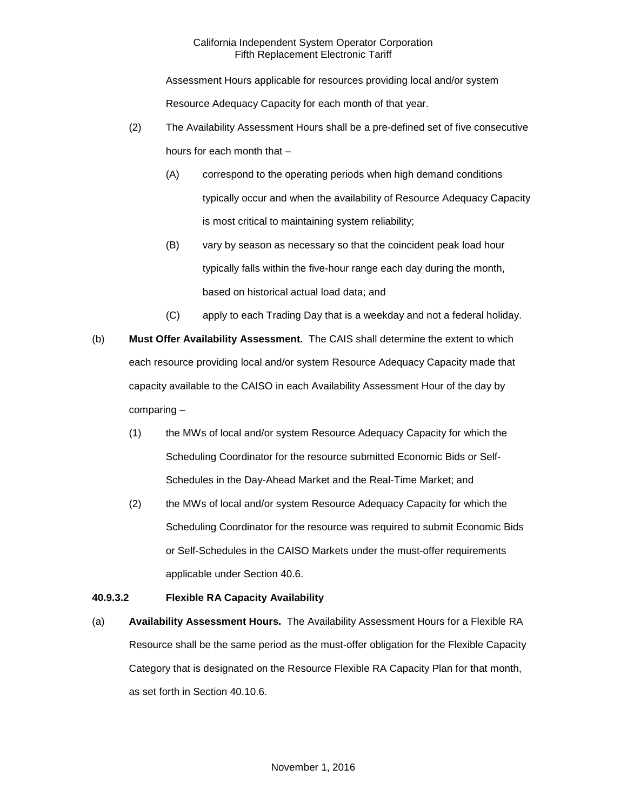Assessment Hours applicable for resources providing local and/or system Resource Adequacy Capacity for each month of that year.

- (2) The Availability Assessment Hours shall be a pre-defined set of five consecutive hours for each month that –
	- (A) correspond to the operating periods when high demand conditions typically occur and when the availability of Resource Adequacy Capacity is most critical to maintaining system reliability;
	- (B) vary by season as necessary so that the coincident peak load hour typically falls within the five-hour range each day during the month, based on historical actual load data; and
	- (C) apply to each Trading Day that is a weekday and not a federal holiday.
- (b) **Must Offer Availability Assessment.** The CAIS shall determine the extent to which each resource providing local and/or system Resource Adequacy Capacity made that capacity available to the CAISO in each Availability Assessment Hour of the day by comparing –
	- (1) the MWs of local and/or system Resource Adequacy Capacity for which the Scheduling Coordinator for the resource submitted Economic Bids or Self-Schedules in the Day-Ahead Market and the Real-Time Market; and
	- (2) the MWs of local and/or system Resource Adequacy Capacity for which the Scheduling Coordinator for the resource was required to submit Economic Bids or Self-Schedules in the CAISO Markets under the must-offer requirements applicable under Section 40.6.

# **40.9.3.2 Flexible RA Capacity Availability**

(a) **Availability Assessment Hours.** The Availability Assessment Hours for a Flexible RA Resource shall be the same period as the must-offer obligation for the Flexible Capacity Category that is designated on the Resource Flexible RA Capacity Plan for that month, as set forth in Section 40.10.6.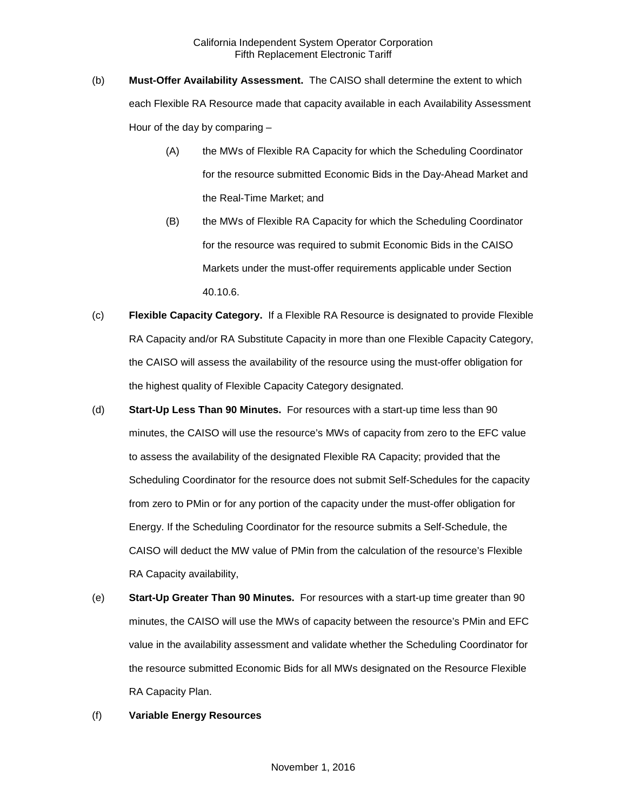- (b) **Must-Offer Availability Assessment.** The CAISO shall determine the extent to which each Flexible RA Resource made that capacity available in each Availability Assessment Hour of the day by comparing –
	- (A) the MWs of Flexible RA Capacity for which the Scheduling Coordinator for the resource submitted Economic Bids in the Day-Ahead Market and the Real-Time Market; and
	- (B) the MWs of Flexible RA Capacity for which the Scheduling Coordinator for the resource was required to submit Economic Bids in the CAISO Markets under the must-offer requirements applicable under Section 40.10.6.
- (c) **Flexible Capacity Category.** If a Flexible RA Resource is designated to provide Flexible RA Capacity and/or RA Substitute Capacity in more than one Flexible Capacity Category, the CAISO will assess the availability of the resource using the must-offer obligation for the highest quality of Flexible Capacity Category designated.
- (d) **Start-Up Less Than 90 Minutes.** For resources with a start-up time less than 90 minutes, the CAISO will use the resource's MWs of capacity from zero to the EFC value to assess the availability of the designated Flexible RA Capacity; provided that the Scheduling Coordinator for the resource does not submit Self-Schedules for the capacity from zero to PMin or for any portion of the capacity under the must-offer obligation for Energy. If the Scheduling Coordinator for the resource submits a Self-Schedule, the CAISO will deduct the MW value of PMin from the calculation of the resource's Flexible RA Capacity availability,
- (e) **Start-Up Greater Than 90 Minutes.** For resources with a start-up time greater than 90 minutes, the CAISO will use the MWs of capacity between the resource's PMin and EFC value in the availability assessment and validate whether the Scheduling Coordinator for the resource submitted Economic Bids for all MWs designated on the Resource Flexible RA Capacity Plan.

#### (f) **Variable Energy Resources**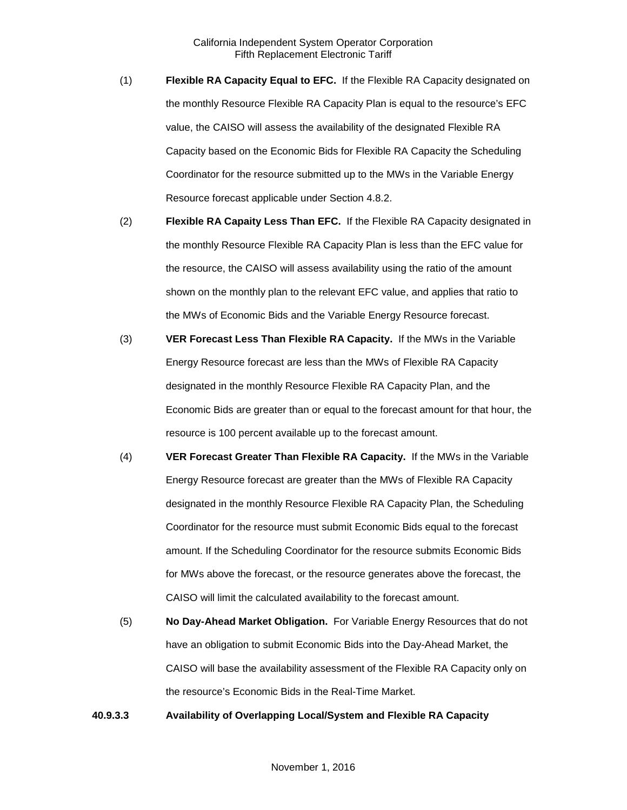- (1) **Flexible RA Capacity Equal to EFC.** If the Flexible RA Capacity designated on the monthly Resource Flexible RA Capacity Plan is equal to the resource's EFC value, the CAISO will assess the availability of the designated Flexible RA Capacity based on the Economic Bids for Flexible RA Capacity the Scheduling Coordinator for the resource submitted up to the MWs in the Variable Energy Resource forecast applicable under Section 4.8.2.
- (2) **Flexible RA Capaity Less Than EFC.** If the Flexible RA Capacity designated in the monthly Resource Flexible RA Capacity Plan is less than the EFC value for the resource, the CAISO will assess availability using the ratio of the amount shown on the monthly plan to the relevant EFC value, and applies that ratio to the MWs of Economic Bids and the Variable Energy Resource forecast.
- (3) **VER Forecast Less Than Flexible RA Capacity.** If the MWs in the Variable Energy Resource forecast are less than the MWs of Flexible RA Capacity designated in the monthly Resource Flexible RA Capacity Plan, and the Economic Bids are greater than or equal to the forecast amount for that hour, the resource is 100 percent available up to the forecast amount.
- (4) **VER Forecast Greater Than Flexible RA Capacity.** If the MWs in the Variable Energy Resource forecast are greater than the MWs of Flexible RA Capacity designated in the monthly Resource Flexible RA Capacity Plan, the Scheduling Coordinator for the resource must submit Economic Bids equal to the forecast amount. If the Scheduling Coordinator for the resource submits Economic Bids for MWs above the forecast, or the resource generates above the forecast, the CAISO will limit the calculated availability to the forecast amount.
- (5) **No Day-Ahead Market Obligation.** For Variable Energy Resources that do not have an obligation to submit Economic Bids into the Day-Ahead Market, the CAISO will base the availability assessment of the Flexible RA Capacity only on the resource's Economic Bids in the Real-Time Market.

**40.9.3.3 Availability of Overlapping Local/System and Flexible RA Capacity**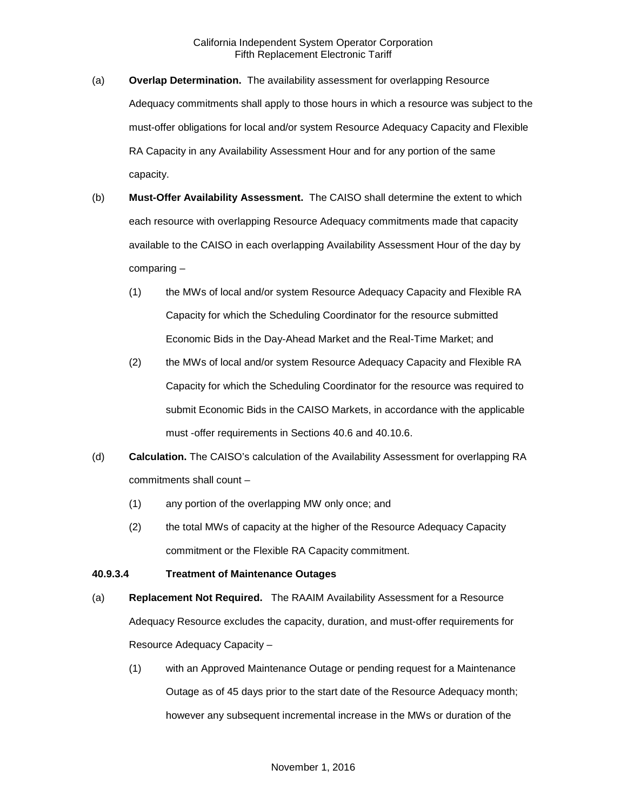- (a) **Overlap Determination.** The availability assessment for overlapping Resource Adequacy commitments shall apply to those hours in which a resource was subject to the must-offer obligations for local and/or system Resource Adequacy Capacity and Flexible RA Capacity in any Availability Assessment Hour and for any portion of the same capacity.
- (b) **Must-Offer Availability Assessment.** The CAISO shall determine the extent to which each resource with overlapping Resource Adequacy commitments made that capacity available to the CAISO in each overlapping Availability Assessment Hour of the day by comparing –
	- (1) the MWs of local and/or system Resource Adequacy Capacity and Flexible RA Capacity for which the Scheduling Coordinator for the resource submitted Economic Bids in the Day-Ahead Market and the Real-Time Market; and
	- (2) the MWs of local and/or system Resource Adequacy Capacity and Flexible RA Capacity for which the Scheduling Coordinator for the resource was required to submit Economic Bids in the CAISO Markets, in accordance with the applicable must -offer requirements in Sections 40.6 and 40.10.6.
- (d) **Calculation.** The CAISO's calculation of the Availability Assessment for overlapping RA commitments shall count –
	- (1) any portion of the overlapping MW only once; and
	- (2) the total MWs of capacity at the higher of the Resource Adequacy Capacity commitment or the Flexible RA Capacity commitment.

# **40.9.3.4 Treatment of Maintenance Outages**

- (a) **Replacement Not Required.** The RAAIM Availability Assessment for a Resource Adequacy Resource excludes the capacity, duration, and must-offer requirements for Resource Adequacy Capacity –
	- (1) with an Approved Maintenance Outage or pending request for a Maintenance Outage as of 45 days prior to the start date of the Resource Adequacy month; however any subsequent incremental increase in the MWs or duration of the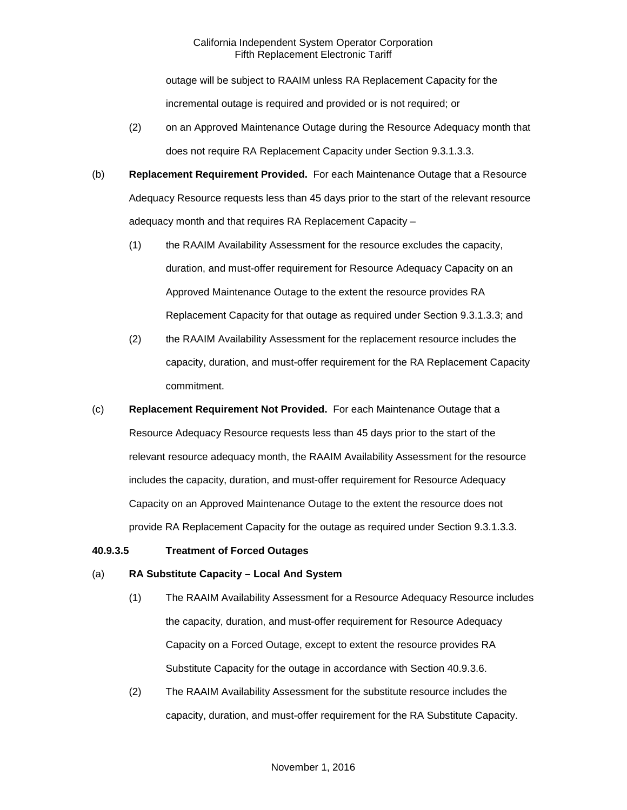outage will be subject to RAAIM unless RA Replacement Capacity for the incremental outage is required and provided or is not required; or

- (2) on an Approved Maintenance Outage during the Resource Adequacy month that does not require RA Replacement Capacity under Section 9.3.1.3.3.
- (b) **Replacement Requirement Provided.** For each Maintenance Outage that a Resource Adequacy Resource requests less than 45 days prior to the start of the relevant resource adequacy month and that requires RA Replacement Capacity –
	- (1) the RAAIM Availability Assessment for the resource excludes the capacity, duration, and must-offer requirement for Resource Adequacy Capacity on an Approved Maintenance Outage to the extent the resource provides RA Replacement Capacity for that outage as required under Section 9.3.1.3.3; and
	- (2) the RAAIM Availability Assessment for the replacement resource includes the capacity, duration, and must-offer requirement for the RA Replacement Capacity commitment.
- (c) **Replacement Requirement Not Provided.** For each Maintenance Outage that a Resource Adequacy Resource requests less than 45 days prior to the start of the relevant resource adequacy month, the RAAIM Availability Assessment for the resource includes the capacity, duration, and must-offer requirement for Resource Adequacy Capacity on an Approved Maintenance Outage to the extent the resource does not provide RA Replacement Capacity for the outage as required under Section 9.3.1.3.3.

#### **40.9.3.5 Treatment of Forced Outages**

#### (a) **RA Substitute Capacity – Local And System**

- (1) The RAAIM Availability Assessment for a Resource Adequacy Resource includes the capacity, duration, and must-offer requirement for Resource Adequacy Capacity on a Forced Outage, except to extent the resource provides RA Substitute Capacity for the outage in accordance with Section 40.9.3.6.
- (2) The RAAIM Availability Assessment for the substitute resource includes the capacity, duration, and must-offer requirement for the RA Substitute Capacity.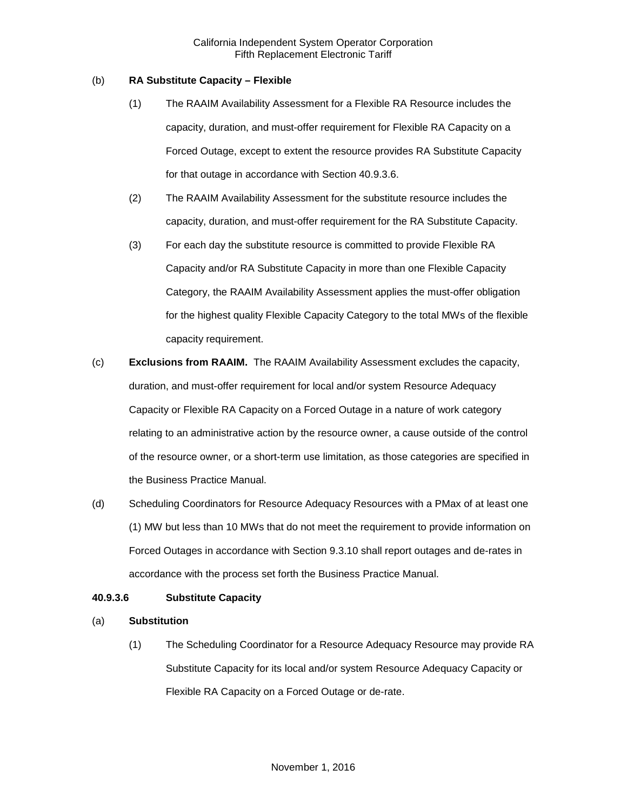### (b) **RA Substitute Capacity – Flexible**

- (1) The RAAIM Availability Assessment for a Flexible RA Resource includes the capacity, duration, and must-offer requirement for Flexible RA Capacity on a Forced Outage, except to extent the resource provides RA Substitute Capacity for that outage in accordance with Section 40.9.3.6.
- (2) The RAAIM Availability Assessment for the substitute resource includes the capacity, duration, and must-offer requirement for the RA Substitute Capacity.
- (3) For each day the substitute resource is committed to provide Flexible RA Capacity and/or RA Substitute Capacity in more than one Flexible Capacity Category, the RAAIM Availability Assessment applies the must-offer obligation for the highest quality Flexible Capacity Category to the total MWs of the flexible capacity requirement.
- (c) **Exclusions from RAAIM.** The RAAIM Availability Assessment excludes the capacity, duration, and must-offer requirement for local and/or system Resource Adequacy Capacity or Flexible RA Capacity on a Forced Outage in a nature of work category relating to an administrative action by the resource owner, a cause outside of the control of the resource owner, or a short-term use limitation, as those categories are specified in the Business Practice Manual.
- (d) Scheduling Coordinators for Resource Adequacy Resources with a PMax of at least one (1) MW but less than 10 MWs that do not meet the requirement to provide information on Forced Outages in accordance with Section 9.3.10 shall report outages and de-rates in accordance with the process set forth the Business Practice Manual.

# **40.9.3.6 Substitute Capacity**

# (a) **Substitution**

(1) The Scheduling Coordinator for a Resource Adequacy Resource may provide RA Substitute Capacity for its local and/or system Resource Adequacy Capacity or Flexible RA Capacity on a Forced Outage or de-rate.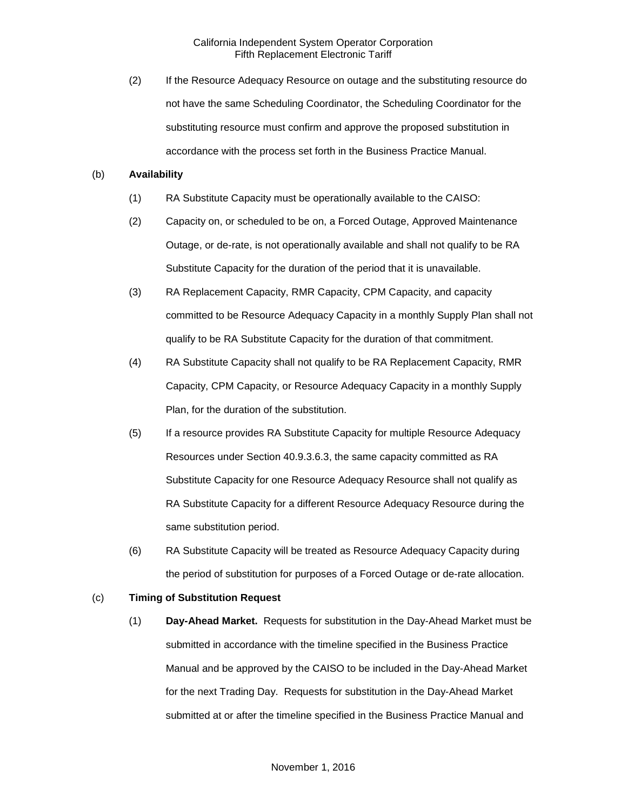(2) If the Resource Adequacy Resource on outage and the substituting resource do not have the same Scheduling Coordinator, the Scheduling Coordinator for the substituting resource must confirm and approve the proposed substitution in accordance with the process set forth in the Business Practice Manual.

### (b) **Availability**

- (1) RA Substitute Capacity must be operationally available to the CAISO:
- (2) Capacity on, or scheduled to be on, a Forced Outage, Approved Maintenance Outage, or de-rate, is not operationally available and shall not qualify to be RA Substitute Capacity for the duration of the period that it is unavailable.
- (3) RA Replacement Capacity, RMR Capacity, CPM Capacity, and capacity committed to be Resource Adequacy Capacity in a monthly Supply Plan shall not qualify to be RA Substitute Capacity for the duration of that commitment.
- (4) RA Substitute Capacity shall not qualify to be RA Replacement Capacity, RMR Capacity, CPM Capacity, or Resource Adequacy Capacity in a monthly Supply Plan, for the duration of the substitution.
- (5) If a resource provides RA Substitute Capacity for multiple Resource Adequacy Resources under Section 40.9.3.6.3, the same capacity committed as RA Substitute Capacity for one Resource Adequacy Resource shall not qualify as RA Substitute Capacity for a different Resource Adequacy Resource during the same substitution period.
- (6) RA Substitute Capacity will be treated as Resource Adequacy Capacity during the period of substitution for purposes of a Forced Outage or de-rate allocation.

### (c) **Timing of Substitution Request**

(1) **Day-Ahead Market.** Requests for substitution in the Day-Ahead Market must be submitted in accordance with the timeline specified in the Business Practice Manual and be approved by the CAISO to be included in the Day-Ahead Market for the next Trading Day. Requests for substitution in the Day-Ahead Market submitted at or after the timeline specified in the Business Practice Manual and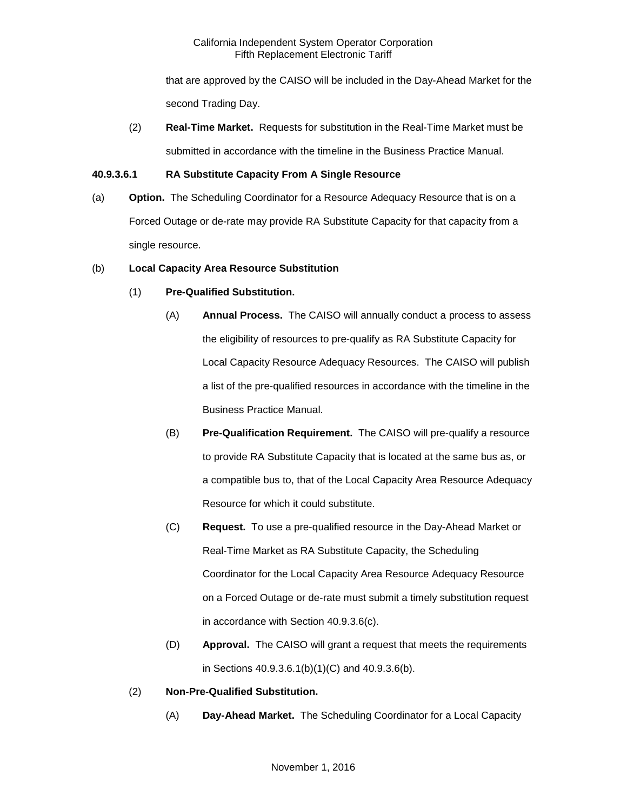that are approved by the CAISO will be included in the Day-Ahead Market for the second Trading Day.

(2) **Real-Time Market.** Requests for substitution in the Real-Time Market must be submitted in accordance with the timeline in the Business Practice Manual.

# **40.9.3.6.1 RA Substitute Capacity From A Single Resource**

(a) **Option.** The Scheduling Coordinator for a Resource Adequacy Resource that is on a Forced Outage or de-rate may provide RA Substitute Capacity for that capacity from a single resource.

# (b) **Local Capacity Area Resource Substitution**

# (1) **Pre-Qualified Substitution.**

- (A) **Annual Process.** The CAISO will annually conduct a process to assess the eligibility of resources to pre-qualify as RA Substitute Capacity for Local Capacity Resource Adequacy Resources. The CAISO will publish a list of the pre-qualified resources in accordance with the timeline in the Business Practice Manual.
- (B) **Pre-Qualification Requirement.** The CAISO will pre-qualify a resource to provide RA Substitute Capacity that is located at the same bus as, or a compatible bus to, that of the Local Capacity Area Resource Adequacy Resource for which it could substitute.
- (C) **Request.** To use a pre-qualified resource in the Day-Ahead Market or Real-Time Market as RA Substitute Capacity, the Scheduling Coordinator for the Local Capacity Area Resource Adequacy Resource on a Forced Outage or de-rate must submit a timely substitution request in accordance with Section 40.9.3.6(c).
- (D) **Approval.** The CAISO will grant a request that meets the requirements in Sections 40.9.3.6.1(b)(1)(C) and 40.9.3.6(b).
- (2) **Non-Pre-Qualified Substitution.** 
	- (A) **Day-Ahead Market.** The Scheduling Coordinator for a Local Capacity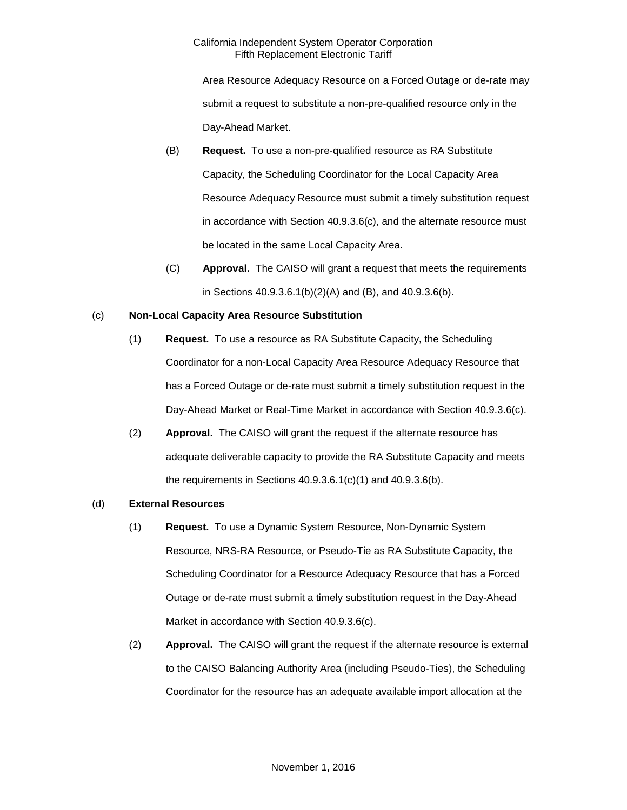Area Resource Adequacy Resource on a Forced Outage or de-rate may submit a request to substitute a non-pre-qualified resource only in the Day-Ahead Market.

- (B) **Request.** To use a non-pre-qualified resource as RA Substitute Capacity, the Scheduling Coordinator for the Local Capacity Area Resource Adequacy Resource must submit a timely substitution request in accordance with Section 40.9.3.6(c), and the alternate resource must be located in the same Local Capacity Area.
- (C) **Approval.** The CAISO will grant a request that meets the requirements in Sections 40.9.3.6.1(b)(2)(A) and (B), and 40.9.3.6(b).

# (c) **Non-Local Capacity Area Resource Substitution**

- (1) **Request.** To use a resource as RA Substitute Capacity, the Scheduling Coordinator for a non-Local Capacity Area Resource Adequacy Resource that has a Forced Outage or de-rate must submit a timely substitution request in the Day-Ahead Market or Real-Time Market in accordance with Section 40.9.3.6(c).
- (2) **Approval.** The CAISO will grant the request if the alternate resource has adequate deliverable capacity to provide the RA Substitute Capacity and meets the requirements in Sections 40.9.3.6.1(c)(1) and 40.9.3.6(b).

# (d) **External Resources**

- (1) **Request.** To use a Dynamic System Resource, Non-Dynamic System Resource, NRS-RA Resource, or Pseudo-Tie as RA Substitute Capacity, the Scheduling Coordinator for a Resource Adequacy Resource that has a Forced Outage or de-rate must submit a timely substitution request in the Day-Ahead Market in accordance with Section 40.9.3.6(c).
- (2) **Approval.** The CAISO will grant the request if the alternate resource is external to the CAISO Balancing Authority Area (including Pseudo-Ties), the Scheduling Coordinator for the resource has an adequate available import allocation at the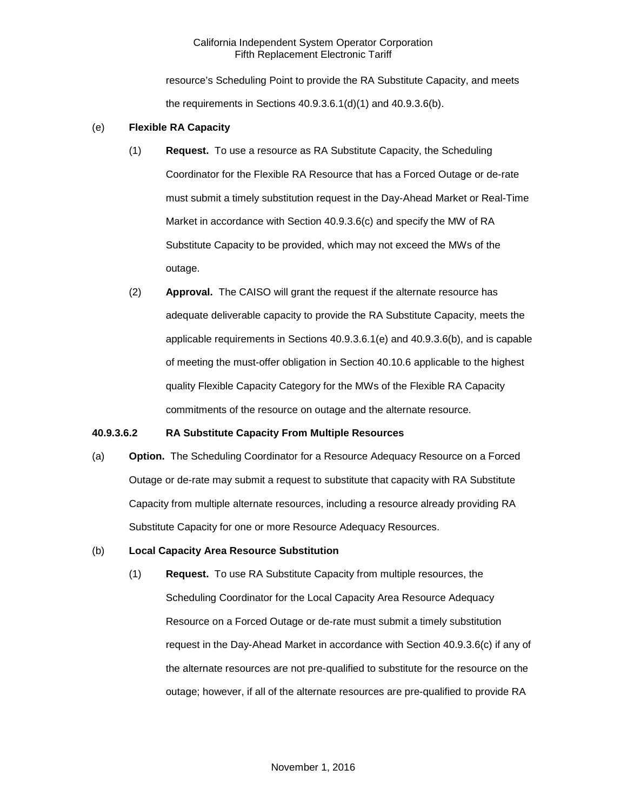resource's Scheduling Point to provide the RA Substitute Capacity, and meets the requirements in Sections 40.9.3.6.1(d)(1) and 40.9.3.6(b).

### (e) **Flexible RA Capacity**

- (1) **Request.** To use a resource as RA Substitute Capacity, the Scheduling Coordinator for the Flexible RA Resource that has a Forced Outage or de-rate must submit a timely substitution request in the Day-Ahead Market or Real-Time Market in accordance with Section 40.9.3.6(c) and specify the MW of RA Substitute Capacity to be provided, which may not exceed the MWs of the outage.
- (2) **Approval.** The CAISO will grant the request if the alternate resource has adequate deliverable capacity to provide the RA Substitute Capacity, meets the applicable requirements in Sections 40.9.3.6.1(e) and 40.9.3.6(b), and is capable of meeting the must-offer obligation in Section 40.10.6 applicable to the highest quality Flexible Capacity Category for the MWs of the Flexible RA Capacity commitments of the resource on outage and the alternate resource.

#### **40.9.3.6.2 RA Substitute Capacity From Multiple Resources**

(a) **Option.** The Scheduling Coordinator for a Resource Adequacy Resource on a Forced Outage or de-rate may submit a request to substitute that capacity with RA Substitute Capacity from multiple alternate resources, including a resource already providing RA Substitute Capacity for one or more Resource Adequacy Resources.

#### (b) **Local Capacity Area Resource Substitution**

(1) **Request.** To use RA Substitute Capacity from multiple resources, the Scheduling Coordinator for the Local Capacity Area Resource Adequacy Resource on a Forced Outage or de-rate must submit a timely substitution request in the Day-Ahead Market in accordance with Section 40.9.3.6(c) if any of the alternate resources are not pre-qualified to substitute for the resource on the outage; however, if all of the alternate resources are pre-qualified to provide RA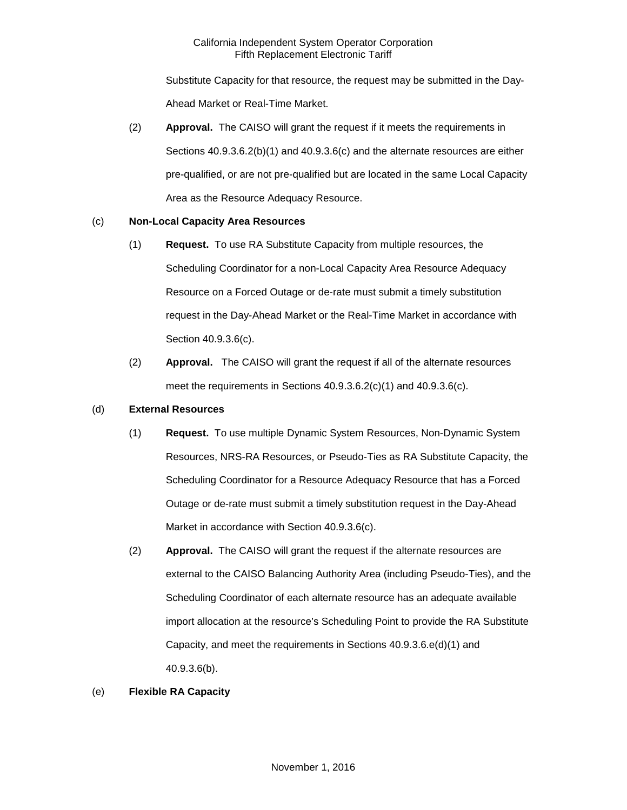Substitute Capacity for that resource, the request may be submitted in the Day-Ahead Market or Real-Time Market.

(2) **Approval.** The CAISO will grant the request if it meets the requirements in Sections 40.9.3.6.2(b)(1) and 40.9.3.6(c) and the alternate resources are either pre-qualified, or are not pre-qualified but are located in the same Local Capacity Area as the Resource Adequacy Resource.

# (c) **Non-Local Capacity Area Resources**

- (1) **Request.** To use RA Substitute Capacity from multiple resources, the Scheduling Coordinator for a non-Local Capacity Area Resource Adequacy Resource on a Forced Outage or de-rate must submit a timely substitution request in the Day-Ahead Market or the Real-Time Market in accordance with Section 40.9.3.6(c).
- (2) **Approval.** The CAISO will grant the request if all of the alternate resources meet the requirements in Sections 40.9.3.6.2(c)(1) and 40.9.3.6(c).

# (d) **External Resources**

- (1) **Request.** To use multiple Dynamic System Resources, Non-Dynamic System Resources, NRS-RA Resources, or Pseudo-Ties as RA Substitute Capacity, the Scheduling Coordinator for a Resource Adequacy Resource that has a Forced Outage or de-rate must submit a timely substitution request in the Day-Ahead Market in accordance with Section 40.9.3.6(c).
- (2) **Approval.** The CAISO will grant the request if the alternate resources are external to the CAISO Balancing Authority Area (including Pseudo-Ties), and the Scheduling Coordinator of each alternate resource has an adequate available import allocation at the resource's Scheduling Point to provide the RA Substitute Capacity, and meet the requirements in Sections 40.9.3.6.e(d)(1) and 40.9.3.6(b).

# (e) **Flexible RA Capacity**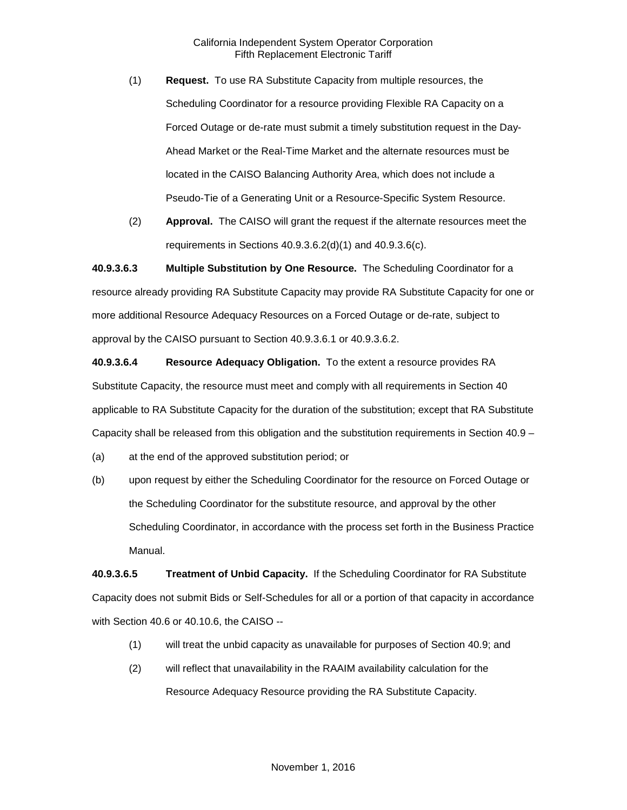- (1) **Request.** To use RA Substitute Capacity from multiple resources, the Scheduling Coordinator for a resource providing Flexible RA Capacity on a Forced Outage or de-rate must submit a timely substitution request in the Day-Ahead Market or the Real-Time Market and the alternate resources must be located in the CAISO Balancing Authority Area, which does not include a Pseudo-Tie of a Generating Unit or a Resource-Specific System Resource.
- (2) **Approval.** The CAISO will grant the request if the alternate resources meet the requirements in Sections 40.9.3.6.2(d)(1) and 40.9.3.6(c).

**40.9.3.6.3 Multiple Substitution by One Resource.** The Scheduling Coordinator for a resource already providing RA Substitute Capacity may provide RA Substitute Capacity for one or more additional Resource Adequacy Resources on a Forced Outage or de-rate, subject to approval by the CAISO pursuant to Section 40.9.3.6.1 or 40.9.3.6.2.

**40.9.3.6.4 Resource Adequacy Obligation.** To the extent a resource provides RA Substitute Capacity, the resource must meet and comply with all requirements in Section 40 applicable to RA Substitute Capacity for the duration of the substitution; except that RA Substitute Capacity shall be released from this obligation and the substitution requirements in Section 40.9 –

(a) at the end of the approved substitution period; or

(b) upon request by either the Scheduling Coordinator for the resource on Forced Outage or the Scheduling Coordinator for the substitute resource, and approval by the other Scheduling Coordinator, in accordance with the process set forth in the Business Practice Manual.

**40.9.3.6.5 Treatment of Unbid Capacity.** If the Scheduling Coordinator for RA Substitute Capacity does not submit Bids or Self-Schedules for all or a portion of that capacity in accordance with Section 40.6 or 40.10.6, the CAISO --

- (1) will treat the unbid capacity as unavailable for purposes of Section 40.9; and
- (2) will reflect that unavailability in the RAAIM availability calculation for the Resource Adequacy Resource providing the RA Substitute Capacity.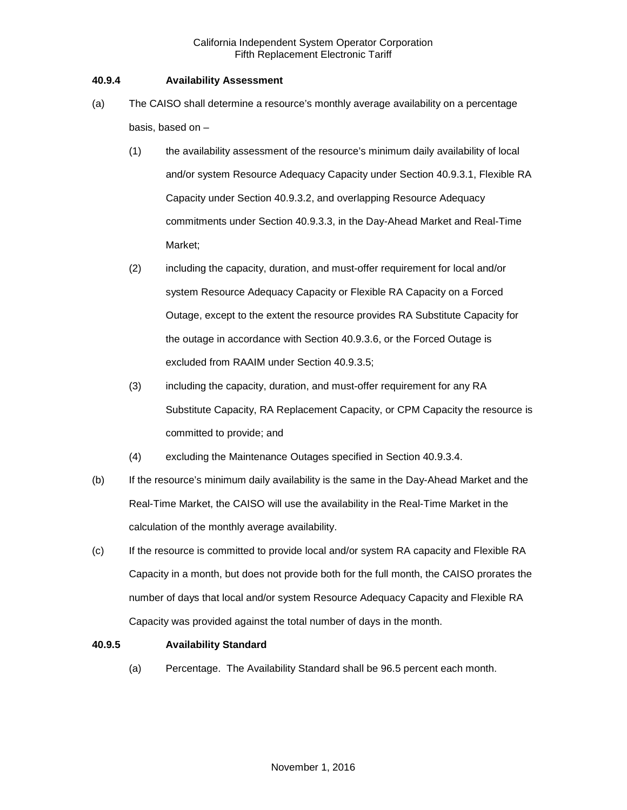### **40.9.4 Availability Assessment**

- (a) The CAISO shall determine a resource's monthly average availability on a percentage basis, based on –
	- (1) the availability assessment of the resource's minimum daily availability of local and/or system Resource Adequacy Capacity under Section 40.9.3.1, Flexible RA Capacity under Section 40.9.3.2, and overlapping Resource Adequacy commitments under Section 40.9.3.3, in the Day-Ahead Market and Real-Time Market;
	- (2) including the capacity, duration, and must-offer requirement for local and/or system Resource Adequacy Capacity or Flexible RA Capacity on a Forced Outage, except to the extent the resource provides RA Substitute Capacity for the outage in accordance with Section 40.9.3.6, or the Forced Outage is excluded from RAAIM under Section 40.9.3.5;
	- (3) including the capacity, duration, and must-offer requirement for any RA Substitute Capacity, RA Replacement Capacity, or CPM Capacity the resource is committed to provide; and
	- (4) excluding the Maintenance Outages specified in Section 40.9.3.4.
- (b) If the resource's minimum daily availability is the same in the Day-Ahead Market and the Real-Time Market, the CAISO will use the availability in the Real-Time Market in the calculation of the monthly average availability.
- (c) If the resource is committed to provide local and/or system RA capacity and Flexible RA Capacity in a month, but does not provide both for the full month, the CAISO prorates the number of days that local and/or system Resource Adequacy Capacity and Flexible RA Capacity was provided against the total number of days in the month.

### **40.9.5 Availability Standard**

(a) Percentage. The Availability Standard shall be 96.5 percent each month.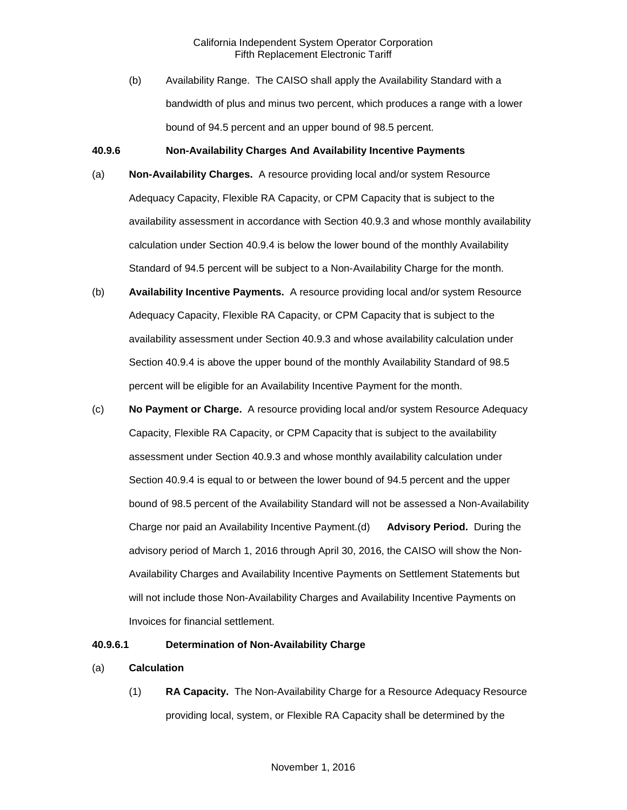(b) Availability Range. The CAISO shall apply the Availability Standard with a bandwidth of plus and minus two percent, which produces a range with a lower bound of 94.5 percent and an upper bound of 98.5 percent.

#### **40.9.6 Non-Availability Charges And Availability Incentive Payments**

- (a) **Non-Availability Charges.** A resource providing local and/or system Resource Adequacy Capacity, Flexible RA Capacity, or CPM Capacity that is subject to the availability assessment in accordance with Section 40.9.3 and whose monthly availability calculation under Section 40.9.4 is below the lower bound of the monthly Availability Standard of 94.5 percent will be subject to a Non-Availability Charge for the month.
- (b) **Availability Incentive Payments.** A resource providing local and/or system Resource Adequacy Capacity, Flexible RA Capacity, or CPM Capacity that is subject to the availability assessment under Section 40.9.3 and whose availability calculation under Section 40.9.4 is above the upper bound of the monthly Availability Standard of 98.5 percent will be eligible for an Availability Incentive Payment for the month.
- (c) **No Payment or Charge.** A resource providing local and/or system Resource Adequacy Capacity, Flexible RA Capacity, or CPM Capacity that is subject to the availability assessment under Section 40.9.3 and whose monthly availability calculation under Section 40.9.4 is equal to or between the lower bound of 94.5 percent and the upper bound of 98.5 percent of the Availability Standard will not be assessed a Non-Availability Charge nor paid an Availability Incentive Payment.(d) **Advisory Period.** During the advisory period of March 1, 2016 through April 30, 2016, the CAISO will show the Non-Availability Charges and Availability Incentive Payments on Settlement Statements but will not include those Non-Availability Charges and Availability Incentive Payments on Invoices for financial settlement.

#### **40.9.6.1 Determination of Non-Availability Charge**

- (a) **Calculation** 
	- (1) **RA Capacity.** The Non-Availability Charge for a Resource Adequacy Resource providing local, system, or Flexible RA Capacity shall be determined by the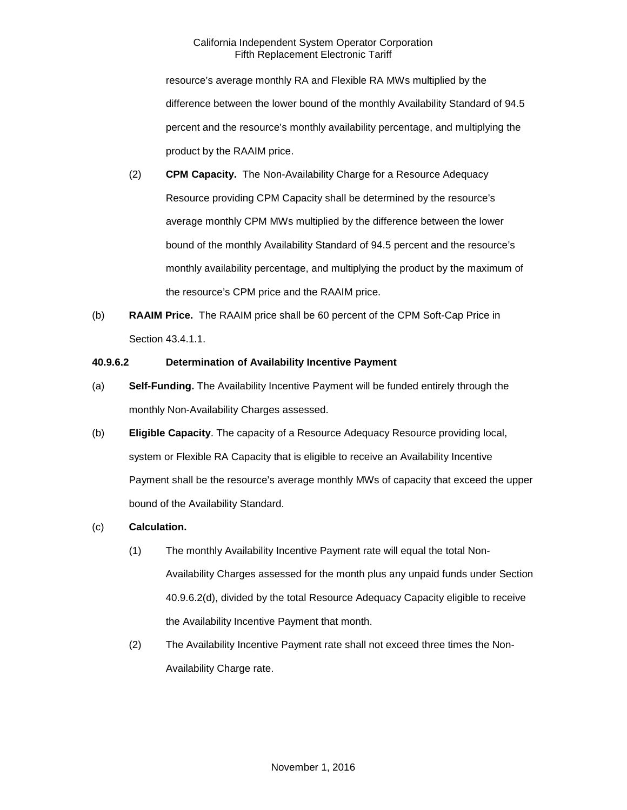resource's average monthly RA and Flexible RA MWs multiplied by the difference between the lower bound of the monthly Availability Standard of 94.5 percent and the resource's monthly availability percentage, and multiplying the product by the RAAIM price.

- (2) **CPM Capacity.** The Non-Availability Charge for a Resource Adequacy Resource providing CPM Capacity shall be determined by the resource's average monthly CPM MWs multiplied by the difference between the lower bound of the monthly Availability Standard of 94.5 percent and the resource's monthly availability percentage, and multiplying the product by the maximum of the resource's CPM price and the RAAIM price.
- (b) **RAAIM Price.** The RAAIM price shall be 60 percent of the CPM Soft-Cap Price in Section 43.4.1.1.

## **40.9.6.2 Determination of Availability Incentive Payment**

- (a) **Self-Funding.** The Availability Incentive Payment will be funded entirely through the monthly Non-Availability Charges assessed.
- (b) **Eligible Capacity**. The capacity of a Resource Adequacy Resource providing local, system or Flexible RA Capacity that is eligible to receive an Availability Incentive Payment shall be the resource's average monthly MWs of capacity that exceed the upper bound of the Availability Standard.
- (c) **Calculation.** 
	- (1) The monthly Availability Incentive Payment rate will equal the total Non-Availability Charges assessed for the month plus any unpaid funds under Section 40.9.6.2(d), divided by the total Resource Adequacy Capacity eligible to receive the Availability Incentive Payment that month.
	- (2) The Availability Incentive Payment rate shall not exceed three times the Non-Availability Charge rate.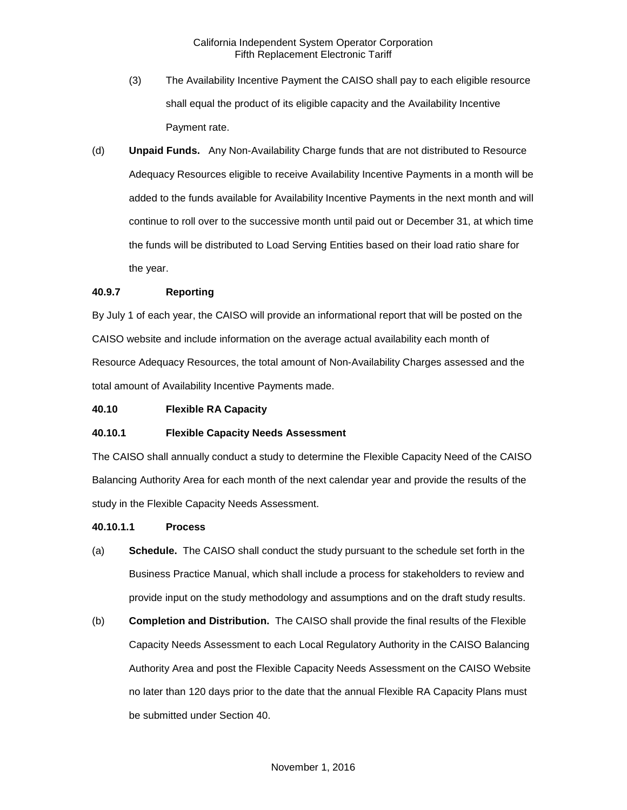- (3) The Availability Incentive Payment the CAISO shall pay to each eligible resource shall equal the product of its eligible capacity and the Availability Incentive Payment rate.
- (d) **Unpaid Funds.** Any Non-Availability Charge funds that are not distributed to Resource Adequacy Resources eligible to receive Availability Incentive Payments in a month will be added to the funds available for Availability Incentive Payments in the next month and will continue to roll over to the successive month until paid out or December 31, at which time the funds will be distributed to Load Serving Entities based on their load ratio share for the year.

#### **40.9.7 Reporting**

By July 1 of each year, the CAISO will provide an informational report that will be posted on the CAISO website and include information on the average actual availability each month of Resource Adequacy Resources, the total amount of Non-Availability Charges assessed and the total amount of Availability Incentive Payments made.

#### **40.10 Flexible RA Capacity**

#### **40.10.1 Flexible Capacity Needs Assessment**

The CAISO shall annually conduct a study to determine the Flexible Capacity Need of the CAISO Balancing Authority Area for each month of the next calendar year and provide the results of the study in the Flexible Capacity Needs Assessment.

#### **40.10.1.1 Process**

- (a) **Schedule.** The CAISO shall conduct the study pursuant to the schedule set forth in the Business Practice Manual, which shall include a process for stakeholders to review and provide input on the study methodology and assumptions and on the draft study results.
- (b) **Completion and Distribution.** The CAISO shall provide the final results of the Flexible Capacity Needs Assessment to each Local Regulatory Authority in the CAISO Balancing Authority Area and post the Flexible Capacity Needs Assessment on the CAISO Website no later than 120 days prior to the date that the annual Flexible RA Capacity Plans must be submitted under Section 40.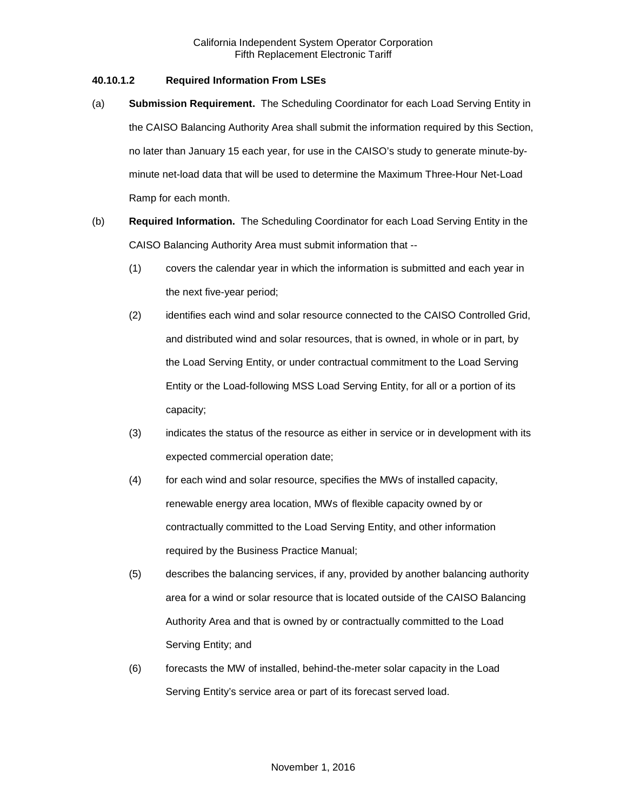## **40.10.1.2 Required Information From LSEs**

- (a) **Submission Requirement.** The Scheduling Coordinator for each Load Serving Entity in the CAISO Balancing Authority Area shall submit the information required by this Section, no later than January 15 each year, for use in the CAISO's study to generate minute-byminute net-load data that will be used to determine the Maximum Three-Hour Net-Load Ramp for each month.
- (b) **Required Information.** The Scheduling Coordinator for each Load Serving Entity in the CAISO Balancing Authority Area must submit information that --
	- (1) covers the calendar year in which the information is submitted and each year in the next five-year period;
	- (2) identifies each wind and solar resource connected to the CAISO Controlled Grid, and distributed wind and solar resources, that is owned, in whole or in part, by the Load Serving Entity, or under contractual commitment to the Load Serving Entity or the Load-following MSS Load Serving Entity, for all or a portion of its capacity;
	- (3) indicates the status of the resource as either in service or in development with its expected commercial operation date;
	- (4) for each wind and solar resource, specifies the MWs of installed capacity, renewable energy area location, MWs of flexible capacity owned by or contractually committed to the Load Serving Entity, and other information required by the Business Practice Manual;
	- (5) describes the balancing services, if any, provided by another balancing authority area for a wind or solar resource that is located outside of the CAISO Balancing Authority Area and that is owned by or contractually committed to the Load Serving Entity; and
	- (6) forecasts the MW of installed, behind-the-meter solar capacity in the Load Serving Entity's service area or part of its forecast served load.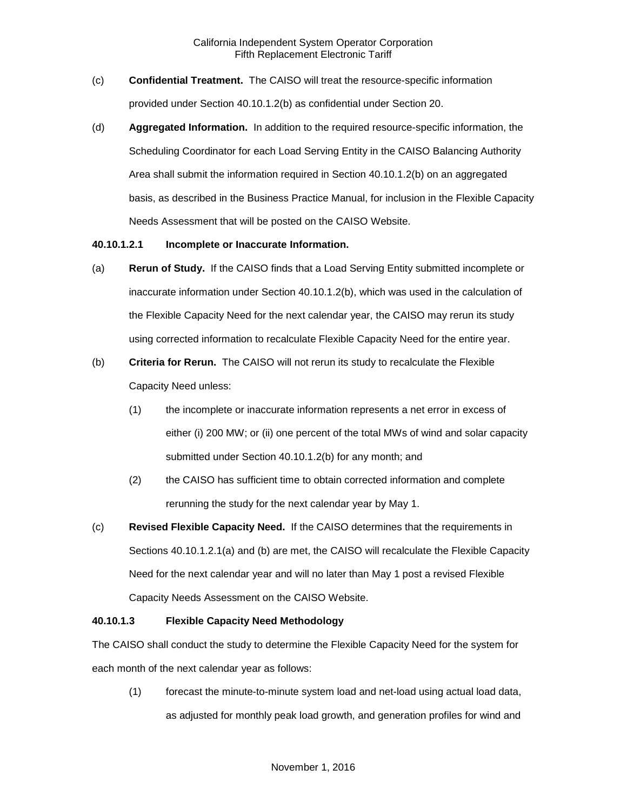- (c) **Confidential Treatment.** The CAISO will treat the resource-specific information provided under Section 40.10.1.2(b) as confidential under Section 20.
- (d) **Aggregated Information.** In addition to the required resource-specific information, the Scheduling Coordinator for each Load Serving Entity in the CAISO Balancing Authority Area shall submit the information required in Section 40.10.1.2(b) on an aggregated basis, as described in the Business Practice Manual, for inclusion in the Flexible Capacity Needs Assessment that will be posted on the CAISO Website.

#### **40.10.1.2.1 Incomplete or Inaccurate Information.**

- (a) **Rerun of Study.** If the CAISO finds that a Load Serving Entity submitted incomplete or inaccurate information under Section 40.10.1.2(b), which was used in the calculation of the Flexible Capacity Need for the next calendar year, the CAISO may rerun its study using corrected information to recalculate Flexible Capacity Need for the entire year.
- (b) **Criteria for Rerun.** The CAISO will not rerun its study to recalculate the Flexible Capacity Need unless:
	- (1) the incomplete or inaccurate information represents a net error in excess of either (i) 200 MW; or (ii) one percent of the total MWs of wind and solar capacity submitted under Section 40.10.1.2(b) for any month; and
	- (2) the CAISO has sufficient time to obtain corrected information and complete rerunning the study for the next calendar year by May 1.
- (c) **Revised Flexible Capacity Need.** If the CAISO determines that the requirements in Sections 40.10.1.2.1(a) and (b) are met, the CAISO will recalculate the Flexible Capacity Need for the next calendar year and will no later than May 1 post a revised Flexible Capacity Needs Assessment on the CAISO Website.

### **40.10.1.3 Flexible Capacity Need Methodology**

The CAISO shall conduct the study to determine the Flexible Capacity Need for the system for each month of the next calendar year as follows:

(1) forecast the minute-to-minute system load and net-load using actual load data, as adjusted for monthly peak load growth, and generation profiles for wind and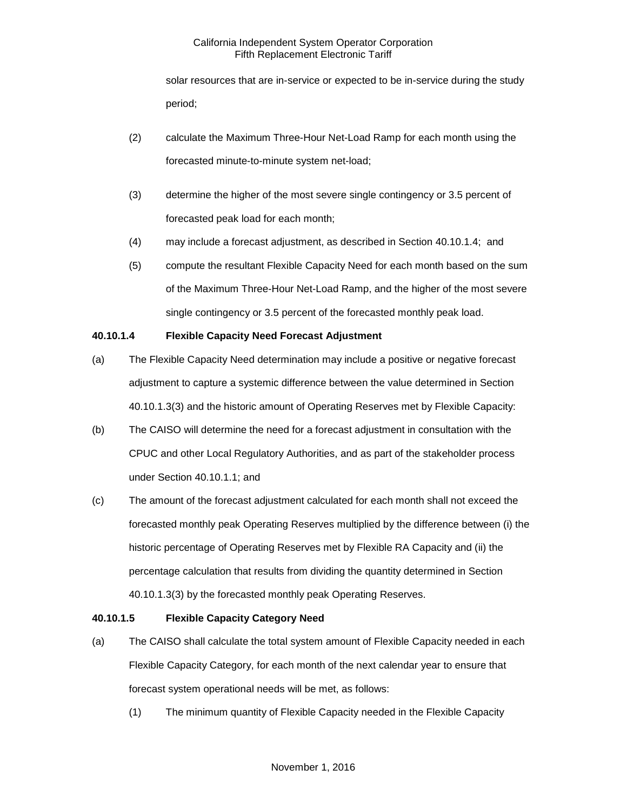solar resources that are in-service or expected to be in-service during the study period;

- (2) calculate the Maximum Three-Hour Net-Load Ramp for each month using the forecasted minute-to-minute system net-load;
- (3) determine the higher of the most severe single contingency or 3.5 percent of forecasted peak load for each month;
- (4) may include a forecast adjustment, as described in Section 40.10.1.4; and
- (5) compute the resultant Flexible Capacity Need for each month based on the sum of the Maximum Three-Hour Net-Load Ramp, and the higher of the most severe single contingency or 3.5 percent of the forecasted monthly peak load.

# **40.10.1.4 Flexible Capacity Need Forecast Adjustment**

- (a) The Flexible Capacity Need determination may include a positive or negative forecast adjustment to capture a systemic difference between the value determined in Section 40.10.1.3(3) and the historic amount of Operating Reserves met by Flexible Capacity:
- (b) The CAISO will determine the need for a forecast adjustment in consultation with the CPUC and other Local Regulatory Authorities, and as part of the stakeholder process under Section 40.10.1.1; and
- (c) The amount of the forecast adjustment calculated for each month shall not exceed the forecasted monthly peak Operating Reserves multiplied by the difference between (i) the historic percentage of Operating Reserves met by Flexible RA Capacity and (ii) the percentage calculation that results from dividing the quantity determined in Section 40.10.1.3(3) by the forecasted monthly peak Operating Reserves.

# **40.10.1.5 Flexible Capacity Category Need**

- (a) The CAISO shall calculate the total system amount of Flexible Capacity needed in each Flexible Capacity Category, for each month of the next calendar year to ensure that forecast system operational needs will be met, as follows:
	- (1) The minimum quantity of Flexible Capacity needed in the Flexible Capacity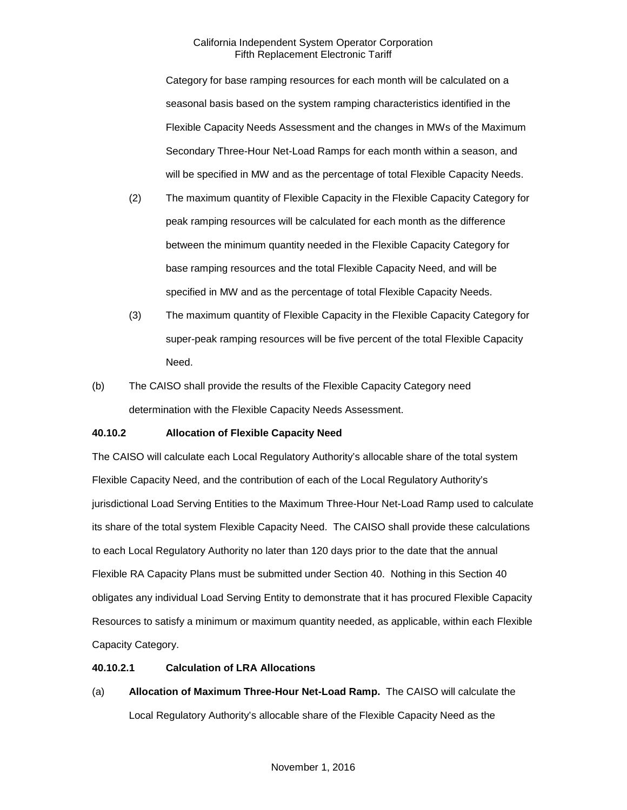Category for base ramping resources for each month will be calculated on a seasonal basis based on the system ramping characteristics identified in the Flexible Capacity Needs Assessment and the changes in MWs of the Maximum Secondary Three-Hour Net-Load Ramps for each month within a season, and will be specified in MW and as the percentage of total Flexible Capacity Needs.

- (2) The maximum quantity of Flexible Capacity in the Flexible Capacity Category for peak ramping resources will be calculated for each month as the difference between the minimum quantity needed in the Flexible Capacity Category for base ramping resources and the total Flexible Capacity Need, and will be specified in MW and as the percentage of total Flexible Capacity Needs.
- (3) The maximum quantity of Flexible Capacity in the Flexible Capacity Category for super-peak ramping resources will be five percent of the total Flexible Capacity Need.
- (b) The CAISO shall provide the results of the Flexible Capacity Category need determination with the Flexible Capacity Needs Assessment.

# **40.10.2 Allocation of Flexible Capacity Need**

The CAISO will calculate each Local Regulatory Authority's allocable share of the total system Flexible Capacity Need, and the contribution of each of the Local Regulatory Authority's jurisdictional Load Serving Entities to the Maximum Three-Hour Net-Load Ramp used to calculate its share of the total system Flexible Capacity Need. The CAISO shall provide these calculations to each Local Regulatory Authority no later than 120 days prior to the date that the annual Flexible RA Capacity Plans must be submitted under Section 40. Nothing in this Section 40 obligates any individual Load Serving Entity to demonstrate that it has procured Flexible Capacity Resources to satisfy a minimum or maximum quantity needed, as applicable, within each Flexible Capacity Category.

# **40.10.2.1 Calculation of LRA Allocations**

(a) **Allocation of Maximum Three-Hour Net-Load Ramp.** The CAISO will calculate the Local Regulatory Authority's allocable share of the Flexible Capacity Need as the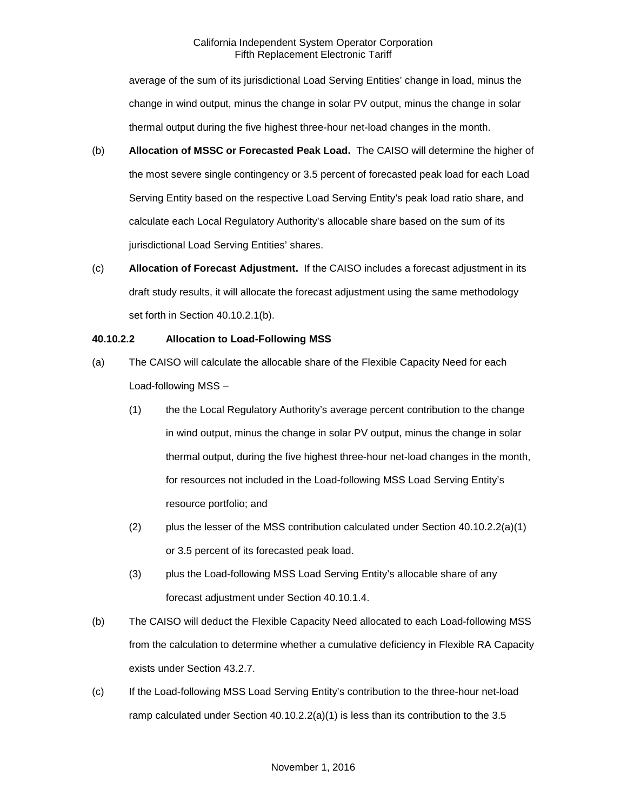average of the sum of its jurisdictional Load Serving Entities' change in load, minus the change in wind output, minus the change in solar PV output, minus the change in solar thermal output during the five highest three-hour net-load changes in the month.

- (b) **Allocation of MSSC or Forecasted Peak Load.** The CAISO will determine the higher of the most severe single contingency or 3.5 percent of forecasted peak load for each Load Serving Entity based on the respective Load Serving Entity's peak load ratio share, and calculate each Local Regulatory Authority's allocable share based on the sum of its jurisdictional Load Serving Entities' shares.
- (c) **Allocation of Forecast Adjustment.** If the CAISO includes a forecast adjustment in its draft study results, it will allocate the forecast adjustment using the same methodology set forth in Section 40.10.2.1(b).

### **40.10.2.2 Allocation to Load-Following MSS**

- (a) The CAISO will calculate the allocable share of the Flexible Capacity Need for each Load-following MSS –
	- (1) the the Local Regulatory Authority's average percent contribution to the change in wind output, minus the change in solar PV output, minus the change in solar thermal output, during the five highest three-hour net-load changes in the month, for resources not included in the Load-following MSS Load Serving Entity's resource portfolio; and
	- (2) plus the lesser of the MSS contribution calculated under Section  $40.10.2.2(a)(1)$ or 3.5 percent of its forecasted peak load.
	- (3) plus the Load-following MSS Load Serving Entity's allocable share of any forecast adjustment under Section 40.10.1.4.
- (b) The CAISO will deduct the Flexible Capacity Need allocated to each Load-following MSS from the calculation to determine whether a cumulative deficiency in Flexible RA Capacity exists under Section 43.2.7.
- (c) If the Load-following MSS Load Serving Entity's contribution to the three-hour net-load ramp calculated under Section  $40.10.2.2(a)(1)$  is less than its contribution to the 3.5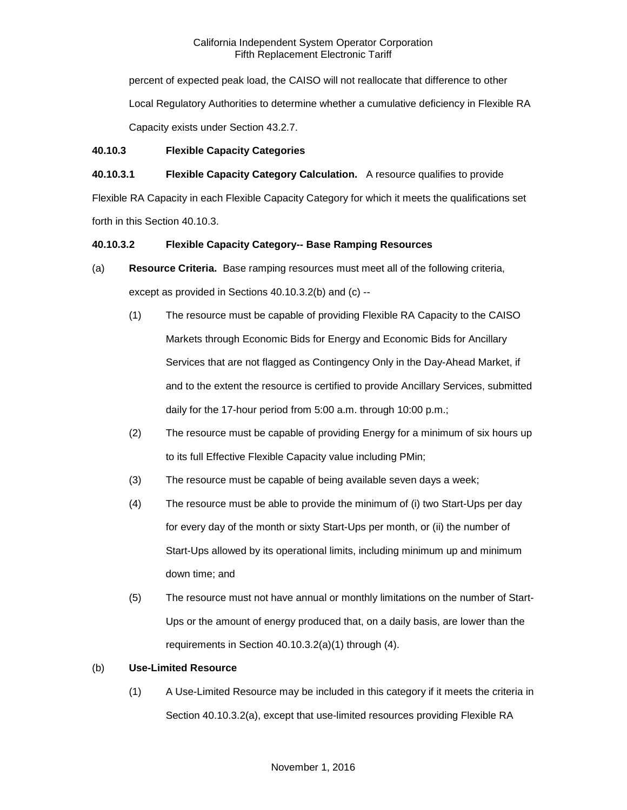percent of expected peak load, the CAISO will not reallocate that difference to other Local Regulatory Authorities to determine whether a cumulative deficiency in Flexible RA Capacity exists under Section 43.2.7.

## **40.10.3 Flexible Capacity Categories**

# **40.10.3.1 Flexible Capacity Category Calculation.** A resource qualifies to provide

Flexible RA Capacity in each Flexible Capacity Category for which it meets the qualifications set forth in this Section 40.10.3.

## **40.10.3.2 Flexible Capacity Category-- Base Ramping Resources**

- (a) **Resource Criteria.** Base ramping resources must meet all of the following criteria, except as provided in Sections 40.10.3.2(b) and (c) --
	- (1) The resource must be capable of providing Flexible RA Capacity to the CAISO Markets through Economic Bids for Energy and Economic Bids for Ancillary Services that are not flagged as Contingency Only in the Day-Ahead Market, if and to the extent the resource is certified to provide Ancillary Services, submitted daily for the 17-hour period from 5:00 a.m. through 10:00 p.m.;
	- (2) The resource must be capable of providing Energy for a minimum of six hours up to its full Effective Flexible Capacity value including PMin;
	- (3) The resource must be capable of being available seven days a week;
	- (4) The resource must be able to provide the minimum of (i) two Start-Ups per day for every day of the month or sixty Start-Ups per month, or (ii) the number of Start-Ups allowed by its operational limits, including minimum up and minimum down time; and
	- (5) The resource must not have annual or monthly limitations on the number of Start-Ups or the amount of energy produced that, on a daily basis, are lower than the requirements in Section 40.10.3.2(a)(1) through (4).

# (b) **Use-Limited Resource**

(1) A Use-Limited Resource may be included in this category if it meets the criteria in Section 40.10.3.2(a), except that use-limited resources providing Flexible RA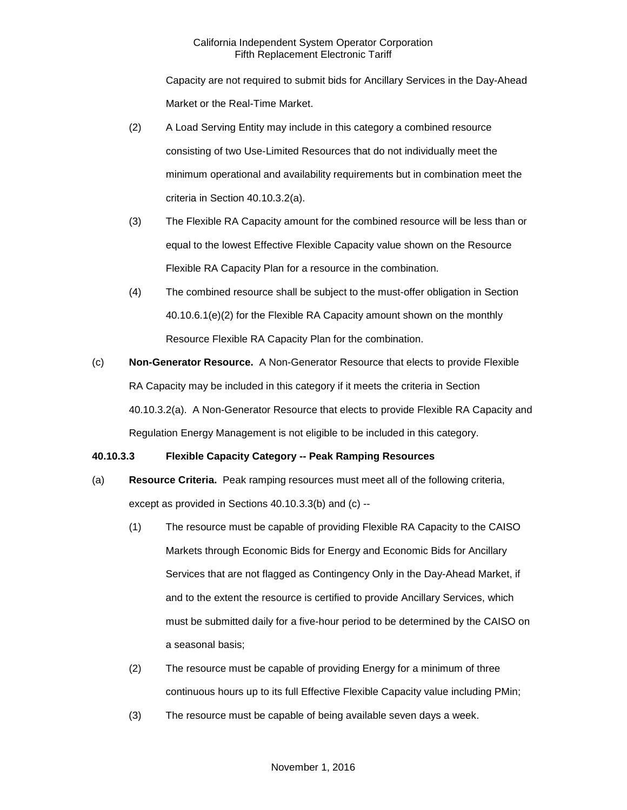Capacity are not required to submit bids for Ancillary Services in the Day-Ahead Market or the Real-Time Market.

- (2) A Load Serving Entity may include in this category a combined resource consisting of two Use-Limited Resources that do not individually meet the minimum operational and availability requirements but in combination meet the criteria in Section 40.10.3.2(a).
- (3) The Flexible RA Capacity amount for the combined resource will be less than or equal to the lowest Effective Flexible Capacity value shown on the Resource Flexible RA Capacity Plan for a resource in the combination.
- (4) The combined resource shall be subject to the must-offer obligation in Section 40.10.6.1(e)(2) for the Flexible RA Capacity amount shown on the monthly Resource Flexible RA Capacity Plan for the combination.
- (c) **Non-Generator Resource.** A Non-Generator Resource that elects to provide Flexible RA Capacity may be included in this category if it meets the criteria in Section 40.10.3.2(a). A Non-Generator Resource that elects to provide Flexible RA Capacity and Regulation Energy Management is not eligible to be included in this category.

# **40.10.3.3 Flexible Capacity Category -- Peak Ramping Resources**

- (a) **Resource Criteria.** Peak ramping resources must meet all of the following criteria, except as provided in Sections 40.10.3.3(b) and (c) --
	- (1) The resource must be capable of providing Flexible RA Capacity to the CAISO Markets through Economic Bids for Energy and Economic Bids for Ancillary Services that are not flagged as Contingency Only in the Day-Ahead Market, if and to the extent the resource is certified to provide Ancillary Services, which must be submitted daily for a five-hour period to be determined by the CAISO on a seasonal basis;
	- (2) The resource must be capable of providing Energy for a minimum of three continuous hours up to its full Effective Flexible Capacity value including PMin;
	- (3) The resource must be capable of being available seven days a week.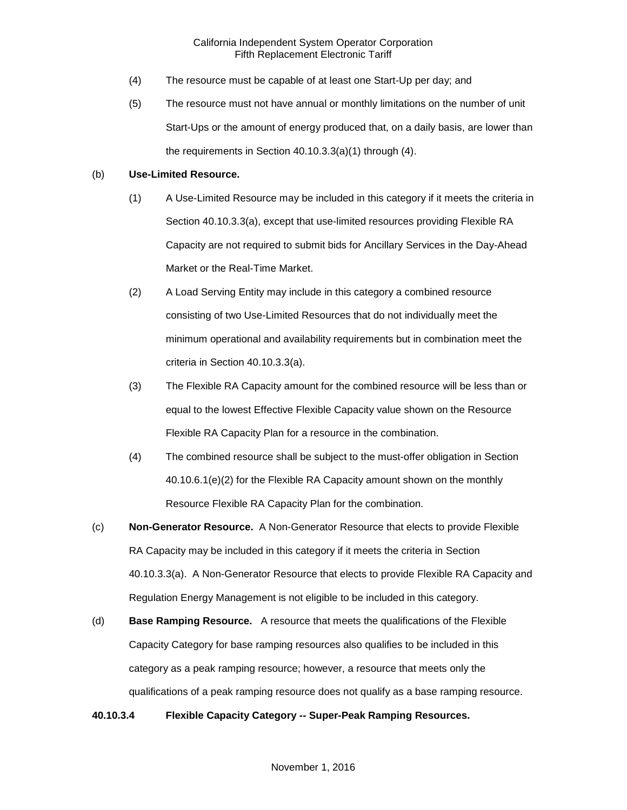- (4) The resource must be capable of at least one Start-Up per day; and
- (5) The resource must not have annual or monthly limitations on the number of unit Start-Ups or the amount of energy produced that, on a daily basis, are lower than the requirements in Section 40.10.3.3(a)(1) through (4).

### (b) **Use-Limited Resource.**

- (1) A Use-Limited Resource may be included in this category if it meets the criteria in Section 40.10.3.3(a), except that use-limited resources providing Flexible RA Capacity are not required to submit bids for Ancillary Services in the Day-Ahead Market or the Real-Time Market.
- (2) A Load Serving Entity may include in this category a combined resource consisting of two Use-Limited Resources that do not individually meet the minimum operational and availability requirements but in combination meet the criteria in Section 40.10.3.3(a).
- (3) The Flexible RA Capacity amount for the combined resource will be less than or equal to the lowest Effective Flexible Capacity value shown on the Resource Flexible RA Capacity Plan for a resource in the combination.
- (4) The combined resource shall be subject to the must-offer obligation in Section 40.10.6.1(e)(2) for the Flexible RA Capacity amount shown on the monthly Resource Flexible RA Capacity Plan for the combination.
- (c) **Non-Generator Resource.** A Non-Generator Resource that elects to provide Flexible RA Capacity may be included in this category if it meets the criteria in Section 40.10.3.3(a). A Non-Generator Resource that elects to provide Flexible RA Capacity and Regulation Energy Management is not eligible to be included in this category.
- (d) **Base Ramping Resource.** A resource that meets the qualifications of the Flexible Capacity Category for base ramping resources also qualifies to be included in this category as a peak ramping resource; however, a resource that meets only the qualifications of a peak ramping resource does not qualify as a base ramping resource.

### **40.10.3.4 Flexible Capacity Category -- Super-Peak Ramping Resources.**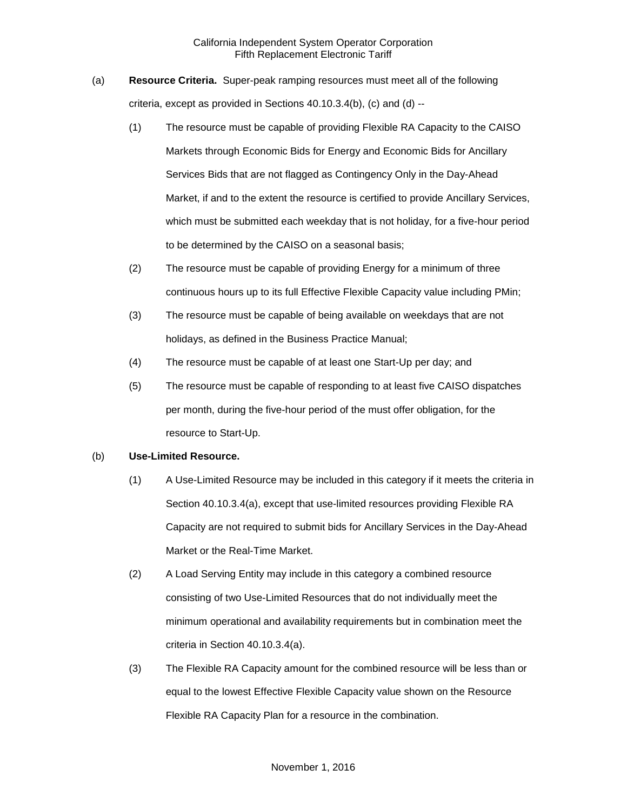- (a) **Resource Criteria.** Super-peak ramping resources must meet all of the following criteria, except as provided in Sections 40.10.3.4(b), (c) and (d) --
	- (1) The resource must be capable of providing Flexible RA Capacity to the CAISO Markets through Economic Bids for Energy and Economic Bids for Ancillary Services Bids that are not flagged as Contingency Only in the Day-Ahead Market, if and to the extent the resource is certified to provide Ancillary Services, which must be submitted each weekday that is not holiday, for a five-hour period to be determined by the CAISO on a seasonal basis;
	- (2) The resource must be capable of providing Energy for a minimum of three continuous hours up to its full Effective Flexible Capacity value including PMin;
	- (3) The resource must be capable of being available on weekdays that are not holidays, as defined in the Business Practice Manual;
	- (4) The resource must be capable of at least one Start-Up per day; and
	- (5) The resource must be capable of responding to at least five CAISO dispatches per month, during the five-hour period of the must offer obligation, for the resource to Start-Up.

### (b) **Use-Limited Resource.**

- (1) A Use-Limited Resource may be included in this category if it meets the criteria in Section 40.10.3.4(a), except that use-limited resources providing Flexible RA Capacity are not required to submit bids for Ancillary Services in the Day-Ahead Market or the Real-Time Market.
- (2) A Load Serving Entity may include in this category a combined resource consisting of two Use-Limited Resources that do not individually meet the minimum operational and availability requirements but in combination meet the criteria in Section 40.10.3.4(a).
- (3) The Flexible RA Capacity amount for the combined resource will be less than or equal to the lowest Effective Flexible Capacity value shown on the Resource Flexible RA Capacity Plan for a resource in the combination.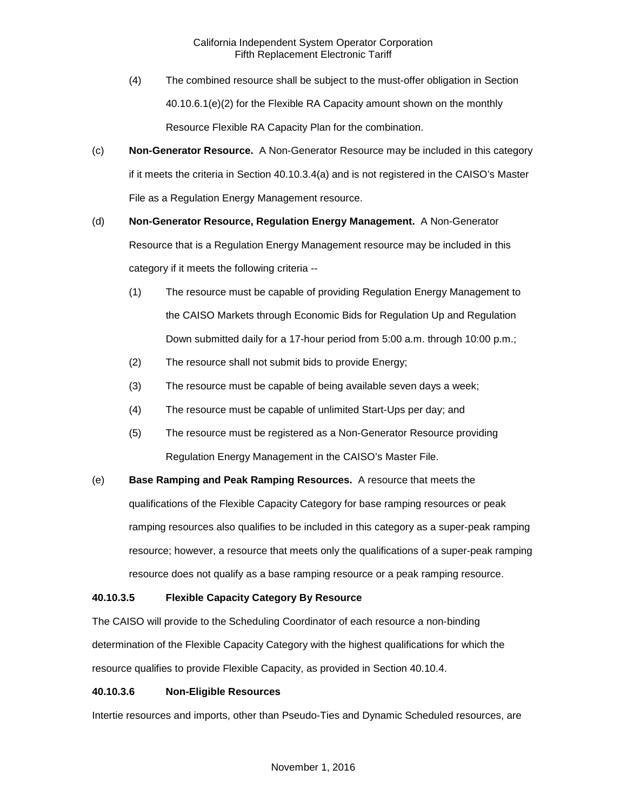- (4) The combined resource shall be subject to the must-offer obligation in Section 40.10.6.1(e)(2) for the Flexible RA Capacity amount shown on the monthly Resource Flexible RA Capacity Plan for the combination.
- (c) **Non-Generator Resource.** A Non-Generator Resource may be included in this category if it meets the criteria in Section 40.10.3.4(a) and is not registered in the CAISO's Master File as a Regulation Energy Management resource.
- (d) **Non-Generator Resource, Regulation Energy Management.** A Non-Generator Resource that is a Regulation Energy Management resource may be included in this category if it meets the following criteria --
	- (1) The resource must be capable of providing Regulation Energy Management to the CAISO Markets through Economic Bids for Regulation Up and Regulation Down submitted daily for a 17-hour period from 5:00 a.m. through 10:00 p.m.;
	- (2) The resource shall not submit bids to provide Energy;
	- (3) The resource must be capable of being available seven days a week;
	- (4) The resource must be capable of unlimited Start-Ups per day; and
	- (5) The resource must be registered as a Non-Generator Resource providing Regulation Energy Management in the CAISO's Master File.
- (e) **Base Ramping and Peak Ramping Resources.** A resource that meets the qualifications of the Flexible Capacity Category for base ramping resources or peak ramping resources also qualifies to be included in this category as a super-peak ramping resource; however, a resource that meets only the qualifications of a super-peak ramping resource does not qualify as a base ramping resource or a peak ramping resource.

# **40.10.3.5 Flexible Capacity Category By Resource**

The CAISO will provide to the Scheduling Coordinator of each resource a non-binding determination of the Flexible Capacity Category with the highest qualifications for which the resource qualifies to provide Flexible Capacity, as provided in Section 40.10.4.

# **40.10.3.6 Non-Eligible Resources**

Intertie resources and imports, other than Pseudo-Ties and Dynamic Scheduled resources, are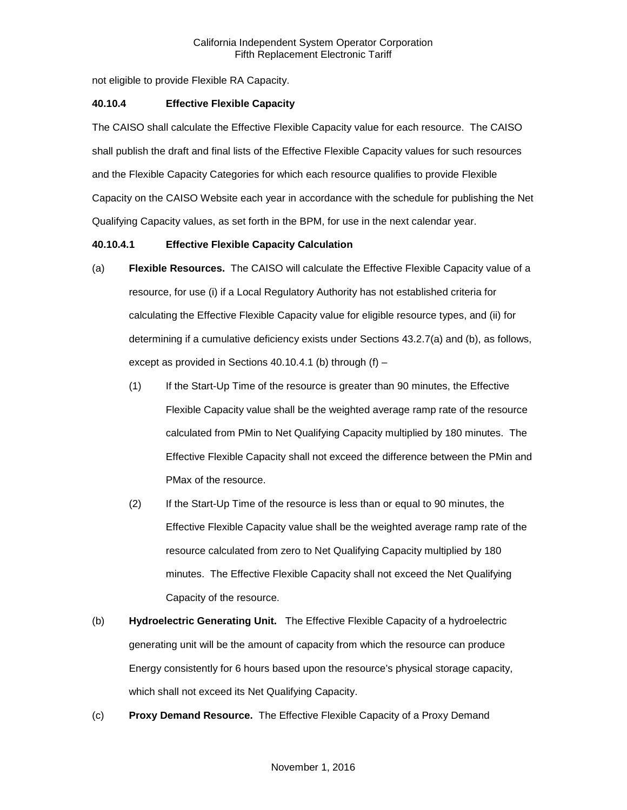not eligible to provide Flexible RA Capacity.

## **40.10.4 Effective Flexible Capacity**

The CAISO shall calculate the Effective Flexible Capacity value for each resource. The CAISO shall publish the draft and final lists of the Effective Flexible Capacity values for such resources and the Flexible Capacity Categories for which each resource qualifies to provide Flexible Capacity on the CAISO Website each year in accordance with the schedule for publishing the Net Qualifying Capacity values, as set forth in the BPM, for use in the next calendar year.

## **40.10.4.1 Effective Flexible Capacity Calculation**

- (a) **Flexible Resources.** The CAISO will calculate the Effective Flexible Capacity value of a resource, for use (i) if a Local Regulatory Authority has not established criteria for calculating the Effective Flexible Capacity value for eligible resource types, and (ii) for determining if a cumulative deficiency exists under Sections 43.2.7(a) and (b), as follows, except as provided in Sections 40.10.4.1 (b) through  $(f)$  –
	- (1) If the Start-Up Time of the resource is greater than 90 minutes, the Effective Flexible Capacity value shall be the weighted average ramp rate of the resource calculated from PMin to Net Qualifying Capacity multiplied by 180 minutes. The Effective Flexible Capacity shall not exceed the difference between the PMin and PMax of the resource.
	- (2) If the Start-Up Time of the resource is less than or equal to 90 minutes, the Effective Flexible Capacity value shall be the weighted average ramp rate of the resource calculated from zero to Net Qualifying Capacity multiplied by 180 minutes. The Effective Flexible Capacity shall not exceed the Net Qualifying Capacity of the resource.
- (b) **Hydroelectric Generating Unit.** The Effective Flexible Capacity of a hydroelectric generating unit will be the amount of capacity from which the resource can produce Energy consistently for 6 hours based upon the resource's physical storage capacity, which shall not exceed its Net Qualifying Capacity.
- (c) **Proxy Demand Resource.** The Effective Flexible Capacity of a Proxy Demand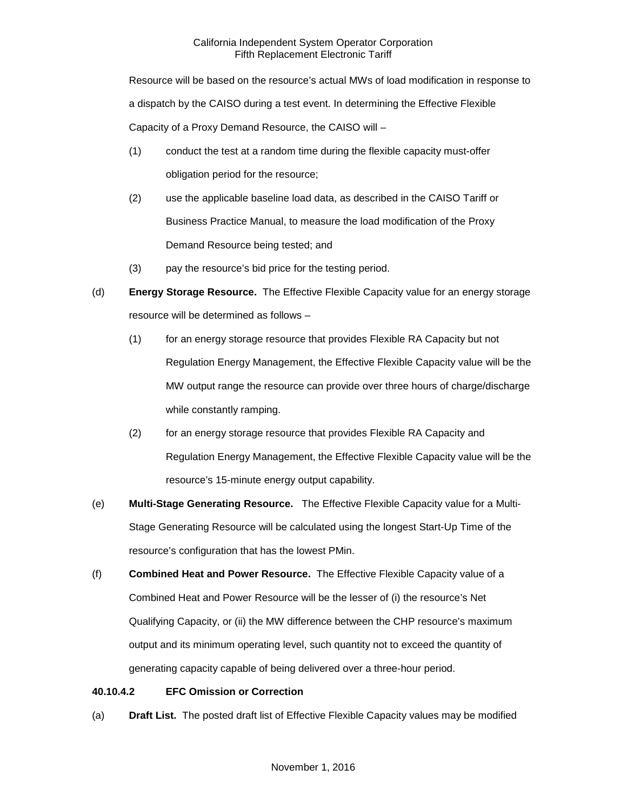Resource will be based on the resource's actual MWs of load modification in response to a dispatch by the CAISO during a test event. In determining the Effective Flexible Capacity of a Proxy Demand Resource, the CAISO will –

- (1) conduct the test at a random time during the flexible capacity must-offer obligation period for the resource;
- (2) use the applicable baseline load data, as described in the CAISO Tariff or Business Practice Manual, to measure the load modification of the Proxy Demand Resource being tested; and
- (3) pay the resource's bid price for the testing period.
- (d) **Energy Storage Resource.** The Effective Flexible Capacity value for an energy storage resource will be determined as follows –
	- (1) for an energy storage resource that provides Flexible RA Capacity but not Regulation Energy Management, the Effective Flexible Capacity value will be the MW output range the resource can provide over three hours of charge/discharge while constantly ramping.
	- (2) for an energy storage resource that provides Flexible RA Capacity and Regulation Energy Management, the Effective Flexible Capacity value will be the resource's 15-minute energy output capability.
- (e) **Multi-Stage Generating Resource.** The Effective Flexible Capacity value for a Multi-Stage Generating Resource will be calculated using the longest Start-Up Time of the resource's configuration that has the lowest PMin.
- (f) **Combined Heat and Power Resource.** The Effective Flexible Capacity value of a Combined Heat and Power Resource will be the lesser of (i) the resource's Net Qualifying Capacity, or (ii) the MW difference between the CHP resource's maximum output and its minimum operating level, such quantity not to exceed the quantity of generating capacity capable of being delivered over a three-hour period.

# **40.10.4.2 EFC Omission or Correction**

(a) **Draft List.** The posted draft list of Effective Flexible Capacity values may be modified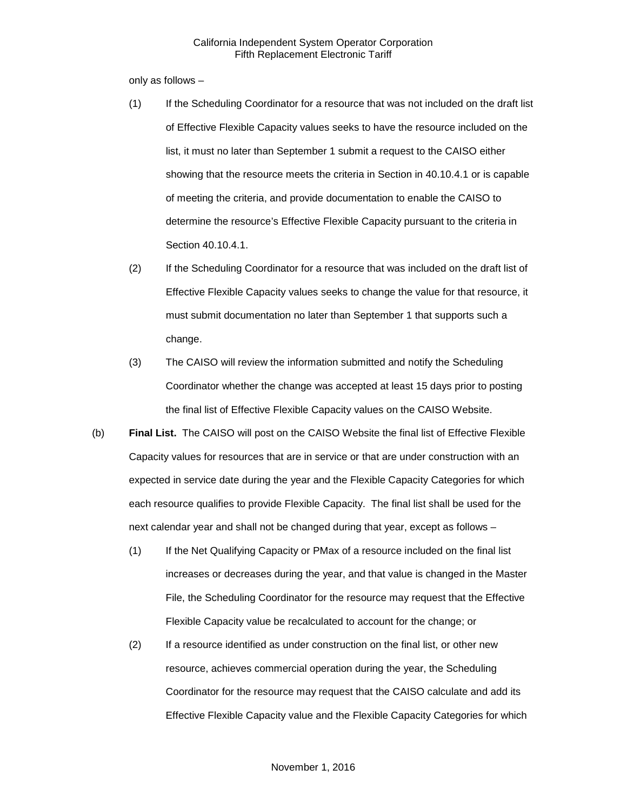only as follows –

- (1) If the Scheduling Coordinator for a resource that was not included on the draft list of Effective Flexible Capacity values seeks to have the resource included on the list, it must no later than September 1 submit a request to the CAISO either showing that the resource meets the criteria in Section in 40.10.4.1 or is capable of meeting the criteria, and provide documentation to enable the CAISO to determine the resource's Effective Flexible Capacity pursuant to the criteria in Section 40.10.4.1.
- (2) If the Scheduling Coordinator for a resource that was included on the draft list of Effective Flexible Capacity values seeks to change the value for that resource, it must submit documentation no later than September 1 that supports such a change.
- (3) The CAISO will review the information submitted and notify the Scheduling Coordinator whether the change was accepted at least 15 days prior to posting the final list of Effective Flexible Capacity values on the CAISO Website.
- (b) **Final List.** The CAISO will post on the CAISO Website the final list of Effective Flexible Capacity values for resources that are in service or that are under construction with an expected in service date during the year and the Flexible Capacity Categories for which each resource qualifies to provide Flexible Capacity. The final list shall be used for the next calendar year and shall not be changed during that year, except as follows –
	- (1) If the Net Qualifying Capacity or PMax of a resource included on the final list increases or decreases during the year, and that value is changed in the Master File, the Scheduling Coordinator for the resource may request that the Effective Flexible Capacity value be recalculated to account for the change; or
	- (2) If a resource identified as under construction on the final list, or other new resource, achieves commercial operation during the year, the Scheduling Coordinator for the resource may request that the CAISO calculate and add its Effective Flexible Capacity value and the Flexible Capacity Categories for which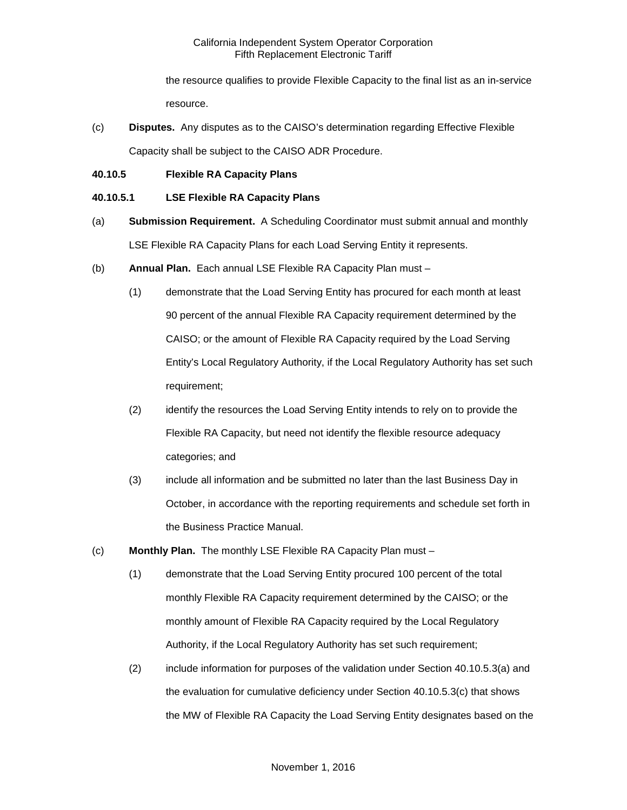the resource qualifies to provide Flexible Capacity to the final list as an in-service resource.

- (c) **Disputes.** Any disputes as to the CAISO's determination regarding Effective Flexible Capacity shall be subject to the CAISO ADR Procedure.
- **40.10.5 Flexible RA Capacity Plans**

## **40.10.5.1 LSE Flexible RA Capacity Plans**

- (a) **Submission Requirement.** A Scheduling Coordinator must submit annual and monthly LSE Flexible RA Capacity Plans for each Load Serving Entity it represents.
- (b) **Annual Plan.** Each annual LSE Flexible RA Capacity Plan must
	- (1) demonstrate that the Load Serving Entity has procured for each month at least 90 percent of the annual Flexible RA Capacity requirement determined by the CAISO; or the amount of Flexible RA Capacity required by the Load Serving Entity's Local Regulatory Authority, if the Local Regulatory Authority has set such requirement;
	- (2) identify the resources the Load Serving Entity intends to rely on to provide the Flexible RA Capacity, but need not identify the flexible resource adequacy categories; and
	- (3) include all information and be submitted no later than the last Business Day in October, in accordance with the reporting requirements and schedule set forth in the Business Practice Manual.
- (c) **Monthly Plan.** The monthly LSE Flexible RA Capacity Plan must
	- (1) demonstrate that the Load Serving Entity procured 100 percent of the total monthly Flexible RA Capacity requirement determined by the CAISO; or the monthly amount of Flexible RA Capacity required by the Local Regulatory Authority, if the Local Regulatory Authority has set such requirement;
	- (2) include information for purposes of the validation under Section 40.10.5.3(a) and the evaluation for cumulative deficiency under Section 40.10.5.3(c) that shows the MW of Flexible RA Capacity the Load Serving Entity designates based on the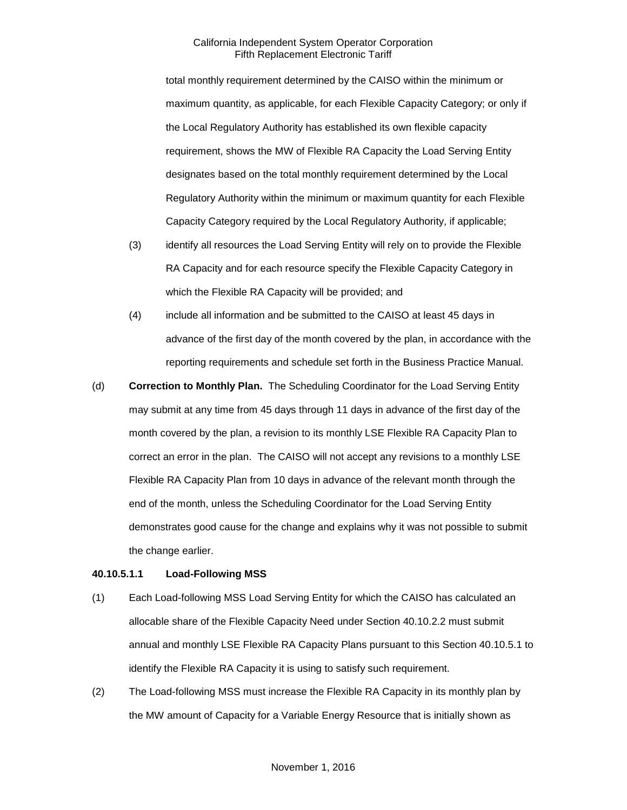total monthly requirement determined by the CAISO within the minimum or maximum quantity, as applicable, for each Flexible Capacity Category; or only if the Local Regulatory Authority has established its own flexible capacity requirement, shows the MW of Flexible RA Capacity the Load Serving Entity designates based on the total monthly requirement determined by the Local Regulatory Authority within the minimum or maximum quantity for each Flexible Capacity Category required by the Local Regulatory Authority, if applicable;

- (3) identify all resources the Load Serving Entity will rely on to provide the Flexible RA Capacity and for each resource specify the Flexible Capacity Category in which the Flexible RA Capacity will be provided; and
- (4) include all information and be submitted to the CAISO at least 45 days in advance of the first day of the month covered by the plan, in accordance with the reporting requirements and schedule set forth in the Business Practice Manual.
- (d) **Correction to Monthly Plan.** The Scheduling Coordinator for the Load Serving Entity may submit at any time from 45 days through 11 days in advance of the first day of the month covered by the plan, a revision to its monthly LSE Flexible RA Capacity Plan to correct an error in the plan. The CAISO will not accept any revisions to a monthly LSE Flexible RA Capacity Plan from 10 days in advance of the relevant month through the end of the month, unless the Scheduling Coordinator for the Load Serving Entity demonstrates good cause for the change and explains why it was not possible to submit the change earlier.

#### **40.10.5.1.1 Load-Following MSS**

- (1) Each Load-following MSS Load Serving Entity for which the CAISO has calculated an allocable share of the Flexible Capacity Need under Section 40.10.2.2 must submit annual and monthly LSE Flexible RA Capacity Plans pursuant to this Section 40.10.5.1 to identify the Flexible RA Capacity it is using to satisfy such requirement.
- (2) The Load-following MSS must increase the Flexible RA Capacity in its monthly plan by the MW amount of Capacity for a Variable Energy Resource that is initially shown as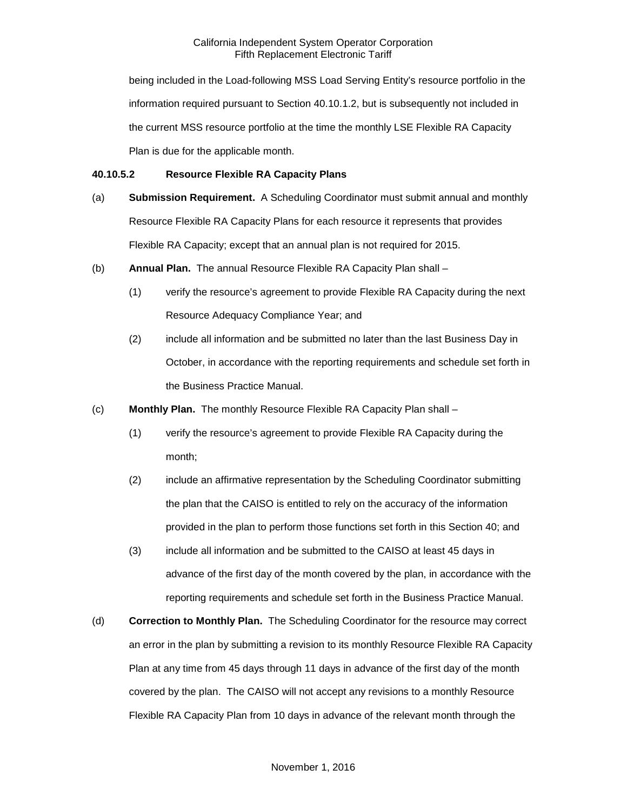being included in the Load-following MSS Load Serving Entity's resource portfolio in the information required pursuant to Section 40.10.1.2, but is subsequently not included in the current MSS resource portfolio at the time the monthly LSE Flexible RA Capacity Plan is due for the applicable month.

## **40.10.5.2 Resource Flexible RA Capacity Plans**

- (a) **Submission Requirement.** A Scheduling Coordinator must submit annual and monthly Resource Flexible RA Capacity Plans for each resource it represents that provides Flexible RA Capacity; except that an annual plan is not required for 2015.
- (b) **Annual Plan.** The annual Resource Flexible RA Capacity Plan shall
	- (1) verify the resource's agreement to provide Flexible RA Capacity during the next Resource Adequacy Compliance Year; and
	- (2) include all information and be submitted no later than the last Business Day in October, in accordance with the reporting requirements and schedule set forth in the Business Practice Manual.
- (c) **Monthly Plan.** The monthly Resource Flexible RA Capacity Plan shall
	- (1) verify the resource's agreement to provide Flexible RA Capacity during the month;
	- (2) include an affirmative representation by the Scheduling Coordinator submitting the plan that the CAISO is entitled to rely on the accuracy of the information provided in the plan to perform those functions set forth in this Section 40; and
	- (3) include all information and be submitted to the CAISO at least 45 days in advance of the first day of the month covered by the plan, in accordance with the reporting requirements and schedule set forth in the Business Practice Manual.
- (d) **Correction to Monthly Plan.** The Scheduling Coordinator for the resource may correct an error in the plan by submitting a revision to its monthly Resource Flexible RA Capacity Plan at any time from 45 days through 11 days in advance of the first day of the month covered by the plan. The CAISO will not accept any revisions to a monthly Resource Flexible RA Capacity Plan from 10 days in advance of the relevant month through the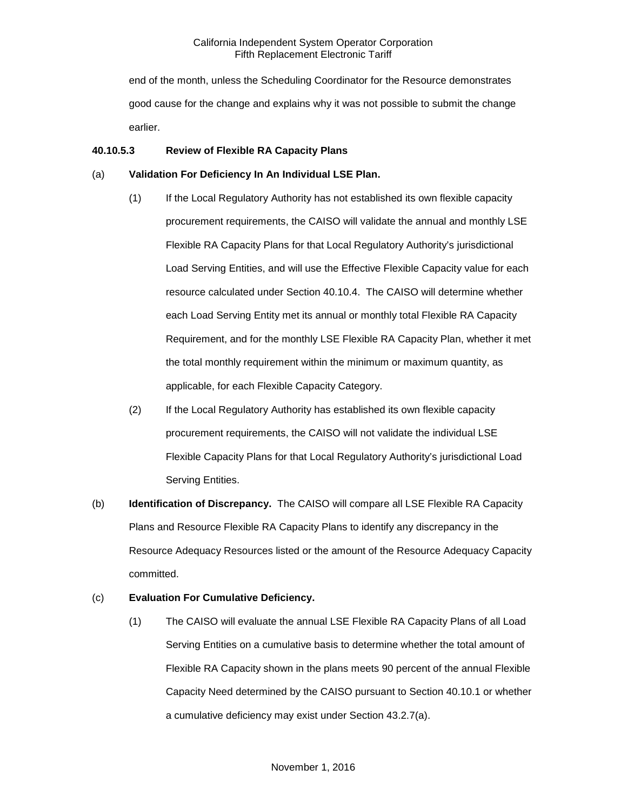end of the month, unless the Scheduling Coordinator for the Resource demonstrates good cause for the change and explains why it was not possible to submit the change earlier.

### **40.10.5.3 Review of Flexible RA Capacity Plans**

## (a) **Validation For Deficiency In An Individual LSE Plan.**

- (1) If the Local Regulatory Authority has not established its own flexible capacity procurement requirements, the CAISO will validate the annual and monthly LSE Flexible RA Capacity Plans for that Local Regulatory Authority's jurisdictional Load Serving Entities, and will use the Effective Flexible Capacity value for each resource calculated under Section 40.10.4. The CAISO will determine whether each Load Serving Entity met its annual or monthly total Flexible RA Capacity Requirement, and for the monthly LSE Flexible RA Capacity Plan, whether it met the total monthly requirement within the minimum or maximum quantity, as applicable, for each Flexible Capacity Category.
- (2) If the Local Regulatory Authority has established its own flexible capacity procurement requirements, the CAISO will not validate the individual LSE Flexible Capacity Plans for that Local Regulatory Authority's jurisdictional Load Serving Entities.
- (b) **Identification of Discrepancy.** The CAISO will compare all LSE Flexible RA Capacity Plans and Resource Flexible RA Capacity Plans to identify any discrepancy in the Resource Adequacy Resources listed or the amount of the Resource Adequacy Capacity committed.

# (c) **Evaluation For Cumulative Deficiency.**

(1) The CAISO will evaluate the annual LSE Flexible RA Capacity Plans of all Load Serving Entities on a cumulative basis to determine whether the total amount of Flexible RA Capacity shown in the plans meets 90 percent of the annual Flexible Capacity Need determined by the CAISO pursuant to Section 40.10.1 or whether a cumulative deficiency may exist under Section 43.2.7(a).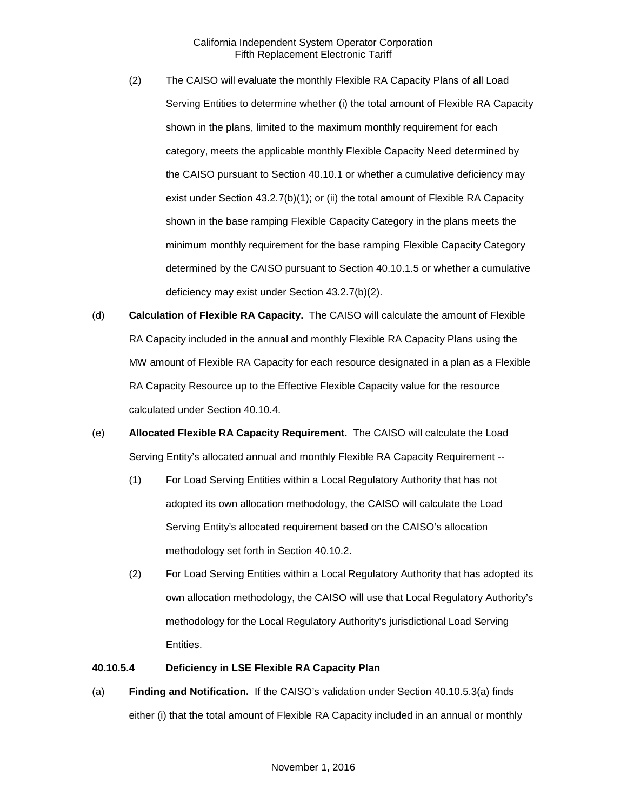- (2) The CAISO will evaluate the monthly Flexible RA Capacity Plans of all Load Serving Entities to determine whether (i) the total amount of Flexible RA Capacity shown in the plans, limited to the maximum monthly requirement for each category, meets the applicable monthly Flexible Capacity Need determined by the CAISO pursuant to Section 40.10.1 or whether a cumulative deficiency may exist under Section 43.2.7(b)(1); or (ii) the total amount of Flexible RA Capacity shown in the base ramping Flexible Capacity Category in the plans meets the minimum monthly requirement for the base ramping Flexible Capacity Category determined by the CAISO pursuant to Section 40.10.1.5 or whether a cumulative deficiency may exist under Section 43.2.7(b)(2).
- (d) **Calculation of Flexible RA Capacity.** The CAISO will calculate the amount of Flexible RA Capacity included in the annual and monthly Flexible RA Capacity Plans using the MW amount of Flexible RA Capacity for each resource designated in a plan as a Flexible RA Capacity Resource up to the Effective Flexible Capacity value for the resource calculated under Section 40.10.4.
- (e) **Allocated Flexible RA Capacity Requirement.** The CAISO will calculate the Load Serving Entity's allocated annual and monthly Flexible RA Capacity Requirement --
	- (1) For Load Serving Entities within a Local Regulatory Authority that has not adopted its own allocation methodology, the CAISO will calculate the Load Serving Entity's allocated requirement based on the CAISO's allocation methodology set forth in Section 40.10.2.
	- (2) For Load Serving Entities within a Local Regulatory Authority that has adopted its own allocation methodology, the CAISO will use that Local Regulatory Authority's methodology for the Local Regulatory Authority's jurisdictional Load Serving Entities.

#### **40.10.5.4 Deficiency in LSE Flexible RA Capacity Plan**

(a) **Finding and Notification.** If the CAISO's validation under Section 40.10.5.3(a) finds either (i) that the total amount of Flexible RA Capacity included in an annual or monthly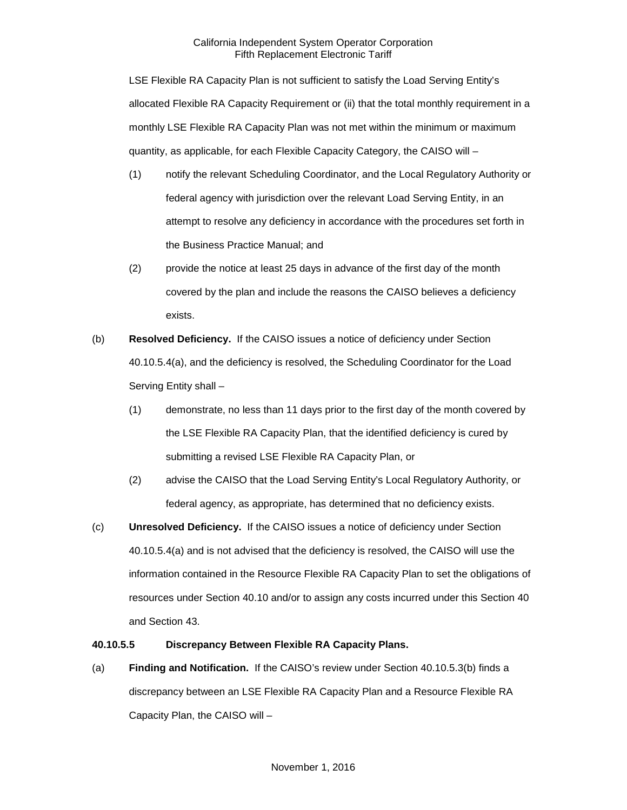LSE Flexible RA Capacity Plan is not sufficient to satisfy the Load Serving Entity's allocated Flexible RA Capacity Requirement or (ii) that the total monthly requirement in a monthly LSE Flexible RA Capacity Plan was not met within the minimum or maximum quantity, as applicable, for each Flexible Capacity Category, the CAISO will –

- (1) notify the relevant Scheduling Coordinator, and the Local Regulatory Authority or federal agency with jurisdiction over the relevant Load Serving Entity, in an attempt to resolve any deficiency in accordance with the procedures set forth in the Business Practice Manual; and
- (2) provide the notice at least 25 days in advance of the first day of the month covered by the plan and include the reasons the CAISO believes a deficiency exists.
- (b) **Resolved Deficiency.** If the CAISO issues a notice of deficiency under Section 40.10.5.4(a), and the deficiency is resolved, the Scheduling Coordinator for the Load Serving Entity shall –
	- (1) demonstrate, no less than 11 days prior to the first day of the month covered by the LSE Flexible RA Capacity Plan, that the identified deficiency is cured by submitting a revised LSE Flexible RA Capacity Plan, or
	- (2) advise the CAISO that the Load Serving Entity's Local Regulatory Authority, or federal agency, as appropriate, has determined that no deficiency exists.
- (c) **Unresolved Deficiency.** If the CAISO issues a notice of deficiency under Section 40.10.5.4(a) and is not advised that the deficiency is resolved, the CAISO will use the information contained in the Resource Flexible RA Capacity Plan to set the obligations of resources under Section 40.10 and/or to assign any costs incurred under this Section 40 and Section 43.

### **40.10.5.5 Discrepancy Between Flexible RA Capacity Plans.**

(a) **Finding and Notification.** If the CAISO's review under Section 40.10.5.3(b) finds a discrepancy between an LSE Flexible RA Capacity Plan and a Resource Flexible RA Capacity Plan, the CAISO will –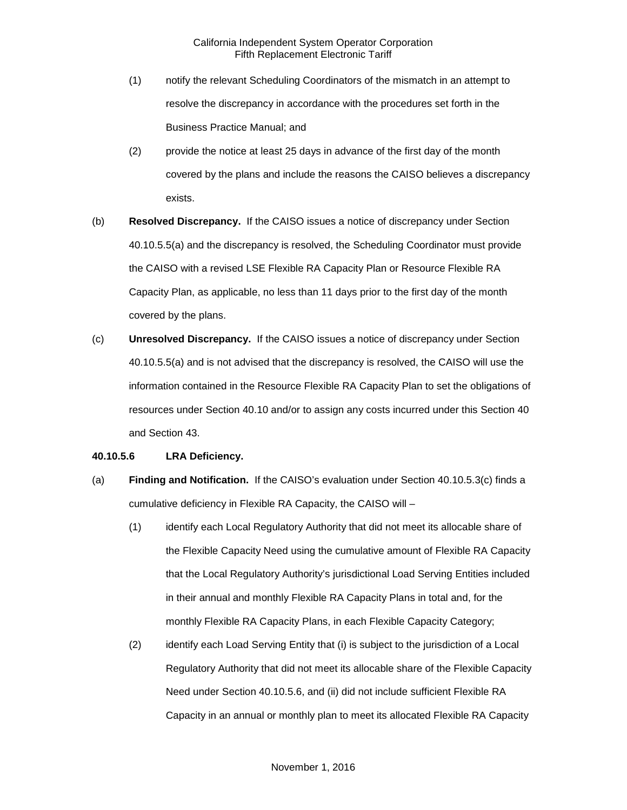- (1) notify the relevant Scheduling Coordinators of the mismatch in an attempt to resolve the discrepancy in accordance with the procedures set forth in the Business Practice Manual; and
- (2) provide the notice at least 25 days in advance of the first day of the month covered by the plans and include the reasons the CAISO believes a discrepancy exists.
- (b) **Resolved Discrepancy.** If the CAISO issues a notice of discrepancy under Section 40.10.5.5(a) and the discrepancy is resolved, the Scheduling Coordinator must provide the CAISO with a revised LSE Flexible RA Capacity Plan or Resource Flexible RA Capacity Plan, as applicable, no less than 11 days prior to the first day of the month covered by the plans.
- (c) **Unresolved Discrepancy.** If the CAISO issues a notice of discrepancy under Section 40.10.5.5(a) and is not advised that the discrepancy is resolved, the CAISO will use the information contained in the Resource Flexible RA Capacity Plan to set the obligations of resources under Section 40.10 and/or to assign any costs incurred under this Section 40 and Section 43.

### **40.10.5.6 LRA Deficiency.**

- (a) **Finding and Notification.** If the CAISO's evaluation under Section 40.10.5.3(c) finds a cumulative deficiency in Flexible RA Capacity, the CAISO will –
	- (1) identify each Local Regulatory Authority that did not meet its allocable share of the Flexible Capacity Need using the cumulative amount of Flexible RA Capacity that the Local Regulatory Authority's jurisdictional Load Serving Entities included in their annual and monthly Flexible RA Capacity Plans in total and, for the monthly Flexible RA Capacity Plans, in each Flexible Capacity Category;
	- (2) identify each Load Serving Entity that (i) is subject to the jurisdiction of a Local Regulatory Authority that did not meet its allocable share of the Flexible Capacity Need under Section 40.10.5.6, and (ii) did not include sufficient Flexible RA Capacity in an annual or monthly plan to meet its allocated Flexible RA Capacity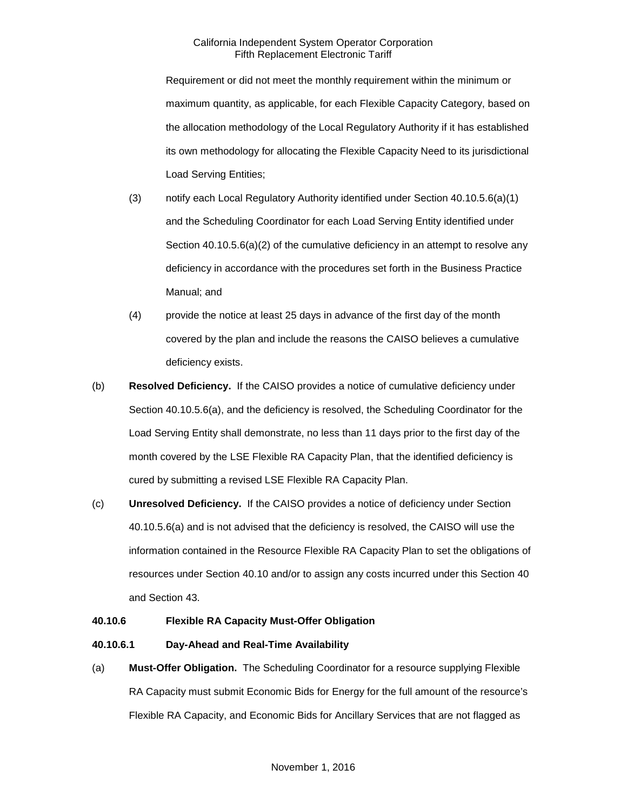Requirement or did not meet the monthly requirement within the minimum or maximum quantity, as applicable, for each Flexible Capacity Category, based on the allocation methodology of the Local Regulatory Authority if it has established its own methodology for allocating the Flexible Capacity Need to its jurisdictional Load Serving Entities;

- (3) notify each Local Regulatory Authority identified under Section 40.10.5.6(a)(1) and the Scheduling Coordinator for each Load Serving Entity identified under Section  $40.10.5.6(a)(2)$  of the cumulative deficiency in an attempt to resolve any deficiency in accordance with the procedures set forth in the Business Practice Manual; and
- (4) provide the notice at least 25 days in advance of the first day of the month covered by the plan and include the reasons the CAISO believes a cumulative deficiency exists.
- (b) **Resolved Deficiency.** If the CAISO provides a notice of cumulative deficiency under Section 40.10.5.6(a), and the deficiency is resolved, the Scheduling Coordinator for the Load Serving Entity shall demonstrate, no less than 11 days prior to the first day of the month covered by the LSE Flexible RA Capacity Plan, that the identified deficiency is cured by submitting a revised LSE Flexible RA Capacity Plan.
- (c) **Unresolved Deficiency.** If the CAISO provides a notice of deficiency under Section 40.10.5.6(a) and is not advised that the deficiency is resolved, the CAISO will use the information contained in the Resource Flexible RA Capacity Plan to set the obligations of resources under Section 40.10 and/or to assign any costs incurred under this Section 40 and Section 43.

### **40.10.6 Flexible RA Capacity Must-Offer Obligation**

### **40.10.6.1 Day-Ahead and Real-Time Availability**

(a) **Must-Offer Obligation.** The Scheduling Coordinator for a resource supplying Flexible RA Capacity must submit Economic Bids for Energy for the full amount of the resource's Flexible RA Capacity, and Economic Bids for Ancillary Services that are not flagged as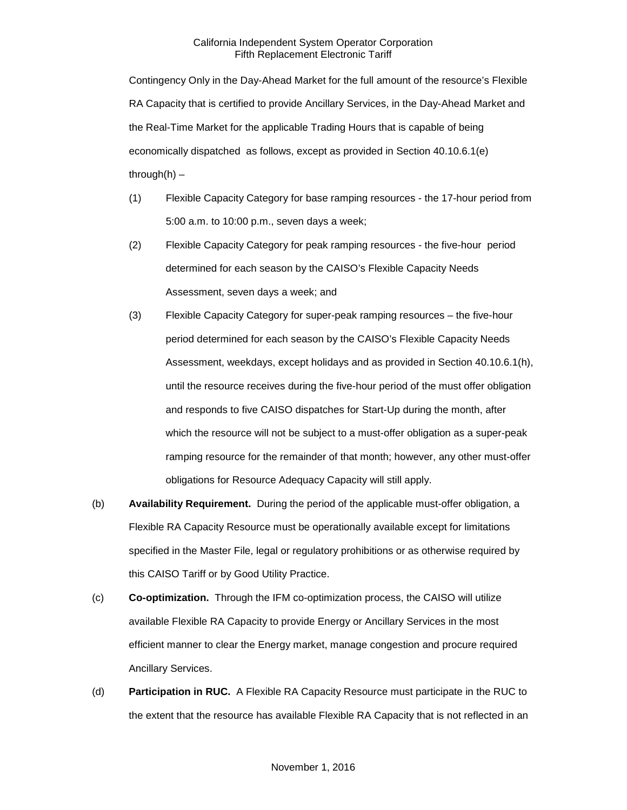Contingency Only in the Day-Ahead Market for the full amount of the resource's Flexible RA Capacity that is certified to provide Ancillary Services, in the Day-Ahead Market and the Real-Time Market for the applicable Trading Hours that is capable of being economically dispatched as follows, except as provided in Section 40.10.6.1(e) through $(h)$  –

- (1) Flexible Capacity Category for base ramping resources the 17-hour period from 5:00 a.m. to 10:00 p.m., seven days a week;
- (2) Flexible Capacity Category for peak ramping resources the five-hour period determined for each season by the CAISO's Flexible Capacity Needs Assessment, seven days a week; and
- (3) Flexible Capacity Category for super-peak ramping resources the five-hour period determined for each season by the CAISO's Flexible Capacity Needs Assessment, weekdays, except holidays and as provided in Section 40.10.6.1(h), until the resource receives during the five-hour period of the must offer obligation and responds to five CAISO dispatches for Start-Up during the month, after which the resource will not be subject to a must-offer obligation as a super-peak ramping resource for the remainder of that month; however, any other must-offer obligations for Resource Adequacy Capacity will still apply.
- (b) **Availability Requirement.** During the period of the applicable must-offer obligation, a Flexible RA Capacity Resource must be operationally available except for limitations specified in the Master File, legal or regulatory prohibitions or as otherwise required by this CAISO Tariff or by Good Utility Practice.
- (c) **Co-optimization.** Through the IFM co-optimization process, the CAISO will utilize available Flexible RA Capacity to provide Energy or Ancillary Services in the most efficient manner to clear the Energy market, manage congestion and procure required Ancillary Services.
- (d) **Participation in RUC.** A Flexible RA Capacity Resource must participate in the RUC to the extent that the resource has available Flexible RA Capacity that is not reflected in an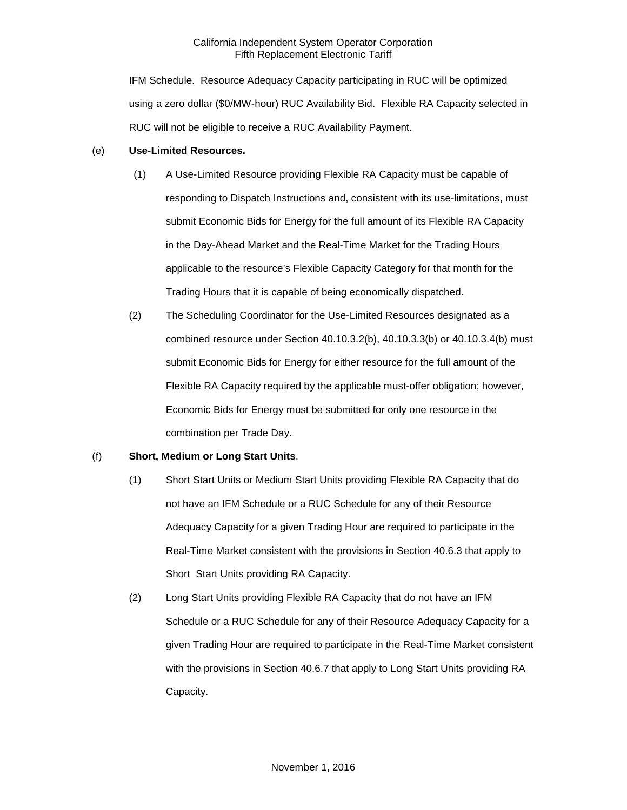IFM Schedule. Resource Adequacy Capacity participating in RUC will be optimized using a zero dollar (\$0/MW-hour) RUC Availability Bid. Flexible RA Capacity selected in RUC will not be eligible to receive a RUC Availability Payment.

### (e) **Use-Limited Resources.**

- (1) A Use-Limited Resource providing Flexible RA Capacity must be capable of responding to Dispatch Instructions and, consistent with its use-limitations, must submit Economic Bids for Energy for the full amount of its Flexible RA Capacity in the Day-Ahead Market and the Real-Time Market for the Trading Hours applicable to the resource's Flexible Capacity Category for that month for the Trading Hours that it is capable of being economically dispatched.
- (2) The Scheduling Coordinator for the Use-Limited Resources designated as a combined resource under Section 40.10.3.2(b), 40.10.3.3(b) or 40.10.3.4(b) must submit Economic Bids for Energy for either resource for the full amount of the Flexible RA Capacity required by the applicable must-offer obligation; however, Economic Bids for Energy must be submitted for only one resource in the combination per Trade Day.

# (f) **Short, Medium or Long Start Units**.

- (1) Short Start Units or Medium Start Units providing Flexible RA Capacity that do not have an IFM Schedule or a RUC Schedule for any of their Resource Adequacy Capacity for a given Trading Hour are required to participate in the Real-Time Market consistent with the provisions in Section 40.6.3 that apply to Short Start Units providing RA Capacity.
- (2) Long Start Units providing Flexible RA Capacity that do not have an IFM Schedule or a RUC Schedule for any of their Resource Adequacy Capacity for a given Trading Hour are required to participate in the Real-Time Market consistent with the provisions in Section 40.6.7 that apply to Long Start Units providing RA Capacity.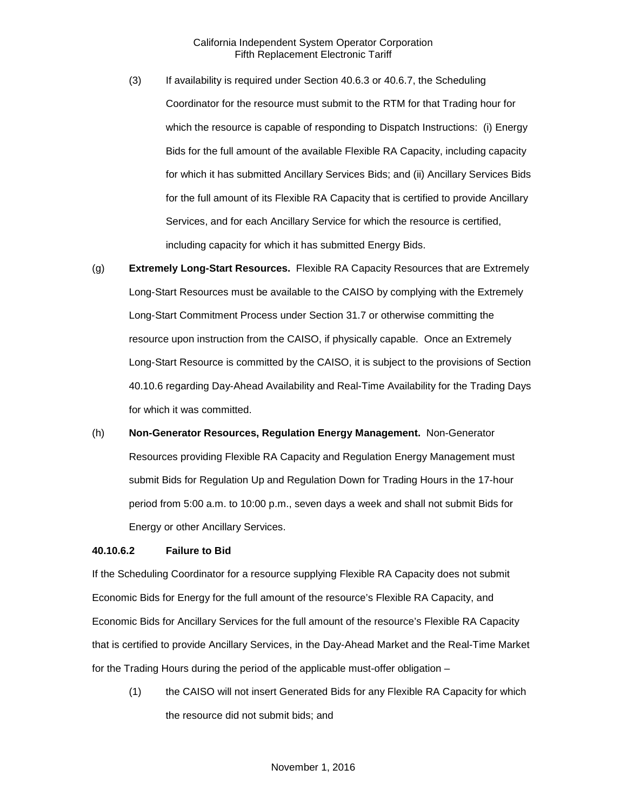- (3) If availability is required under Section 40.6.3 or 40.6.7, the Scheduling Coordinator for the resource must submit to the RTM for that Trading hour for which the resource is capable of responding to Dispatch Instructions: (i) Energy Bids for the full amount of the available Flexible RA Capacity, including capacity for which it has submitted Ancillary Services Bids; and (ii) Ancillary Services Bids for the full amount of its Flexible RA Capacity that is certified to provide Ancillary Services, and for each Ancillary Service for which the resource is certified, including capacity for which it has submitted Energy Bids.
- (g) **Extremely Long-Start Resources.** Flexible RA Capacity Resources that are Extremely Long-Start Resources must be available to the CAISO by complying with the Extremely Long-Start Commitment Process under Section 31.7 or otherwise committing the resource upon instruction from the CAISO, if physically capable. Once an Extremely Long-Start Resource is committed by the CAISO, it is subject to the provisions of Section 40.10.6 regarding Day-Ahead Availability and Real-Time Availability for the Trading Days for which it was committed.
- (h) **Non-Generator Resources, Regulation Energy Management.** Non-Generator Resources providing Flexible RA Capacity and Regulation Energy Management must submit Bids for Regulation Up and Regulation Down for Trading Hours in the 17-hour period from 5:00 a.m. to 10:00 p.m., seven days a week and shall not submit Bids for Energy or other Ancillary Services.

#### **40.10.6.2 Failure to Bid**

If the Scheduling Coordinator for a resource supplying Flexible RA Capacity does not submit Economic Bids for Energy for the full amount of the resource's Flexible RA Capacity, and Economic Bids for Ancillary Services for the full amount of the resource's Flexible RA Capacity that is certified to provide Ancillary Services, in the Day-Ahead Market and the Real-Time Market for the Trading Hours during the period of the applicable must-offer obligation –

(1) the CAISO will not insert Generated Bids for any Flexible RA Capacity for which the resource did not submit bids; and